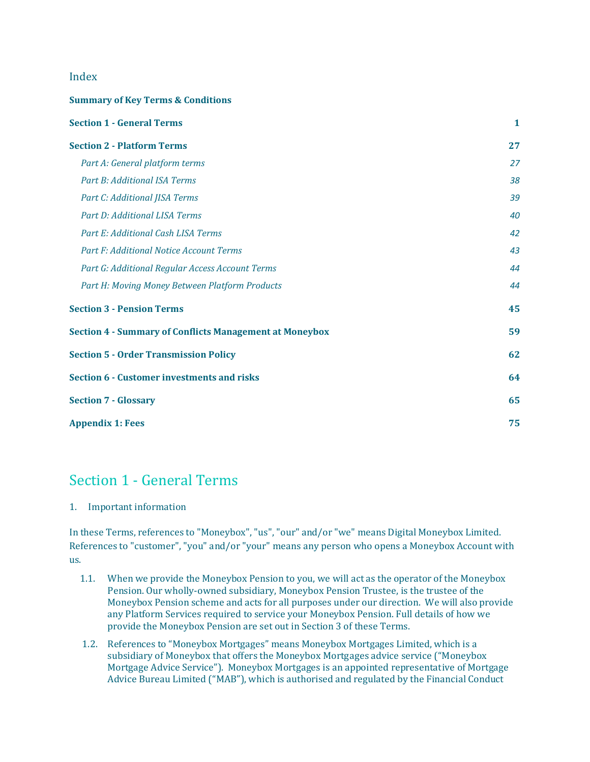# Index

#### **Summary of Key Terms & Conditions**

| <b>Section 1 - General Terms</b>                               | $\mathbf{1}$ |
|----------------------------------------------------------------|--------------|
| <b>Section 2 - Platform Terms</b>                              | 27           |
| Part A: General platform terms                                 | 27           |
| Part B: Additional ISA Terms                                   | 38           |
| Part C: Additional JISA Terms                                  | 39           |
| Part D: Additional LISA Terms                                  | 40           |
| Part E: Additional Cash LISA Terms                             | 42           |
| <b>Part F: Additional Notice Account Terms</b>                 | 43           |
| Part G: Additional Regular Access Account Terms                | 44           |
| Part H: Moving Money Between Platform Products                 | 44           |
| <b>Section 3 - Pension Terms</b>                               | 45           |
| <b>Section 4 - Summary of Conflicts Management at Moneybox</b> | 59           |
| <b>Section 5 - Order Transmission Policy</b>                   | 62           |
| <b>Section 6 - Customer investments and risks</b>              | 64           |
| <b>Section 7 - Glossary</b>                                    | 65           |
| <b>Appendix 1: Fees</b>                                        | 75           |

# <span id="page-0-0"></span>Section 1 - General Terms

#### 1. Important information

In these Terms, references to "Moneybox", "us", "our" and/or "we" means Digital Moneybox Limited. References to "customer", "you" and/or "your" means any person who opens a Moneybox Account with us.

- 1.1. When we provide the Moneybox Pension to you, we will act as the operator of the Moneybox Pension. Our wholly-owned subsidiary, Moneybox Pension Trustee, is the trustee of the Moneybox Pension scheme and acts for all purposes under our direction. We will also provide any Platform Services required to service your Moneybox Pension. Full details of how we provide the Moneybox Pension are set out in Section 3 of these Terms.
- 1.2. References to "Moneybox Mortgages" means Moneybox Mortgages Limited, which is a subsidiary of Moneybox that offers the Moneybox Mortgages advice service ("Moneybox Mortgage Advice Service"). Moneybox Mortgages is an appointed representative of Mortgage Advice Bureau Limited ("MAB"), which is authorised and regulated by the Financial Conduct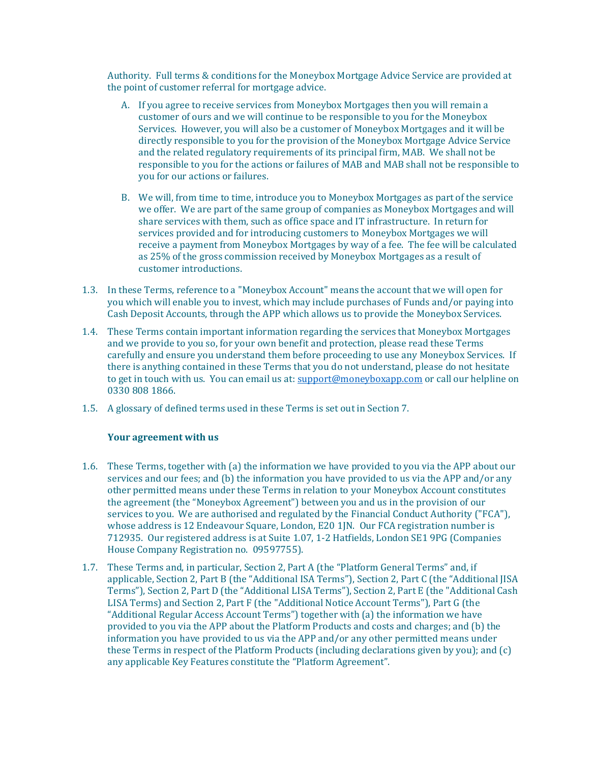Authority. Full terms & conditions for the Moneybox Mortgage Advice Service are provided at the point of customer referral for mortgage advice.

- A. If you agree to receive services from Moneybox Mortgages then you will remain a customer of ours and we will continue to be responsible to you for the Moneybox Services. However, you will also be a customer of Moneybox Mortgages and it will be directly responsible to you for the provision of the Moneybox Mortgage Advice Service and the related regulatory requirements of its principal firm, MAB. We shall not be responsible to you for the actions or failures of MAB and MAB shall not be responsible to you for our actions or failures.
- B. We will, from time to time, introduce you to Moneybox Mortgages as part of the service we offer. We are part of the same group of companies as Moneybox Mortgages and will share services with them, such as office space and IT infrastructure. In return for services provided and for introducing customers to Moneybox Mortgages we will receive a payment from Moneybox Mortgages by way of a fee. The fee will be calculated as 25% of the gross commission received by Moneybox Mortgages as a result of customer introductions.
- 1.3. In these Terms, reference to a "Moneybox Account" means the account that we will open for you which will enable you to invest, which may include purchases of Funds and/or paying into Cash Deposit Accounts, through the APP which allows us to provide the Moneybox Services.
- 1.4. These Terms contain important information regarding the services that Moneybox Mortgages and we provide to you so, for your own benefit and protection, please read these Terms carefully and ensure you understand them before proceeding to use any Moneybox Services. If there is anything contained in these Terms that you do not understand, please do not hesitate to get in touch with us. You can email us at: [support@moneyboxapp.com](mailto:support@moneyboxapp.com) or call our helpline on [0330 808 1866.](tel:03308081866)
- 1.5. A glossary of defined terms used in these Terms is set out in Section 7.

# **Your agreement with us**

- 1.6. These Terms, together with (a) the information we have provided to you via the APP about our services and our fees; and (b) the information you have provided to us via the APP and/or any other permitted means under these Terms in relation to your Moneybox Account constitutes the agreement (the "Moneybox Agreement") between you and us in the provision of our services to you. We are authorised and regulated by the Financial Conduct Authority ("FCA"), whose address is 12 Endeavour Square, London, E20 1JN. Our FCA registration number is [712935.](https://register.fca.org.uk/ShPo_FirmDetailsPage?id=001b0000015mIpQAAU) Our registered address is at Suite 1.07, 1-2 Hatfields, London SE1 9PG (Companies House Company Registration no. 09597755).
- 1.7. These Terms and, in particular, Section 2, Part A (the "Platform General Terms" and, if applicable, Section 2, Part B (the "Additional ISA Terms"), Section 2, Part C (the "Additional JISA Terms"), Section 2, Part D (the "Additional LISA Terms"), Section 2, Part E (the "Additional Cash LISA Terms) and Section 2, Part F (the "Additional Notice Account Terms"), Part G (the "Additional Regular Access Account Terms") together with (a) the information we have provided to you via the APP about the Platform Products and costs and charges; and (b) the information you have provided to us via the APP and/or any other permitted means under these Terms in respect of the Platform Products (including declarations given by you); and (c) any applicable Key Features constitute the "Platform Agreement".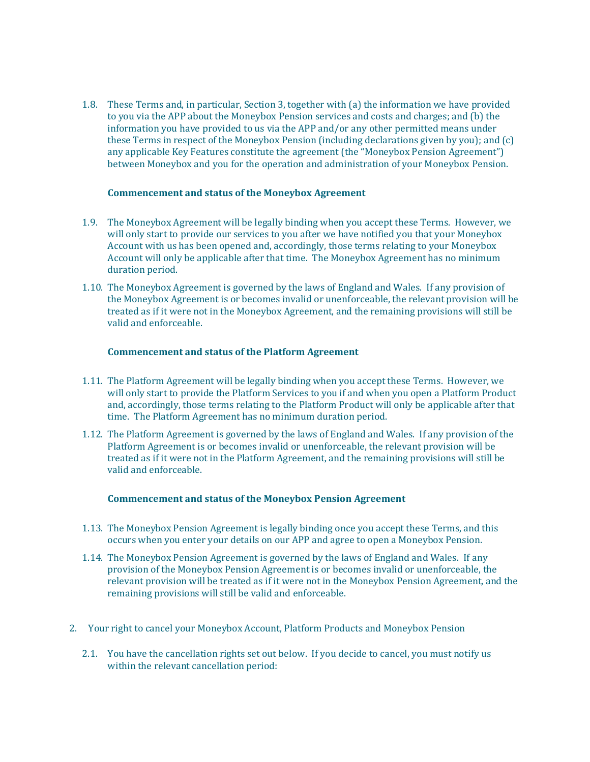1.8. These Terms and, in particular, Section 3, together with (a) the information we have provided to you via the APP about the Moneybox Pension services and costs and charges; and (b) the information you have provided to us via the APP and/or any other permitted means under these Terms in respect of the Moneybox Pension (including declarations given by you); and (c) any applicable Key Features constitute the agreement (the "Moneybox Pension Agreement") between Moneybox and you for the operation and administration of your Moneybox Pension.

#### **Commencement and status of the Moneybox Agreement**

- 1.9. The Moneybox Agreement will be legally binding when you accept these Terms. However, we will only start to provide our services to you after we have notified you that your Moneybox Account with us has been opened and, accordingly, those terms relating to your Moneybox Account will only be applicable after that time. The Moneybox Agreement has no minimum duration period.
- 1.10. The Moneybox Agreement is governed by the laws of England and Wales. If any provision of the Moneybox Agreement is or becomes invalid or unenforceable, the relevant provision will be treated as if it were not in the Moneybox Agreement, and the remaining provisions will still be valid and enforceable.

#### **Commencement and status of the Platform Agreement**

- 1.11. The Platform Agreement will be legally binding when you accept these Terms. However, we will only start to provide the Platform Services to you if and when you open a Platform Product and, accordingly, those terms relating to the Platform Product will only be applicable after that time. The Platform Agreement has no minimum duration period.
- 1.12. The Platform Agreement is governed by the laws of England and Wales. If any provision of the Platform Agreement is or becomes invalid or unenforceable, the relevant provision will be treated as if it were not in the Platform Agreement, and the remaining provisions will still be valid and enforceable.

## **Commencement and status of the Moneybox Pension Agreement**

- 1.13. The Moneybox Pension Agreement is legally binding once you accept these Terms, and this occurs when you enter your details on our APP and agree to open a Moneybox Pension.
- 1.14. The Moneybox Pension Agreement is governed by the laws of England and Wales. If any provision of the Moneybox Pension Agreement is or becomes invalid or unenforceable, the relevant provision will be treated as if it were not in the Moneybox Pension Agreement, and the remaining provisions will still be valid and enforceable.
- 2. Your right to cancel your Moneybox Account, Platform Products and Moneybox Pension
	- 2.1. You have the cancellation rights set out below. If you decide to cancel, you must notify us within the relevant cancellation period: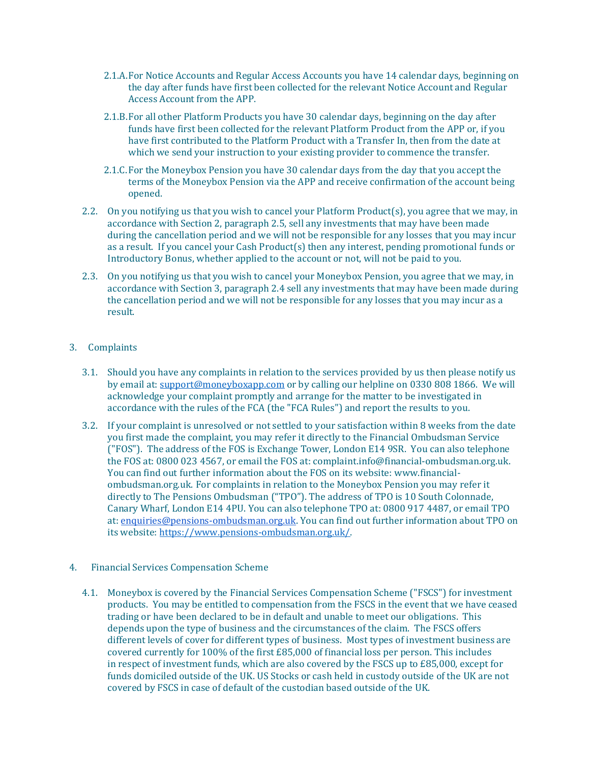- 2.1.A.For Notice Accounts and Regular Access Accounts you have 14 calendar days, beginning on the day after funds have first been collected for the relevant Notice Account and Regular Access Account from the APP.
- 2.1.B.For all other Platform Products you have 30 calendar days, beginning on the day after funds have first been collected for the relevant Platform Product from the APP or, if you have first contributed to the Platform Product with a Transfer In, then from the date at which we send your instruction to your existing provider to commence the transfer.
- 2.1.C.For the Moneybox Pension you have 30 calendar days from the day that you accept the terms of the Moneybox Pension via the APP and receive confirmation of the account being opened.
- 2.2. On you notifying us that you wish to cancel your Platform Product(s), you agree that we may, in accordance with Section 2, paragraph 2.5, sell any investments that may have been made during the cancellation period and we will not be responsible for any losses that you may incur as a result. If you cancel your Cash Product(s) then any interest, pending promotional funds or Introductory Bonus, whether applied to the account or not, will not be paid to you.
- 2.3. On you notifying us that you wish to cancel your Moneybox Pension, you agree that we may, in accordance with Section 3, paragraph 2.4 sell any investments that may have been made during the cancellation period and we will not be responsible for any losses that you may incur as a result.

# 3. Complaints

- 3.1. Should you have any complaints in relation to the services provided by us then please notify us by email at: [support@moneyboxapp.com](mailto:support@moneyboxapp.com) or by calling our helpline o[n 0330 808 1866.](tel:03308081866) We will acknowledge your complaint promptly and arrange for the matter to be investigated in accordance with the rules of the FCA (the "FCA Rules") and report the results to you.
- 3.2. If your complaint is unresolved or not settled to your satisfaction within 8 weeks from the date you first made the complaint, you may refer it directly to the Financial Ombudsman Service ("FOS"). The address of the FOS is Exchange Tower, London E14 9SR. You can also telephone the FOS at[: 0800 023 4567,](tel:08000234567) or email the FOS at: [complaint.info@financial-ombudsman.org.uk.](mailto:complaint.info@financial-ombudsman.org.uk) You can find out further information about the FOS on its website[: www.financial](http://www.financial-ombudsman.org.uk/)[ombudsman.org.uk.](http://www.financial-ombudsman.org.uk/) For complaints in relation to the Moneybox Pension you may refer it directly to The Pensions Ombudsman ("TPO"). The address of TPO is 10 South Colonnade, Canary Wharf, London E14 4PU. You can also telephone TPO at: 0800 917 4487, or email TPO at[: enquiries@pensions-ombudsman.org.uk.](mailto:enquiries@pensions-ombudsman.org.uk) You can find out further information about TPO on its website[: https://www.pensions-ombudsman.org.uk/.](https://www.pensions-ombudsman.org.uk/)
- 4. Financial Services Compensation Scheme
	- 4.1. Moneybox is covered by the Financial Services Compensation Scheme ("FSCS") for investment products. You may be entitled to compensation from the FSCS in the event that we have ceased trading or have been declared to be in default and unable to meet our obligations. This depends upon the type of business and the circumstances of the claim. The FSCS offers different levels of cover for different types of business. Most types of investment business are covered currently for 100% of the first £85,000 of financial loss per person. This includes in respect of investment funds, which are also covered by the FSCS up to £85,000, except for funds domiciled outside of the UK. US Stocks or cash held in custody outside of the UK are not covered by FSCS in case of default of the custodian based outside of the UK.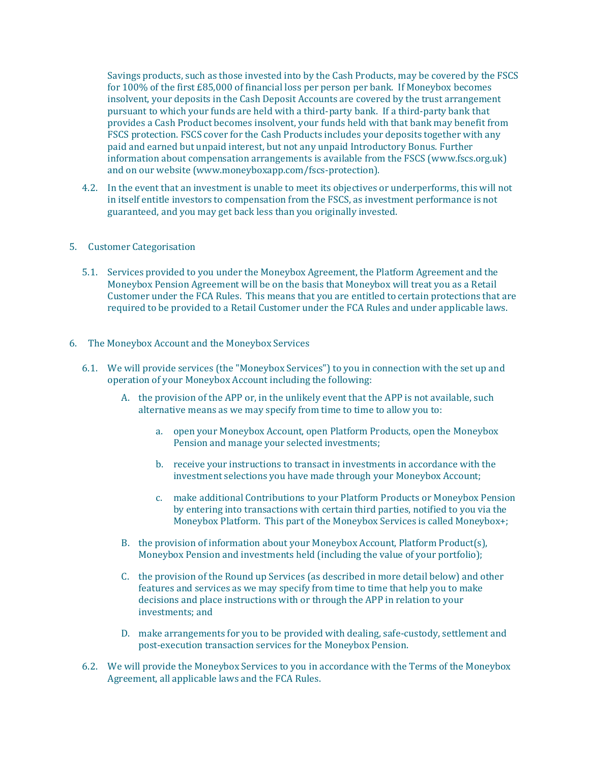Savings products, such as those invested into by the Cash Products, may be covered by the FSCS for 100% of the first £85,000 of financial loss per person per bank. If Moneybox becomes insolvent, your deposits in the Cash Deposit Accounts are covered by the trust arrangement pursuant to which your funds are held with a third-party bank. If a third-party bank that provides a Cash Product becomes insolvent, your funds held with that bank may benefit from FSCS protection. FSCS cover for the Cash Products includes your deposits together with any paid and earned but unpaid interest, but not any unpaid Introductory Bonus. Further information about compensation arrangements is available from the FSCS [\(www.fscs.org.uk\)](http://www.fscs.org.uk/) and on our website (www.moneyboxapp.com/fscs-protection).

4.2. In the event that an investment is unable to meet its objectives or underperforms, this will not in itself entitle investors to compensation from the FSCS, as investment performance is not guaranteed, and you may get back less than you originally invested.

#### 5. Customer Categorisation

- 5.1. Services provided to you under the Moneybox Agreement, the Platform Agreement and the Moneybox Pension Agreement will be on the basis that Moneybox will treat you as a Retail Customer under the FCA Rules. This means that you are entitled to certain protections that are required to be provided to a Retail Customer under the FCA Rules and under applicable laws.
- 6. The Moneybox Account and the Moneybox Services
	- 6.1. We will provide services (the "Moneybox Services") to you in connection with the set up and operation of your Moneybox Account including the following:
		- A. the provision of the APP or, in the unlikely event that the APP is not available, such alternative means as we may specify from time to time to allow you to:
			- a. open your Moneybox Account, open Platform Products, open the Moneybox Pension and manage your selected investments;
			- b. receive your instructions to transact in investments in accordance with the investment selections you have made through your Moneybox Account;
			- c. make additional Contributions to your Platform Products or Moneybox Pension by entering into transactions with certain third parties, notified to you via the Moneybox Platform. This part of the Moneybox Services is called Moneybox+;
		- B. the provision of information about your Moneybox Account, Platform Product(s), Moneybox Pension and investments held (including the value of your portfolio);
		- C. the provision of the Round up Services (as described in more detail below) and other features and services as we may specify from time to time that help you to make decisions and place instructions with or through the APP in relation to your investments; and
		- D. make arrangements for you to be provided with dealing, safe-custody, settlement and post-execution transaction services for the Moneybox Pension.
	- 6.2. We will provide the Moneybox Services to you in accordance with the Terms of the Moneybox Agreement, all applicable laws and the FCA Rules.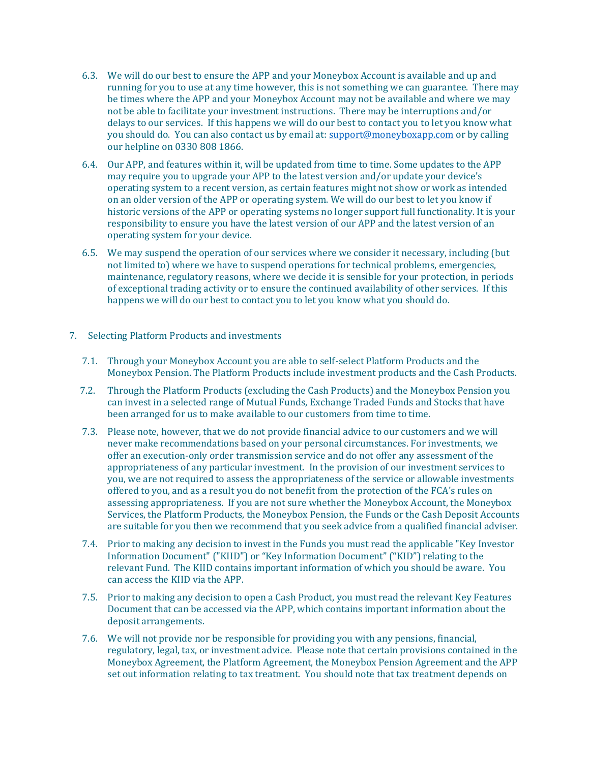- 6.3. We will do our best to ensure the APP and your Moneybox Account is available and up and running for you to use at any time however, this is not something we can guarantee. There may be times where the APP and your Moneybox Account may not be available and where we may not be able to facilitate your investment instructions. There may be interruptions and/or delays to our services. If this happens we will do our best to contact you to let you know what you should do. You can also contact us by email at[: support@moneyboxapp.com](mailto:support@moneyboxapp.com) or by calling our helpline on [0330 808 1866.](tel:03308081866)
- 6.4. Our APP, and features within it, will be updated from time to time. Some updates to the APP may require you to upgrade your APP to the latest version and/or update your device's operating system to a recent version, as certain features might not show or work as intended on an older version of the APP or operating system. We will do our best to let you know if historic versions of the APP or operating systems no longer support full functionality. It is your responsibility to ensure you have the latest version of our APP and the latest version of an operating system for your device.
- 6.5. We may suspend the operation of our services where we consider it necessary, including (but not limited to) where we have to suspend operations for technical problems, emergencies, maintenance, regulatory reasons, where we decide it is sensible for your protection, in periods of exceptional trading activity or to ensure the continued availability of other services. If this happens we will do our best to contact you to let you know what you should do.

#### 7. Selecting Platform Products and investments

- 7.1. Through your Moneybox Account you are able to self-select Platform Products and the Moneybox Pension. The Platform Products include investment products and the Cash Products.
- 7.2. Through the Platform Products (excluding the Cash Products) and the Moneybox Pension you can invest in a selected range of Mutual Funds, Exchange Traded Funds and Stocks that have been arranged for us to make available to our customers from time to time.
- 7.3. Please note, however, that we do not provide financial advice to our customers and we will never make recommendations based on your personal circumstances. For investments, we offer an execution-only order transmission service and do not offer any assessment of the appropriateness of any particular investment. In the provision of our investment services to you, we are not required to assess the appropriateness of the service or allowable investments offered to you, and as a result you do not benefit from the protection of the FCA's rules on assessing appropriateness. If you are not sure whether the Moneybox Account, the Moneybox Services, the Platform Products, the Moneybox Pension, the Funds or the Cash Deposit Accounts are suitable for you then we recommend that you seek advice from a qualified financial adviser.
- 7.4. Prior to making any decision to invest in the Funds you must read the applicable "Key Investor Information Document" ("KIID") or "Key Information Document" ("KID") relating to the relevant Fund. The KIID contains important information of which you should be aware. You can access the KIID via the APP.
- 7.5. Prior to making any decision to open a Cash Product, you must read the relevant Key Features Document that can be accessed via the APP, which contains important information about the deposit arrangements.
- 7.6. We will not provide nor be responsible for providing you with any pensions, financial, regulatory, legal, tax, or investment advice. Please note that certain provisions contained in the Moneybox Agreement, the Platform Agreement, the Moneybox Pension Agreement and the APP set out information relating to tax treatment. You should note that tax treatment depends on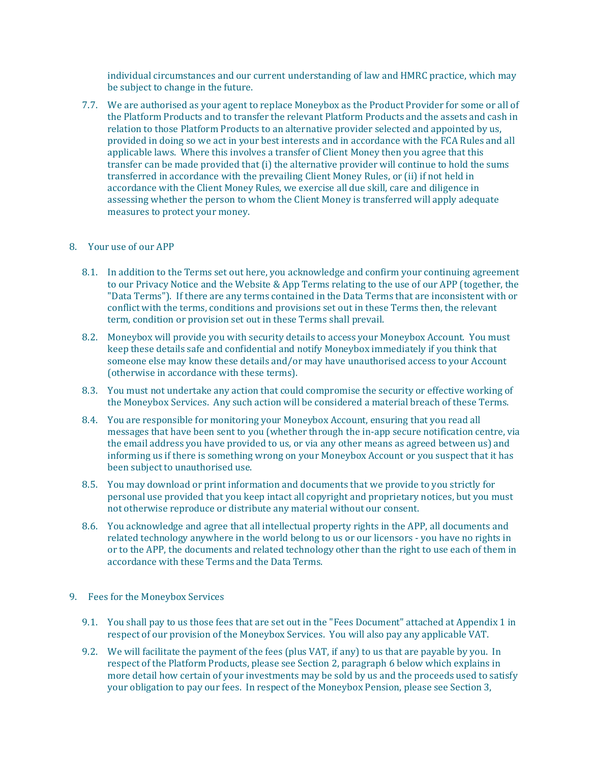individual circumstances and our current understanding of law and HMRC practice, which may be subject to change in the future.

7.7. We are authorised as your agent to replace Moneybox as the Product Provider for some or all of the Platform Products and to transfer the relevant Platform Products and the assets and cash in relation to those Platform Products to an alternative provider selected and appointed by us, provided in doing so we act in your best interests and in accordance with the FCA Rules and all applicable laws. Where this involves a transfer of Client Money then you agree that this transfer can be made provided that (i) the alternative provider will continue to hold the sums transferred in accordance with the prevailing Client Money Rules, or (ii) if not held in accordance with the Client Money Rules, we exercise all due skill, care and diligence in assessing whether the person to whom the Client Money is transferred will apply adequate measures to protect your money.

#### 8. Your use of our APP

- 8.1. In addition to the Terms set out here, you acknowledge and confirm your continuing agreement to our [Privacy Notice](https://www.moneyboxapp.com/privacy/) and the [Website & App Terms](https://www.moneyboxapp.com/terms-of-use/) relating to the use of our APP (together, the "Data Terms"). If there are any terms contained in the Data Terms that are inconsistent with or conflict with the terms, conditions and provisions set out in these Terms then, the relevant term, condition or provision set out in these Terms shall prevail.
- 8.2. Moneybox will provide you with security details to access your Moneybox Account. You must keep these details safe and confidential and notify Moneybox immediately if you think that someone else may know these details and/or may have unauthorised access to your Account (otherwise in accordance with these terms).
- 8.3. You must not undertake any action that could compromise the security or effective working of the Moneybox Services. Any such action will be considered a material breach of these Terms.
- 8.4. You are responsible for monitoring your Moneybox Account, ensuring that you read all messages that have been sent to you (whether through the in-app secure notification centre, via the email address you have provided to us, or via any other means as agreed between us) and informing us if there is something wrong on your Moneybox Account or you suspect that it has been subject to unauthorised use.
- 8.5. You may download or print information and documents that we provide to you strictly for personal use provided that you keep intact all copyright and proprietary notices, but you must not otherwise reproduce or distribute any material without our consent.
- 8.6. You acknowledge and agree that all intellectual property rights in the APP, all documents and related technology anywhere in the world belong to us or our licensors - you have no rights in or to the APP, the documents and related technology other than the right to use each of them in accordance with these Terms and the Data Terms.

# 9. Fees for the Moneybox Services

- 9.1. You shall pay to us those fees that are set out in the "Fees Document" attached at Appendix 1 in respect of our provision of the Moneybox Services. You will also pay any applicable VAT.
- 9.2. We will facilitate the payment of the fees (plus VAT, if any) to us that are payable by you. In respect of the Platform Products, please see Section 2, paragraph 6 below which explains in more detail how certain of your investments may be sold by us and the proceeds used to satisfy your obligation to pay our fees. In respect of the Moneybox Pension, please see Section 3,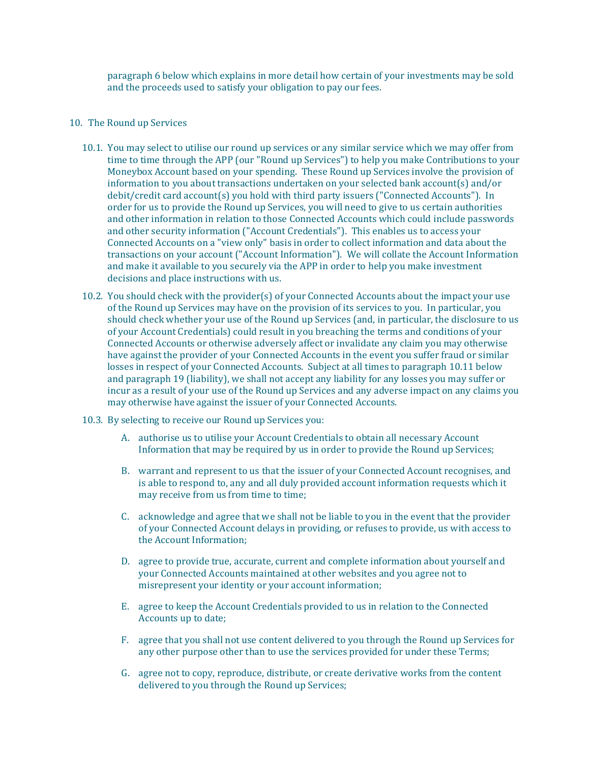paragraph 6 below which explains in more detail how certain of your investments may be sold and the proceeds used to satisfy your obligation to pay our fees.

## 10. The Round up Services

- 10.1. You may select to utilise our round up services or any similar service which we may offer from time to time through the APP (our "Round up Services") to help you make Contributions to your Moneybox Account based on your spending. These Round up Services involve the provision of information to you about transactions undertaken on your selected bank account(s) and/or debit/credit card account(s) you hold with third party issuers ("Connected Accounts"). In order for us to provide the Round up Services, you will need to give to us certain authorities and other information in relation to those Connected Accounts which could include passwords and other security information ("Account Credentials"). This enables us to access your Connected Accounts on a "view only" basis in order to collect information and data about the transactions on your account ("Account Information"). We will collate the Account Information and make it available to you securely via the APP in order to help you make investment decisions and place instructions with us.
- 10.2. You should check with the provider(s) of your Connected Accounts about the impact your use of the Round up Services may have on the provision of its services to you. In particular, you should check whether your use of the Round up Services (and, in particular, the disclosure to us of your Account Credentials) could result in you breaching the terms and conditions of your Connected Accounts or otherwise adversely affect or invalidate any claim you may otherwise have against the provider of your Connected Accounts in the event you suffer fraud or similar losses in respect of your Connected Accounts. Subject at all times to paragraph 10.11 below and paragraph 19 (liability), we shall not accept any liability for any losses you may suffer or incur as a result of your use of the Round up Services and any adverse impact on any claims you may otherwise have against the issuer of your Connected Accounts.
- 10.3. By selecting to receive our Round up Services you:
	- A. authorise us to utilise your Account Credentials to obtain all necessary Account Information that may be required by us in order to provide the Round up Services;
	- B. warrant and represent to us that the issuer of your Connected Account recognises, and is able to respond to, any and all duly provided account information requests which it may receive from us from time to time;
	- C. acknowledge and agree that we shall not be liable to you in the event that the provider of your Connected Account delays in providing, or refuses to provide, us with access to the Account Information;
	- D. agree to provide true, accurate, current and complete information about yourself and your Connected Accounts maintained at other websites and you agree not to misrepresent your identity or your account information;
	- E. agree to keep the Account Credentials provided to us in relation to the Connected Accounts up to date;
	- F. agree that you shall not use content delivered to you through the Round up Services for any other purpose other than to use the services provided for under these Terms;
	- G. agree not to copy, reproduce, distribute, or create derivative works from the content delivered to you through the Round up Services;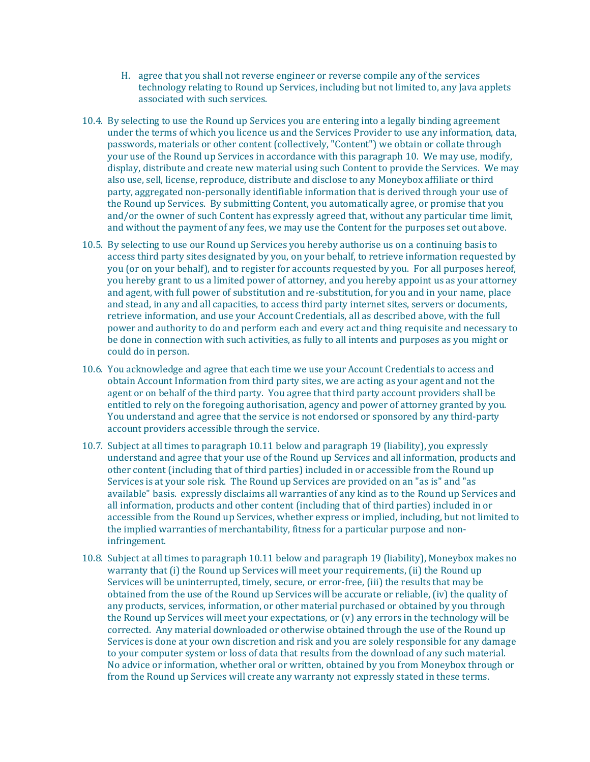- H. agree that you shall not reverse engineer or reverse compile any of the services technology relating to Round up Services, including but not limited to, any Java applets associated with such services.
- 10.4. By selecting to use the Round up Services you are entering into a legally binding agreement under the terms of which you licence us and the Services Provider to use any information, data, passwords, materials or other content (collectively, "Content") we obtain or collate through your use of the Round up Services in accordance with this paragraph 10. We may use, modify, display, distribute and create new material using such Content to provide the Services. We may also use, sell, license, reproduce, distribute and disclose to any Moneybox affiliate or third party, aggregated non-personally identifiable information that is derived through your use of the Round up Services. By submitting Content, you automatically agree, or promise that you and/or the owner of such Content has expressly agreed that, without any particular time limit, and without the payment of any fees, we may use the Content for the purposes set out above.
- 10.5. By selecting to use our Round up Services you hereby authorise us on a continuing basis to access third party sites designated by you, on your behalf, to retrieve information requested by you (or on your behalf), and to register for accounts requested by you. For all purposes hereof, you hereby grant to us a limited power of attorney, and you hereby appoint us as your attorney and agent, with full power of substitution and re-substitution, for you and in your name, place and stead, in any and all capacities, to access third party internet sites, servers or documents, retrieve information, and use your Account Credentials, all as described above, with the full power and authority to do and perform each and every act and thing requisite and necessary to be done in connection with such activities, as fully to all intents and purposes as you might or could do in person.
- 10.6. You acknowledge and agree that each time we use your Account Credentials to access and obtain Account Information from third party sites, we are acting as your agent and not the agent or on behalf of the third party. You agree that third party account providers shall be entitled to rely on the foregoing authorisation, agency and power of attorney granted by you. You understand and agree that the service is not endorsed or sponsored by any third-party account providers accessible through the service.
- 10.7. Subject at all times to paragraph 10.11 below and paragraph 19 (liability), you expressly understand and agree that your use of the Round up Services and all information, products and other content (including that of third parties) included in or accessible from the Round up Services is at your sole risk. The Round up Services are provided on an "as is" and "as available" basis. expressly disclaims all warranties of any kind as to the Round up Services and all information, products and other content (including that of third parties) included in or accessible from the Round up Services, whether express or implied, including, but not limited to the implied warranties of merchantability, fitness for a particular purpose and noninfringement.
- 10.8. Subject at all times to paragraph 10.11 below and paragraph 19 (liability), Moneybox makes no warranty that (i) the Round up Services will meet your requirements, (ii) the Round up Services will be uninterrupted, timely, secure, or error-free, (iii) the results that may be obtained from the use of the Round up Services will be accurate or reliable, (iv) the quality of any products, services, information, or other material purchased or obtained by you through the Round up Services will meet your expectations, or (v) any errors in the technology will be corrected. Any material downloaded or otherwise obtained through the use of the Round up Services is done at your own discretion and risk and you are solely responsible for any damage to your computer system or loss of data that results from the download of any such material. No advice or information, whether oral or written, obtained by you from Moneybox through or from the Round up Services will create any warranty not expressly stated in these terms.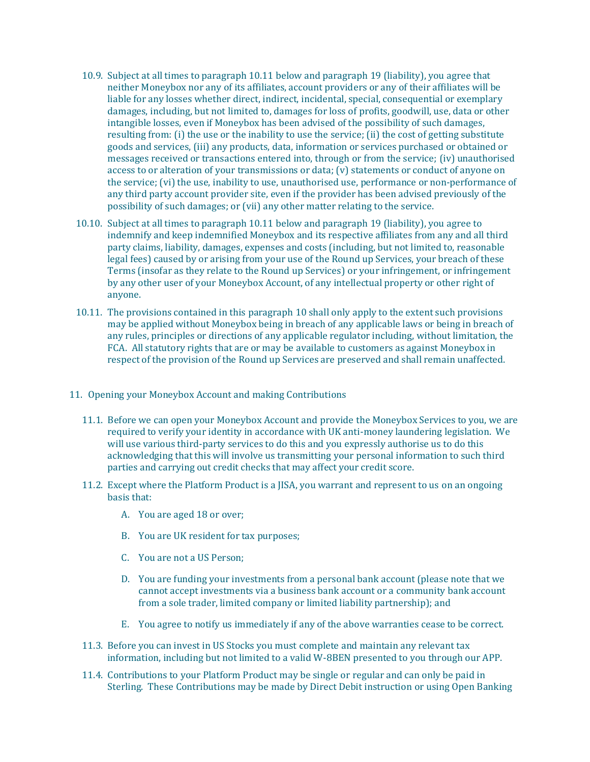- 10.9. Subject at all times to paragraph 10.11 below and paragraph 19 (liability), you agree that neither Moneybox nor any of its affiliates, account providers or any of their affiliates will be liable for any losses whether direct, indirect, incidental, special, consequential or exemplary damages, including, but not limited to, damages for loss of profits, goodwill, use, data or other intangible losses, even if Moneybox has been advised of the possibility of such damages, resulting from: (i) the use or the inability to use the service; (ii) the cost of getting substitute goods and services, (iii) any products, data, information or services purchased or obtained or messages received or transactions entered into, through or from the service; (iv) unauthorised access to or alteration of your transmissions or data; (v) statements or conduct of anyone on the service; (vi) the use, inability to use, unauthorised use, performance or non-performance of any third party account provider site, even if the provider has been advised previously of the possibility of such damages; or (vii) any other matter relating to the service.
- 10.10. Subject at all times to paragraph 10.11 below and paragraph 19 (liability), you agree to indemnify and keep indemnified Moneybox and its respective affiliates from any and all third party claims, liability, damages, expenses and costs (including, but not limited to, reasonable legal fees) caused by or arising from your use of the Round up Services, your breach of these Terms (insofar as they relate to the Round up Services) or your infringement, or infringement by any other user of your Moneybox Account, of any intellectual property or other right of anyone.
- 10.11. The provisions contained in this paragraph 10 shall only apply to the extent such provisions may be applied without Moneybox being in breach of any applicable laws or being in breach of any rules, principles or directions of any applicable regulator including, without limitation, the FCA. All statutory rights that are or may be available to customers as against Moneybox in respect of the provision of the Round up Services are preserved and shall remain unaffected.
- 11. Opening your Moneybox Account and making Contributions
	- 11.1. Before we can open your Moneybox Account and provide the Moneybox Services to you, we are required to verify your identity in accordance with UK anti-money laundering legislation. We will use various third-party services to do this and you expressly authorise us to do this acknowledging that this will involve us transmitting your personal information to such third parties and carrying out credit checks that may affect your credit score.
	- 11.2. Except where the Platform Product is a JISA, you warrant and represent to us on an ongoing basis that:
		- A. You are aged 18 or over;
		- B. You are UK resident for tax purposes;
		- C. You are not a US Person;
		- D. You are funding your investments from a personal bank account (please note that we cannot accept investments via a business bank account or a community bank account from a sole trader, limited company or limited liability partnership); and
		- E. You agree to notify us immediately if any of the above warranties cease to be correct.
	- 11.3. Before you can invest in US Stocks you must complete and maintain any relevant tax information, including but not limited to a valid W-8BEN presented to you through our APP.
	- 11.4. Contributions to your Platform Product may be single or regular and can only be paid in Sterling. These Contributions may be made by Direct Debit instruction or using Open Banking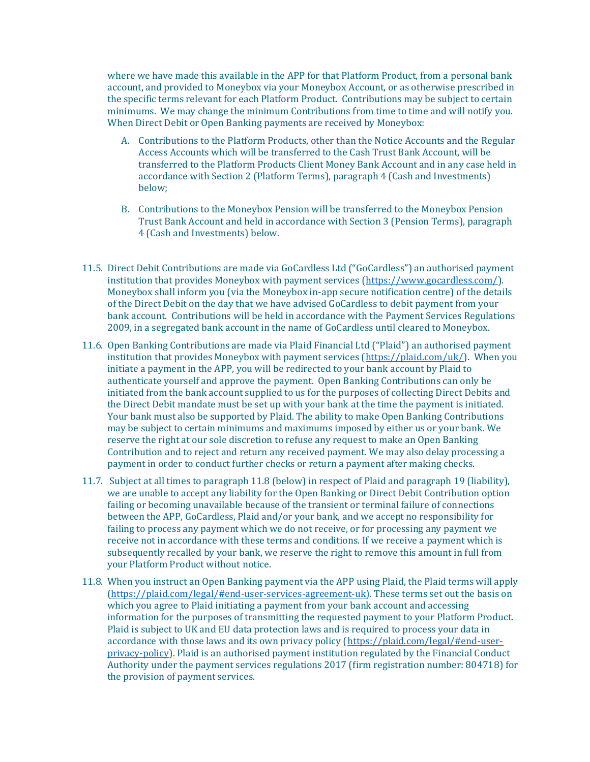where we have made this available in the APP for that Platform Product, from a personal bank account, and provided to Moneybox via your Moneybox Account, or as otherwise prescribed in the specific terms relevant for each Platform Product. Contributions may be subject to certain minimums. We may change the minimum Contributions from time to time and will notify you. When Direct Debit or Open Banking payments are received by Moneybox:

- A. Contributions to the Platform Products, other than the Notice Accounts and the Regular Access Accounts which will be transferred to the Cash Trust Bank Account, will be transferred to the Platform Products Client Money Bank Account and in any case held in accordance with Section 2 (Platform Terms), paragraph 4 (Cash and Investments) below;
- B. Contributions to the Moneybox Pension will be transferred to the Moneybox Pension Trust Bank Account and held in accordance with Section 3 (Pension Terms), paragraph 4 (Cash and Investments) below.
- 11.5. Direct Debit Contributions are made via GoCardless Ltd ("GoCardless") an authorised payment institution that provides Moneybox with payment services [\(https://www.gocardless.com/\)](https://www.gocardless.com/). Moneybox shall inform you (via the Moneybox in-app secure notification centre) of the details of the Direct Debit on the day that we have advised GoCardless to debit payment from your bank account. Contributions will be held in accordance with the Payment Services Regulations 2009, in a segregated bank account in the name of GoCardless until cleared to Moneybox.
- 11.6. Open Banking Contributions are made via Plaid Financial Ltd ("Plaid") an authorised payment institution that provides Moneybox with payment services [\(https://plaid.com/uk/\)](https://plaid.com/uk/). When you initiate a payment in the APP, you will be redirected to your bank account by Plaid to authenticate yourself and approve the payment. Open Banking Contributions can only be initiated from the bank account supplied to us for the purposes of collecting Direct Debits and the Direct Debit mandate must be set up with your bank at the time the payment is initiated. Your bank must also be supported by Plaid. The ability to make Open Banking Contributions may be subject to certain minimums and maximums imposed by either us or your bank. We reserve the right at our sole discretion to refuse any request to make an Open Banking Contribution and to reject and return any received payment. We may also delay processing a payment in order to conduct further checks or return a payment after making checks.
- 11.7. Subject at all times to paragraph 11.8 (below) in respect of Plaid and paragraph 19 (liability), we are unable to accept any liability for the Open Banking or Direct Debit Contribution option failing or becoming unavailable because of the transient or terminal failure of connections between the APP, GoCardless, Plaid and/or your bank, and we accept no responsibility for failing to process any payment which we do not receive, or for processing any payment we receive not in accordance with these terms and conditions. If we receive a payment which is subsequently recalled by your bank, we reserve the right to remove this amount in full from your Platform Product without notice.
- 11.8. When you instruct an Open Banking payment via the APP using Plaid, the Plaid terms will apply [\(https://plaid.com/legal/#end-user-services-agreement-uk\)](https://plaid.com/legal/#end-user-services-agreement-uk). These terms set out the basis on which you agree to Plaid initiating a payment from your bank account and accessing information for the purposes of transmitting the requested payment to your Platform Product. Plaid is subject to UK and EU data protection laws and is required to process your data in accordance with those laws and its own privacy policy [\(https://plaid.com/legal/#end-user](https://plaid.com/legal/#end-user-privacy-policy)[privacy-policy\)](https://plaid.com/legal/#end-user-privacy-policy). Plaid is an authorised payment institution regulated by the Financial Conduct Authority under the payment services regulations 2017 (firm registration number: 804718) for the provision of payment services.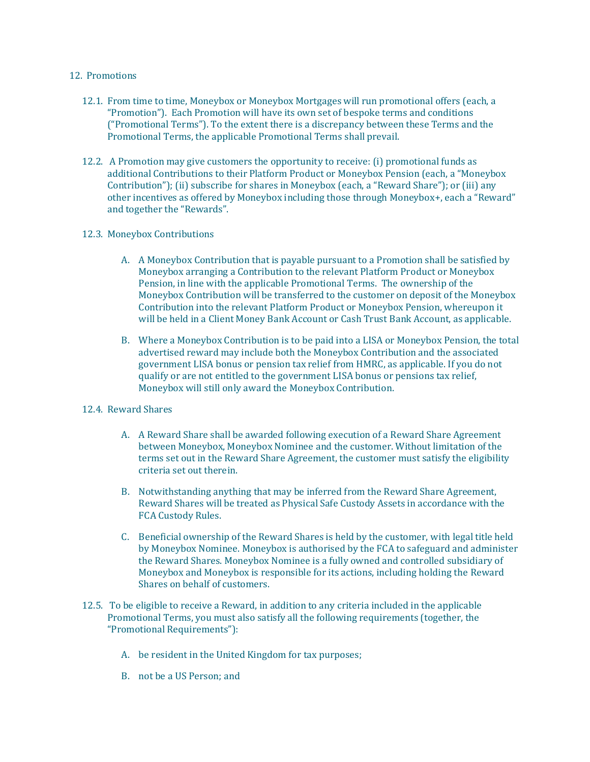## 12. Promotions

- 12.1. From time to time, Moneybox or Moneybox Mortgages will run promotional offers (each, a "Promotion"). Each Promotion will have its own set of bespoke terms and conditions ("Promotional Terms"). To the extent there is a discrepancy between these Terms and the Promotional Terms, the applicable Promotional Terms shall prevail.
- 12.2. A Promotion may give customers the opportunity to receive: (i) promotional funds as additional Contributions to their Platform Product or Moneybox Pension (each, a "Moneybox Contribution"); (ii) subscribe for shares in Moneybox (each, a "Reward Share"); or (iii) any other incentives as offered by Moneybox including those through Moneybox+, each a "Reward" and together the "Rewards".

#### 12.3. Moneybox Contributions

- A. A Moneybox Contribution that is payable pursuant to a Promotion shall be satisfied by Moneybox arranging a Contribution to the relevant Platform Product or Moneybox Pension, in line with the applicable Promotional Terms. The ownership of the Moneybox Contribution will be transferred to the customer on deposit of the Moneybox Contribution into the relevant Platform Product or Moneybox Pension, whereupon it will be held in a Client Money Bank Account or Cash Trust Bank Account, as applicable.
- B. Where a Moneybox Contribution is to be paid into a LISA or Moneybox Pension, the total advertised reward may include both the Moneybox Contribution and the associated government LISA bonus or pension tax relief from HMRC, as applicable. If you do not qualify or are not entitled to the government LISA bonus or pensions tax relief, Moneybox will still only award the Moneybox Contribution.

# 12.4. Reward Shares

- A. A Reward Share shall be awarded following execution of a Reward Share Agreement between Moneybox, Moneybox Nominee and the customer. Without limitation of the terms set out in the Reward Share Agreement, the customer must satisfy the eligibility criteria set out therein.
- B. Notwithstanding anything that may be inferred from the Reward Share Agreement, Reward Shares will be treated as Physical Safe Custody Assets in accordance with the FCA Custody Rules.
- C. Beneficial ownership of the Reward Shares is held by the customer, with legal title held by Moneybox Nominee. Moneybox is authorised by the FCA to safeguard and administer the Reward Shares. Moneybox Nominee is a fully owned and controlled subsidiary of Moneybox and Moneybox is responsible for its actions, including holding the Reward Shares on behalf of customers.
- 12.5. To be eligible to receive a Reward, in addition to any criteria included in the applicable Promotional Terms, you must also satisfy all the following requirements (together, the "Promotional Requirements"):
	- A. be resident in the United Kingdom for tax purposes;
	- B. not be a US Person; and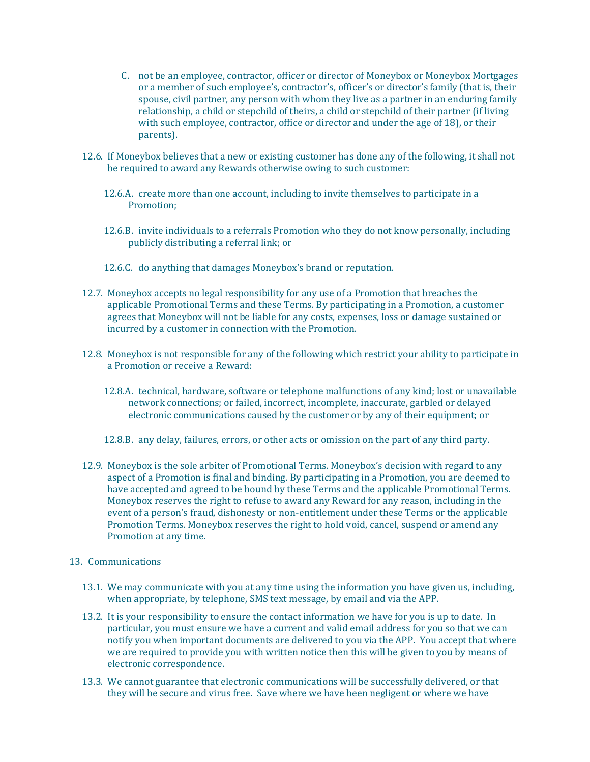- C. not be an employee, contractor, officer or director of Moneybox or Moneybox Mortgages or a member of such employee's, contractor's, officer's or director's family (that is, their spouse, civil partner, any person with whom they live as a partner in an enduring family relationship, a child or stepchild of theirs, a child or stepchild of their partner (if living with such employee, contractor, office or director and under the age of 18), or their parents).
- 12.6. If Moneybox believes that a new or existing customer has done any of the following, it shall not be required to award any Rewards otherwise owing to such customer:
	- 12.6.A. create more than one account, including to invite themselves to participate in a Promotion;
	- 12.6.B. invite individuals to a referrals Promotion who they do not know personally, including publicly distributing a referral link; or
	- 12.6.C. do anything that damages Moneybox's brand or reputation.
- 12.7. Moneybox accepts no legal responsibility for any use of a Promotion that breaches the applicable Promotional Terms and these Terms. By participating in a Promotion, a customer agrees that Moneybox will not be liable for any costs, expenses, loss or damage sustained or incurred by a customer in connection with the Promotion.
- 12.8. Moneybox is not responsible for any of the following which restrict your ability to participate in a Promotion or receive a Reward:
	- 12.8.A. technical, hardware, software or telephone malfunctions of any kind; lost or unavailable network connections; or failed, incorrect, incomplete, inaccurate, garbled or delayed electronic communications caused by the customer or by any of their equipment; or
	- 12.8.B. any delay, failures, errors, or other acts or omission on the part of any third party.
- 12.9. Moneybox is the sole arbiter of Promotional Terms. Moneybox's decision with regard to any aspect of a Promotion is final and binding. By participating in a Promotion, you are deemed to have accepted and agreed to be bound by these Terms and the applicable Promotional Terms. Moneybox reserves the right to refuse to award any Reward for any reason, including in the event of a person's fraud, dishonesty or non-entitlement under these Terms or the applicable Promotion Terms. Moneybox reserves the right to hold void, cancel, suspend or amend any Promotion at any time.
- 13. Communications
	- 13.1. We may communicate with you at any time using the information you have given us, including, when appropriate, by telephone, SMS text message, by email and via the APP.
	- 13.2. It is your responsibility to ensure the contact information we have for you is up to date. In particular, you must ensure we have a current and valid email address for you so that we can notify you when important documents are delivered to you via the APP. You accept that where we are required to provide you with written notice then this will be given to you by means of electronic correspondence.
	- 13.3. We cannot guarantee that electronic communications will be successfully delivered, or that they will be secure and virus free. Save where we have been negligent or where we have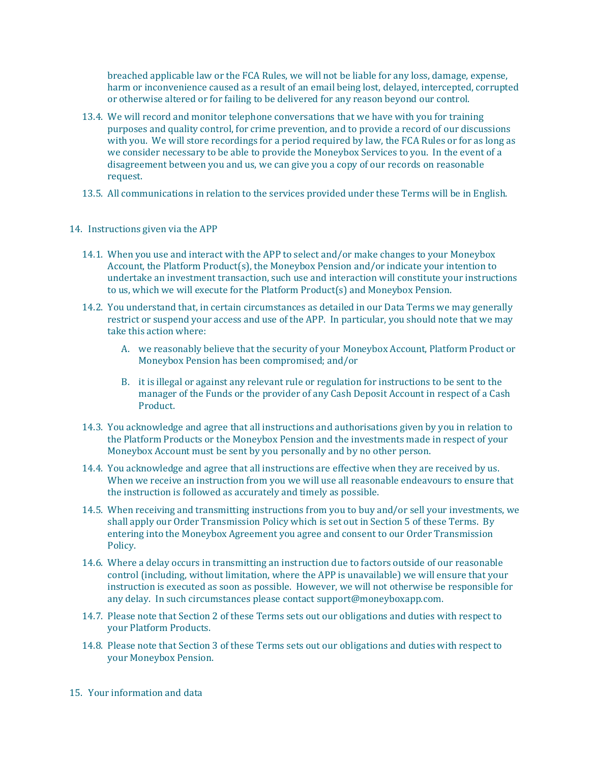breached applicable law or the FCA Rules, we will not be liable for any loss, damage, expense, harm or inconvenience caused as a result of an email being lost, delayed, intercepted, corrupted or otherwise altered or for failing to be delivered for any reason beyond our control.

- 13.4. We will record and monitor telephone conversations that we have with you for training purposes and quality control, for crime prevention, and to provide a record of our discussions with you. We will store recordings for a period required by law, the FCA Rules or for as long as we consider necessary to be able to provide the Moneybox Services to you. In the event of a disagreement between you and us, we can give you a copy of our records on reasonable request.
- 13.5. All communications in relation to the services provided under these Terms will be in English.
- 14. Instructions given via the APP
	- 14.1. When you use and interact with the APP to select and/or make changes to your Moneybox Account, the Platform Product(s), the Moneybox Pension and/or indicate your intention to undertake an investment transaction, such use and interaction will constitute your instructions to us, which we will execute for the Platform Product(s) and Moneybox Pension.
	- 14.2. You understand that, in certain circumstances as detailed in our Data Terms we may generally restrict or suspend your access and use of the APP. In particular, you should note that we may take this action where:
		- A. we reasonably believe that the security of your Moneybox Account, Platform Product or Moneybox Pension has been compromised; and/or
		- B. it is illegal or against any relevant rule or regulation for instructions to be sent to the manager of the Funds or the provider of any Cash Deposit Account in respect of a Cash Product.
	- 14.3. You acknowledge and agree that all instructions and authorisations given by you in relation to the Platform Products or the Moneybox Pension and the investments made in respect of your Moneybox Account must be sent by you personally and by no other person.
	- 14.4. You acknowledge and agree that all instructions are effective when they are received by us. When we receive an instruction from you we will use all reasonable endeavours to ensure that the instruction is followed as accurately and timely as possible.
	- 14.5. When receiving and transmitting instructions from you to buy and/or sell your investments, we shall apply our Order Transmission Policy which is set out in Section 5 of these Terms. By entering into the Moneybox Agreement you agree and consent to our Order Transmission Policy.
	- 14.6. Where a delay occurs in transmitting an instruction due to factors outside of our reasonable control (including, without limitation, where the APP is unavailable) we will ensure that your instruction is executed as soon as possible. However, we will not otherwise be responsible for any delay. In such circumstances please contac[t support@moneyboxapp.com.](mailto:support@monyeboxapp.com)
	- 14.7. Please note that Section 2 of these Terms sets out our obligations and duties with respect to your Platform Products.
	- 14.8. Please note that Section 3 of these Terms sets out our obligations and duties with respect to your Moneybox Pension.
- 15. Your information and data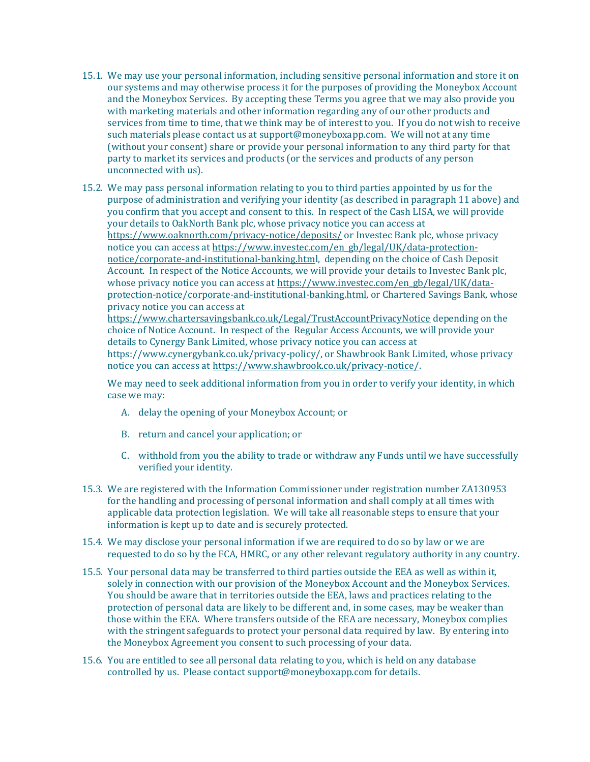- 15.1. We may use your personal information, including sensitive personal information and store it on our systems and may otherwise process it for the purposes of providing the Moneybox Account and the Moneybox Services. By accepting these Terms you agree that we may also provide you with marketing materials and other information regarding any of our other products and services from time to time, that we think may be of interest to you. If you do not wish to receive such materials please contact us at [support@moneyboxapp.com.](mailto:support@monyeboxapp.com) We will not at any time (without your consent) share or provide your personal information to any third party for that party to market its services and products (or the services and products of any person unconnected with us).
- 15.2. We may pass personal information relating to you to third parties appointed by us for the purpose of administration and verifying your identity (as described in paragraph 11 above) and you confirm that you accept and consent to this. In respect of the Cash LISA, we will provide your details to OakNorth Bank plc, whose privacy notice you can access at <https://www.oaknorth.com/privacy-notice/deposits/> or Investec Bank plc, whose privacy notice you can access a[t https://www.investec.com/en\\_gb/legal/UK/data-protection](https://www.investec.com/en_gb/legal/UK/data-protection-notice/corporate-and-institutional-banking.html)[notice/corporate-and-institutional-banking.html,](https://www.investec.com/en_gb/legal/UK/data-protection-notice/corporate-and-institutional-banking.html) depending on the choice of Cash Deposit Account. In respect of the Notice Accounts, we will provide your details to Investec Bank plc, whose privacy notice you can access a[t https://www.investec.com/en\\_gb/legal/UK/data](https://www.investec.com/en_gb/legal/UK/data-protection-notice/corporate-and-institutional-banking.html)[protection-notice/corporate-and-institutional-banking.html,](https://www.investec.com/en_gb/legal/UK/data-protection-notice/corporate-and-institutional-banking.html) or Chartered Savings Bank, whose privacy notice you can access at <https://www.chartersavingsbank.co.uk/Legal/TrustAccountPrivacyNotice> depending on the

choice of Notice Account. In respect of the Regular Access Accounts, we will provide your details to Cynergy Bank Limited, whose privacy notice you can access at https://www.cynergybank.co.uk/privacy-policy/, or Shawbrook Bank Limited, whose privacy notice you can access at [https://www.shawbrook.co.uk/privacy-notice/.](https://www.shawbrook.co.uk/privacy-notice/)

We may need to seek additional information from you in order to verify your identity, in which case we may:

- A. delay the opening of your Moneybox Account; or
- B. return and cancel your application; or
- C. withhold from you the ability to trade or withdraw any Funds until we have successfully verified your identity.
- 15.3. We are registered with the Information Commissioner under registration number ZA130953 for the handling and processing of personal information and shall comply at all times with applicable data protection legislation. We will take all reasonable steps to ensure that your information is kept up to date and is securely protected.
- 15.4. We may disclose your personal information if we are required to do so by law or we are requested to do so by the FCA, HMRC, or any other relevant regulatory authority in any country.
- 15.5. Your personal data may be transferred to third parties outside the EEA as well as within it, solely in connection with our provision of the Moneybox Account and the Moneybox Services. You should be aware that in territories outside the EEA, laws and practices relating to the protection of personal data are likely to be different and, in some cases, may be weaker than those within the EEA. Where transfers outside of the EEA are necessary, Moneybox complies with the stringent safeguards to protect your personal data required by law. By entering into the Moneybox Agreement you consent to such processing of your data.
- 15.6. You are entitled to see all personal data relating to you, which is held on any database controlled by us. Please contact [support@moneyboxapp.com](mailto:support@monyeboxapp.com) for details.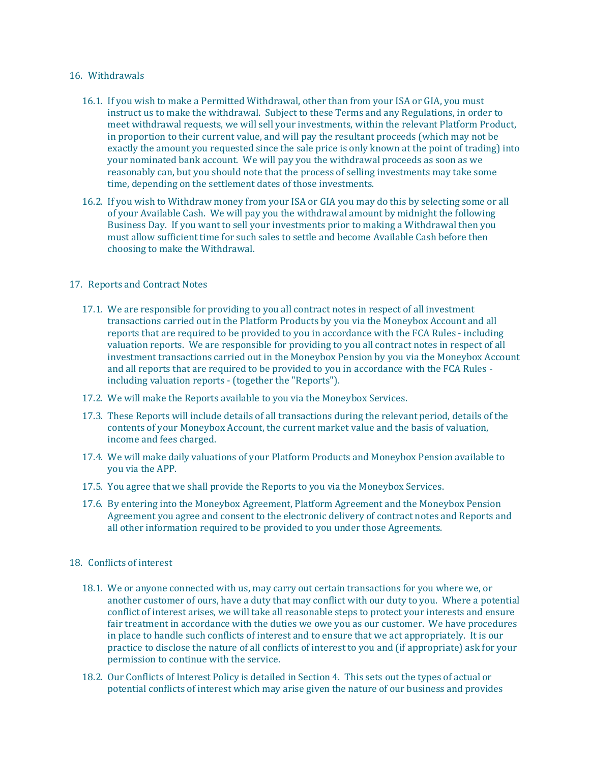### 16. Withdrawals

- 16.1. If you wish to make a Permitted Withdrawal, other than from your ISA or GIA, you must instruct us to make the withdrawal. Subject to these Terms and any Regulations, in order to meet withdrawal requests, we will sell your investments, within the relevant Platform Product, in proportion to their current value, and will pay the resultant proceeds (which may not be exactly the amount you requested since the sale price is only known at the point of trading) into your nominated bank account. We will pay you the withdrawal proceeds as soon as we reasonably can, but you should note that the process of selling investments may take some time, depending on the settlement dates of those investments.
- 16.2. If you wish to Withdraw money from your ISA or GIA you may do this by selecting some or all of your Available Cash. We will pay you the withdrawal amount by midnight the following Business Day. If you want to sell your investments prior to making a Withdrawal then you must allow sufficient time for such sales to settle and become Available Cash before then choosing to make the Withdrawal.

# 17. Reports and Contract Notes

- 17.1. We are responsible for providing to you all contract notes in respect of all investment transactions carried out in the Platform Products by you via the Moneybox Account and all reports that are required to be provided to you in accordance with the FCA Rules - including valuation reports. We are responsible for providing to you all contract notes in respect of all investment transactions carried out in the Moneybox Pension by you via the Moneybox Account and all reports that are required to be provided to you in accordance with the FCA Rules including valuation reports - (together the "Reports").
- 17.2. We will make the Reports available to you via the Moneybox Services.
- 17.3. These Reports will include details of all transactions during the relevant period, details of the contents of your Moneybox Account, the current market value and the basis of valuation, income and fees charged.
- 17.4. We will make daily valuations of your Platform Products and Moneybox Pension available to you via the APP.
- 17.5. You agree that we shall provide the Reports to you via the Moneybox Services.
- 17.6. By entering into the Moneybox Agreement, Platform Agreement and the Moneybox Pension Agreement you agree and consent to the electronic delivery of contract notes and Reports and all other information required to be provided to you under those Agreements.

# 18. Conflicts of interest

- 18.1. We or anyone connected with us, may carry out certain transactions for you where we, or another customer of ours, have a duty that may conflict with our duty to you. Where a potential conflict of interest arises, we will take all reasonable steps to protect your interests and ensure fair treatment in accordance with the duties we owe you as our customer. We have procedures in place to handle such conflicts of interest and to ensure that we act appropriately. It is our practice to disclose the nature of all conflicts of interest to you and (if appropriate) ask for your permission to continue with the service.
- 18.2. Our Conflicts of Interest Policy is detailed in Section 4. This sets out the types of actual or potential conflicts of interest which may arise given the nature of our business and provides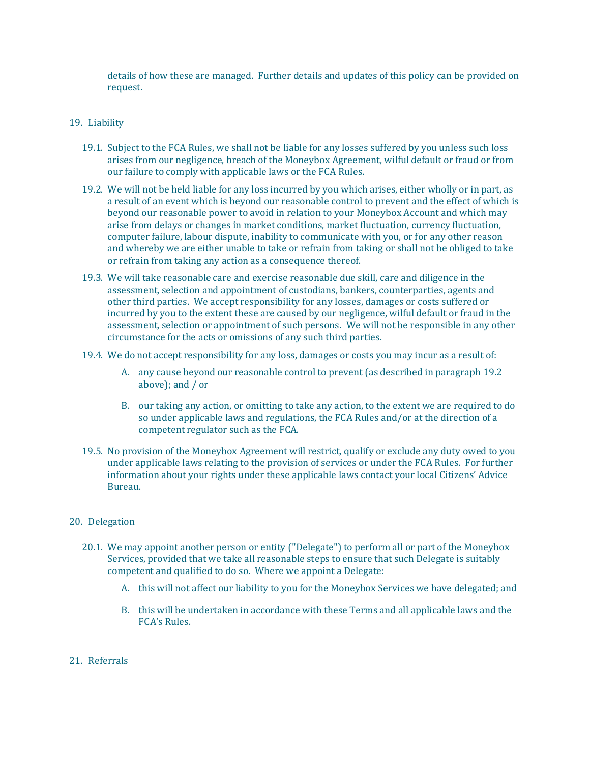details of how these are managed. Further details and updates of this policy can be provided on request.

#### 19. Liability

- 19.1. Subject to the FCA Rules, we shall not be liable for any losses suffered by you unless such loss arises from our negligence, breach of the Moneybox Agreement, wilful default or fraud or from our failure to comply with applicable laws or the FCA Rules.
- 19.2. We will not be held liable for any loss incurred by you which arises, either wholly or in part, as a result of an event which is beyond our reasonable control to prevent and the effect of which is beyond our reasonable power to avoid in relation to your Moneybox Account and which may arise from delays or changes in market conditions, market fluctuation, currency fluctuation, computer failure, labour dispute, inability to communicate with you, or for any other reason and whereby we are either unable to take or refrain from taking or shall not be obliged to take or refrain from taking any action as a consequence thereof.
- 19.3. We will take reasonable care and exercise reasonable due skill, care and diligence in the assessment, selection and appointment of custodians, bankers, counterparties, agents and other third parties. We accept responsibility for any losses, damages or costs suffered or incurred by you to the extent these are caused by our negligence, wilful default or fraud in the assessment, selection or appointment of such persons. We will not be responsible in any other circumstance for the acts or omissions of any such third parties.
- 19.4. We do not accept responsibility for any loss, damages or costs you may incur as a result of:
	- A. any cause beyond our reasonable control to prevent (as described in paragraph 19.2 above); and / or
	- B. our taking any action, or omitting to take any action, to the extent we are required to do so under applicable laws and regulations, the FCA Rules and/or at the direction of a competent regulator such as the FCA.
- 19.5. No provision of the Moneybox Agreement will restrict, qualify or exclude any duty owed to you under applicable laws relating to the provision of services or under the FCA Rules. For further information about your rights under these applicable laws contact your local Citizens' Advice Bureau.

#### 20. Delegation

- 20.1. We may appoint another person or entity ("Delegate") to perform all or part of the Moneybox Services, provided that we take all reasonable steps to ensure that such Delegate is suitably competent and qualified to do so. Where we appoint a Delegate:
	- A. this will not affect our liability to you for the Moneybox Services we have delegated; and
	- B. this will be undertaken in accordance with these Terms and all applicable laws and the FCA's Rules.
- 21. Referrals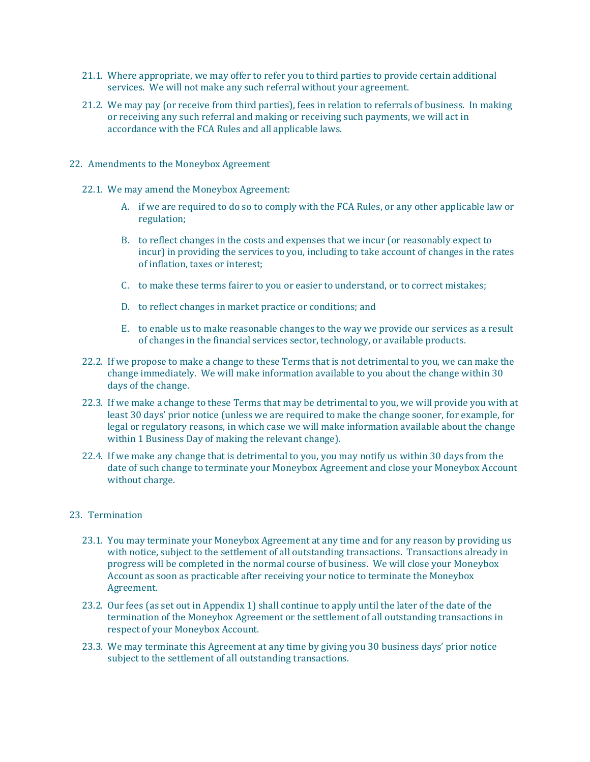- 21.1. Where appropriate, we may offer to refer you to third parties to provide certain additional services. We will not make any such referral without your agreement.
- 21.2. We may pay (or receive from third parties), fees in relation to referrals of business. In making or receiving any such referral and making or receiving such payments, we will act in accordance with the FCA Rules and all applicable laws.
- 22. Amendments to the Moneybox Agreement
	- 22.1. We may amend the Moneybox Agreement:
		- A. if we are required to do so to comply with the FCA Rules, or any other applicable law or regulation;
		- B. to reflect changes in the costs and expenses that we incur (or reasonably expect to incur) in providing the services to you, including to take account of changes in the rates of inflation, taxes or interest;
		- C. to make these terms fairer to you or easier to understand, or to correct mistakes;
		- D. to reflect changes in market practice or conditions; and
		- E. to enable us to make reasonable changes to the way we provide our services as a result of changes in the financial services sector, technology, or available products.
	- 22.2. If we propose to make a change to these Terms that is not detrimental to you, we can make the change immediately. We will make information available to you about the change within 30 days of the change.
	- 22.3. If we make a change to these Terms that may be detrimental to you, we will provide you with at least 30 days' prior notice (unless we are required to make the change sooner, for example, for legal or regulatory reasons, in which case we will make information available about the change within 1 Business Day of making the relevant change).
	- 22.4. If we make any change that is detrimental to you, you may notify us within 30 days from the date of such change to terminate your Moneybox Agreement and close your Moneybox Account without charge.

#### 23. Termination

- 23.1. You may terminate your Moneybox Agreement at any time and for any reason by providing us with notice, subject to the settlement of all outstanding transactions. Transactions already in progress will be completed in the normal course of business. We will close your Moneybox Account as soon as practicable after receiving your notice to terminate the Moneybox Agreement.
- 23.2. Our fees (as set out in Appendix 1) shall continue to apply until the later of the date of the termination of the Moneybox Agreement or the settlement of all outstanding transactions in respect of your Moneybox Account.
- 23.3. We may terminate this Agreement at any time by giving you 30 business days' prior notice subject to the settlement of all outstanding transactions.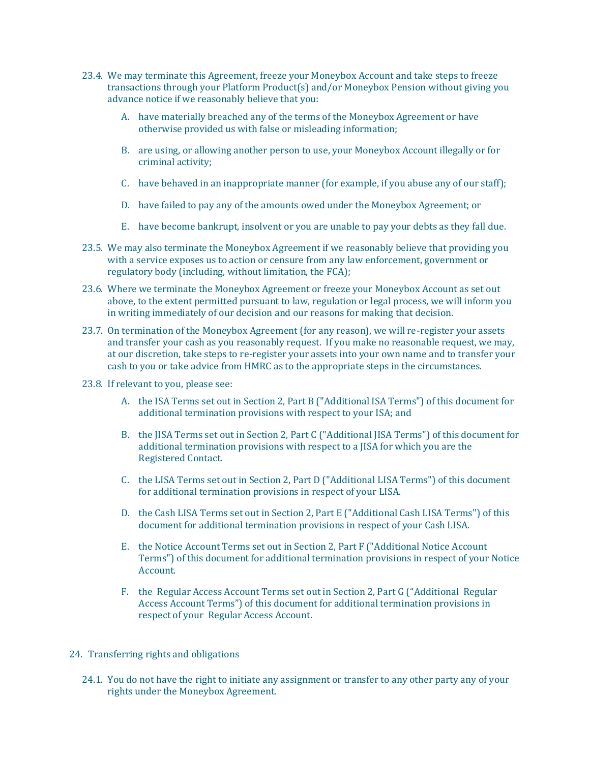- 23.4. We may terminate this Agreement, freeze your Moneybox Account and take steps to freeze transactions through your Platform Product(s) and/or Moneybox Pension without giving you advance notice if we reasonably believe that you:
	- A. have materially breached any of the terms of the Moneybox Agreement or have otherwise provided us with false or misleading information;
	- B. are using, or allowing another person to use, your Moneybox Account illegally or for criminal activity;
	- C. have behaved in an inappropriate manner (for example, if you abuse any of our staff);
	- D. have failed to pay any of the amounts owed under the Moneybox Agreement; or
	- E. have become bankrupt, insolvent or you are unable to pay your debts as they fall due.
- 23.5. We may also terminate the Moneybox Agreement if we reasonably believe that providing you with a service exposes us to action or censure from any law enforcement, government or regulatory body (including, without limitation, the FCA);
- 23.6. Where we terminate the Moneybox Agreement or freeze your Moneybox Account as set out above, to the extent permitted pursuant to law, regulation or legal process, we will inform you in writing immediately of our decision and our reasons for making that decision.
- 23.7. On termination of the Moneybox Agreement (for any reason), we will re-register your assets and transfer your cash as you reasonably request. If you make no reasonable request, we may, at our discretion, take steps to re-register your assets into your own name and to transfer your cash to you or take advice from HMRC as to the appropriate steps in the circumstances.
- 23.8. If relevant to you, please see:
	- A. the ISA Terms set out in Section 2, Part B ("Additional ISA Terms") of this document for additional termination provisions with respect to your ISA; and
	- B. the JISA Terms set out in Section 2, Part C ("Additional JISA Terms") of this document for additional termination provisions with respect to a JISA for which you are the Registered Contact.
	- C. the LISA Terms set out in Section 2, Part D ("Additional LISA Terms") of this document for additional termination provisions in respect of your LISA.
	- D. the Cash LISA Terms set out in Section 2, Part E ("Additional Cash LISA Terms") of this document for additional termination provisions in respect of your Cash LISA.
	- E. the Notice Account Terms set out in Section 2, Part F ("Additional Notice Account Terms") of this document for additional termination provisions in respect of your Notice Account.
	- F. the Regular Access Account Terms set out in Section 2, Part G ("Additional Regular Access Account Terms") of this document for additional termination provisions in respect of your Regular Access Account.
- 24. Transferring rights and obligations
	- 24.1. You do not have the right to initiate any assignment or transfer to any other party any of your rights under the Moneybox Agreement.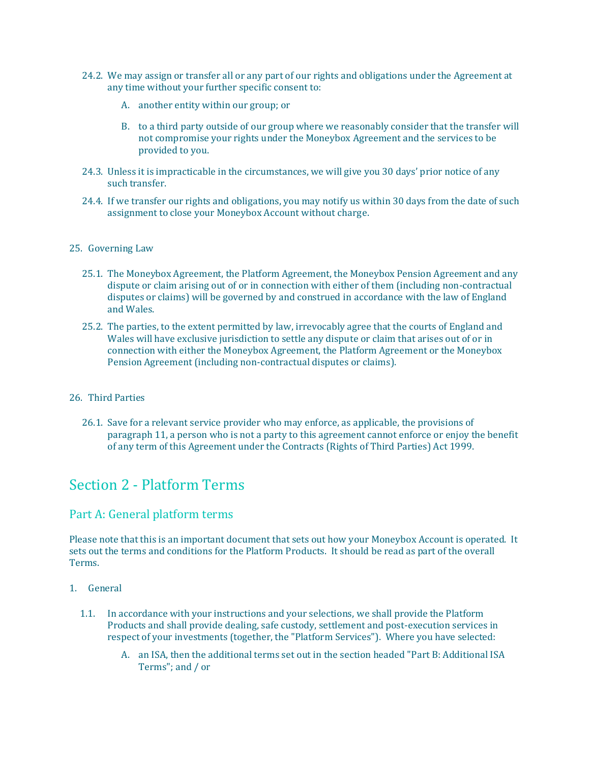- 24.2. We may assign or transfer all or any part of our rights and obligations under the Agreement at any time without your further specific consent to:
	- A. another entity within our group; or
	- B. to a third party outside of our group where we reasonably consider that the transfer will not compromise your rights under the Moneybox Agreement and the services to be provided to you.
- 24.3. Unless it is impracticable in the circumstances, we will give you 30 days' prior notice of any such transfer.
- 24.4. If we transfer our rights and obligations, you may notify us within 30 days from the date of such assignment to close your Moneybox Account without charge.

#### 25. Governing Law

- 25.1. The Moneybox Agreement, the Platform Agreement, the Moneybox Pension Agreement and any dispute or claim arising out of or in connection with either of them (including non-contractual disputes or claims) will be governed by and construed in accordance with the law of England and Wales.
- 25.2. The parties, to the extent permitted by law, irrevocably agree that the courts of England and Wales will have exclusive jurisdiction to settle any dispute or claim that arises out of or in connection with either the Moneybox Agreement, the Platform Agreement or the Moneybox Pension Agreement (including non-contractual disputes or claims).

# 26. Third Parties

26.1. Save for a relevant service provider who may enforce, as applicable, the provisions of paragraph 11, a person who is not a party to this agreement cannot enforce or enjoy the benefit of any term of this Agreement under the Contracts (Rights of Third Parties) Act 1999.

# <span id="page-19-0"></span>Section 2 - Platform Terms

# <span id="page-19-1"></span>Part A: General platform terms

Please note that this is an important document that sets out how your Moneybox Account is operated. It sets out the terms and conditions for the Platform Products. It should be read as part of the overall Terms.

#### 1. General

- 1.1. In accordance with your instructions and your selections, we shall provide the Platform Products and shall provide dealing, safe custody, settlement and post-execution services in respect of your investments (together, the "Platform Services"). Where you have selected:
	- A. an ISA, then the additional terms set out in the section headed "Part B: Additional ISA Terms"; and / or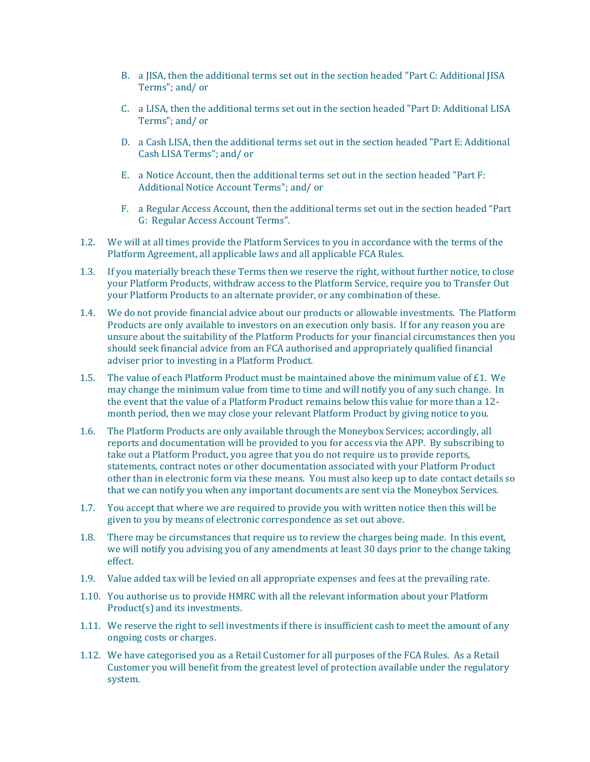- B. a JISA, then the additional terms set out in the section headed "Part C: Additional JISA Terms"; and/ or
- C. a LISA, then the additional terms set out in the section headed "Part D: Additional LISA Terms"; and/ or
- D. a Cash LISA, then the additional terms set out in the section headed "Part E: Additional Cash LISA Terms"; and/ or
- E. a Notice Account, then the additional terms set out in the section headed "Part F: Additional Notice Account Terms"; and/ or
- F. a Regular Access Account, then the additional terms set out in the section headed "Part G: Regular Access Account Terms".
- 1.2. We will at all times provide the Platform Services to you in accordance with the terms of the Platform Agreement, all applicable laws and all applicable FCA Rules.
- 1.3. If you materially breach these Terms then we reserve the right, without further notice, to close your Platform Products, withdraw access to the Platform Service, require you to Transfer Out your Platform Products to an alternate provider, or any combination of these.
- 1.4. We do not provide financial advice about our products or allowable investments. The Platform Products are only available to investors on an execution only basis. If for any reason you are unsure about the suitability of the Platform Products for your financial circumstances then you should seek financial advice from an FCA authorised and appropriately qualified financial adviser prior to investing in a Platform Product.
- 1.5. The value of each Platform Product must be maintained above the minimum value of £1. We may change the minimum value from time to time and will notify you of any such change. In the event that the value of a Platform Product remains below this value for more than a 12 month period, then we may close your relevant Platform Product by giving notice to you.
- 1.6. The Platform Products are only available through the Moneybox Services; accordingly, all reports and documentation will be provided to you for access via the APP. By subscribing to take out a Platform Product, you agree that you do not require us to provide reports, statements, contract notes or other documentation associated with your Platform Product other than in electronic form via these means. You must also keep up to date contact details so that we can notify you when any important documents are sent via the Moneybox Services.
- 1.7. You accept that where we are required to provide you with written notice then this will be given to you by means of electronic correspondence as set out above.
- 1.8. There may be circumstances that require us to review the charges being made. In this event, we will notify you advising you of any amendments at least 30 days prior to the change taking effect.
- 1.9. Value added tax will be levied on all appropriate expenses and fees at the prevailing rate.
- 1.10. You authorise us to provide HMRC with all the relevant information about your Platform Product(s) and its investments.
- 1.11. We reserve the right to sell investments if there is insufficient cash to meet the amount of any ongoing costs or charges.
- 1.12. We have categorised you as a Retail Customer for all purposes of the FCA Rules. As a Retail Customer you will benefit from the greatest level of protection available under the regulatory system.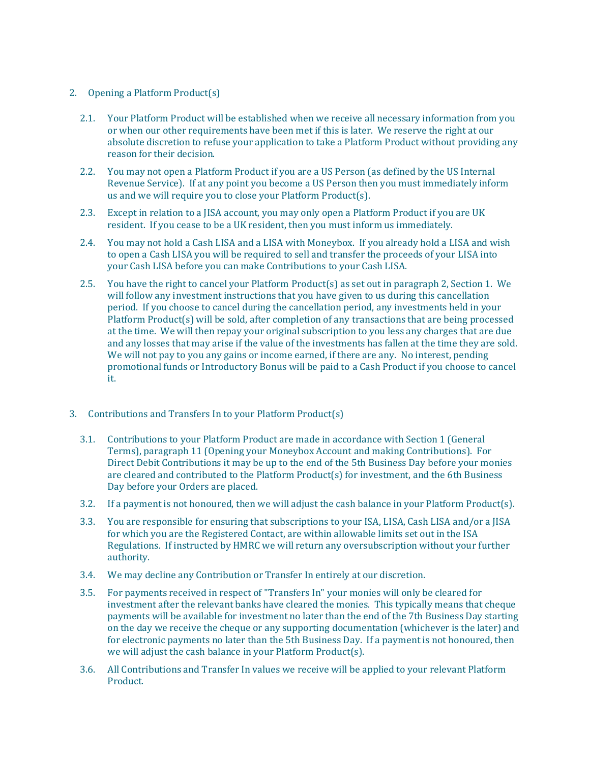## 2. Opening a Platform Product(s)

- 2.1. Your Platform Product will be established when we receive all necessary information from you or when our other requirements have been met if this is later. We reserve the right at our absolute discretion to refuse your application to take a Platform Product without providing any reason for their decision.
- 2.2. You may not open a Platform Product if you are a US Person (as defined by the US Internal Revenue Service). If at any point you become a US Person then you must immediately inform us and we will require you to close your Platform Product(s).
- 2.3. Except in relation to a JISA account, you may only open a Platform Product if you are UK resident. If you cease to be a UK resident, then you must inform us immediately.
- 2.4. You may not hold a Cash LISA and a LISA with Moneybox. If you already hold a LISA and wish to open a Cash LISA you will be required to sell and transfer the proceeds of your LISA into your Cash LISA before you can make Contributions to your Cash LISA.
- 2.5. You have the right to cancel your Platform Product(s) as set out in paragraph 2, Section 1. We will follow any investment instructions that you have given to us during this cancellation period. If you choose to cancel during the cancellation period, any investments held in your Platform Product(s) will be sold, after completion of any transactions that are being processed at the time. We will then repay your original subscription to you less any charges that are due and any losses that may arise if the value of the investments has fallen at the time they are sold. We will not pay to you any gains or income earned, if there are any. No interest, pending promotional funds or Introductory Bonus will be paid to a Cash Product if you choose to cancel it.
- 3. Contributions and Transfers In to your Platform Product(s)
	- 3.1. Contributions to your Platform Product are made in accordance with Section 1 (General Terms), paragraph 11 (Opening your Moneybox Account and making Contributions). For Direct Debit Contributions it may be up to the end of the 5th Business Day before your monies are cleared and contributed to the Platform Product(s) for investment, and the 6th Business Day before your Orders are placed.
	- 3.2. If a payment is not honoured, then we will adjust the cash balance in your Platform Product( $s$ ).
	- 3.3. You are responsible for ensuring that subscriptions to your ISA, LISA, Cash LISA and/or a JISA for which you are the Registered Contact, are within allowable limits set out in the ISA Regulations. If instructed by HMRC we will return any oversubscription without your further authority.
	- 3.4. We may decline any Contribution or Transfer In entirely at our discretion.
	- 3.5. For payments received in respect of "Transfers In" your monies will only be cleared for investment after the relevant banks have cleared the monies. This typically means that cheque payments will be available for investment no later than the end of the 7th Business Day starting on the day we receive the cheque or any supporting documentation (whichever is the later) and for electronic payments no later than the 5th Business Day. If a payment is not honoured, then we will adjust the cash balance in your Platform Product(s).
	- 3.6. All Contributions and Transfer In values we receive will be applied to your relevant Platform Product.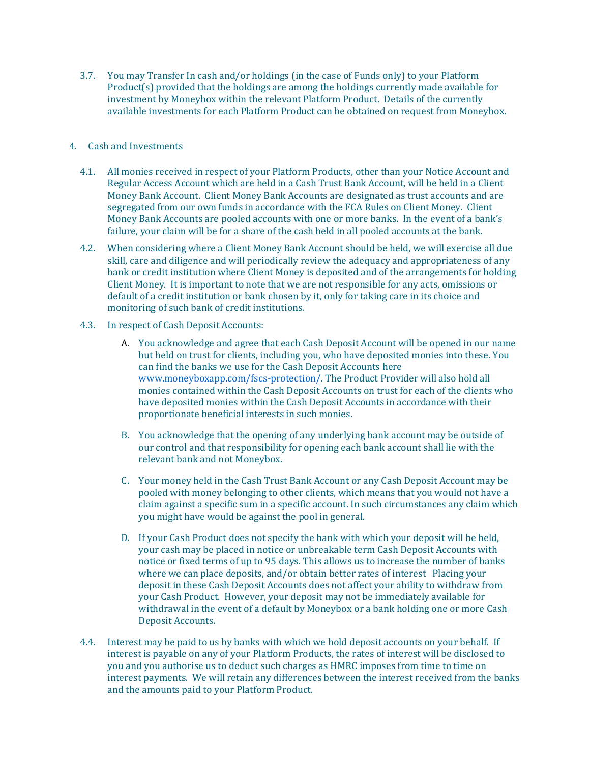3.7. You may Transfer In cash and/or holdings (in the case of Funds only) to your Platform Product(s) provided that the holdings are among the holdings currently made available for investment by Moneybox within the relevant Platform Product. Details of the currently available investments for each Platform Product can be obtained on request from Moneybox.

# 4. Cash and Investments

- 4.1. All monies received in respect of your Platform Products, other than your Notice Account and Regular Access Account which are held in a Cash Trust Bank Account, will be held in a Client Money Bank Account. Client Money Bank Accounts are designated as trust accounts and are segregated from our own funds in accordance with the FCA Rules on Client Money. Client Money Bank Accounts are pooled accounts with one or more banks. In the event of a bank's failure, your claim will be for a share of the cash held in all pooled accounts at the bank.
- 4.2. When considering where a Client Money Bank Account should be held, we will exercise all due skill, care and diligence and will periodically review the adequacy and appropriateness of any bank or credit institution where Client Money is deposited and of the arrangements for holding Client Money. It is important to note that we are not responsible for any acts, omissions or default of a credit institution or bank chosen by it, only for taking care in its choice and monitoring of such bank of credit institutions.
- 4.3. In respect of Cash Deposit Accounts:
	- A. You acknowledge and agree that each Cash Deposit Account will be opened in our name but held on trust for clients, including you, who have deposited monies into these. You can find the banks we use for the Cash Deposit Accounts here [www.moneyboxapp.com/fscs-protection/.](http://www.moneyboxapp.com/fscs-protection/) The Product Provider will also hold all monies contained within the Cash Deposit Accounts on trust for each of the clients who have deposited monies within the Cash Deposit Accounts in accordance with their proportionate beneficial interests in such monies.
	- B. You acknowledge that the opening of any underlying bank account may be outside of our control and that responsibility for opening each bank account shall lie with the relevant bank and not Moneybox.
	- C. Your money held in the Cash Trust Bank Account or any Cash Deposit Account may be pooled with money belonging to other clients, which means that you would not have a claim against a specific sum in a specific account. In such circumstances any claim which you might have would be against the pool in general.
	- D. If your Cash Product does not specify the bank with which your deposit will be held, your cash may be placed in notice or unbreakable term Cash Deposit Accounts with notice or fixed terms of up to 95 days. This allows us to increase the number of banks where we can place deposits, and/or obtain better rates of interest Placing your deposit in these Cash Deposit Accounts does not affect your ability to withdraw from your Cash Product. However, your deposit may not be immediately available for withdrawal in the event of a default by Moneybox or a bank holding one or more Cash Deposit Accounts.
- 4.4. Interest may be paid to us by banks with which we hold deposit accounts on your behalf. If interest is payable on any of your Platform Products, the rates of interest will be disclosed to you and you authorise us to deduct such charges as HMRC imposes from time to time on interest payments. We will retain any differences between the interest received from the banks and the amounts paid to your Platform Product.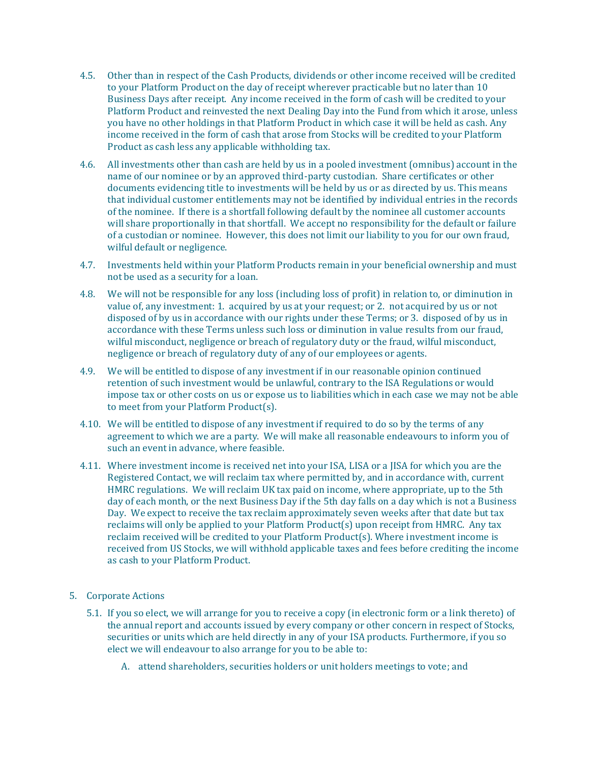- 4.5. Other than in respect of the Cash Products, dividends or other income received will be credited to your Platform Product on the day of receipt wherever practicable but no later than 10 Business Days after receipt. Any income received in the form of cash will be credited to your Platform Product and reinvested the next Dealing Day into the Fund from which it arose, unless you have no other holdings in that Platform Product in which case it will be held as cash. Any income received in the form of cash that arose from Stocks will be credited to your Platform Product as cash less any applicable withholding tax.
- 4.6. All investments other than cash are held by us in a pooled investment (omnibus) account in the name of our nominee or by an approved third-party custodian. Share certificates or other documents evidencing title to investments will be held by us or as directed by us. This means that individual customer entitlements may not be identified by individual entries in the records of the nominee. If there is a shortfall following default by the nominee all customer accounts will share proportionally in that shortfall. We accept no responsibility for the default or failure of a custodian or nominee. However, this does not limit our liability to you for our own fraud, wilful default or negligence.
- 4.7. Investments held within your Platform Products remain in your beneficial ownership and must not be used as a security for a loan.
- 4.8. We will not be responsible for any loss (including loss of profit) in relation to, or diminution in value of, any investment: 1. acquired by us at your request; or 2. not acquired by us or not disposed of by us in accordance with our rights under these Terms; or 3. disposed of by us in accordance with these Terms unless such loss or diminution in value results from our fraud, wilful misconduct, negligence or breach of regulatory duty or the fraud, wilful misconduct, negligence or breach of regulatory duty of any of our employees or agents.
- 4.9. We will be entitled to dispose of any investment if in our reasonable opinion continued retention of such investment would be unlawful, contrary to the ISA Regulations or would impose tax or other costs on us or expose us to liabilities which in each case we may not be able to meet from your Platform Product(s).
- 4.10. We will be entitled to dispose of any investment if required to do so by the terms of any agreement to which we are a party. We will make all reasonable endeavours to inform you of such an event in advance, where feasible.
- 4.11. Where investment income is received net into your ISA, LISA or a JISA for which you are the Registered Contact, we will reclaim tax where permitted by, and in accordance with, current HMRC regulations. We will reclaim UK tax paid on income, where appropriate, up to the 5th day of each month, or the next Business Day if the 5th day falls on a day which is not a Business Day. We expect to receive the tax reclaim approximately seven weeks after that date but tax reclaims will only be applied to your Platform Product(s) upon receipt from HMRC. Any tax reclaim received will be credited to your Platform Product(s). Where investment income is received from US Stocks, we will withhold applicable taxes and fees before crediting the income as cash to your Platform Product.
- 5. Corporate Actions
	- 5.1. If you so elect, we will arrange for you to receive a copy (in electronic form or a link thereto) of the annual report and accounts issued by every company or other concern in respect of Stocks, securities or units which are held directly in any of your ISA products. Furthermore, if you so elect we will endeavour to also arrange for you to be able to:
		- A. attend shareholders, securities holders or unit holders meetings to vote; and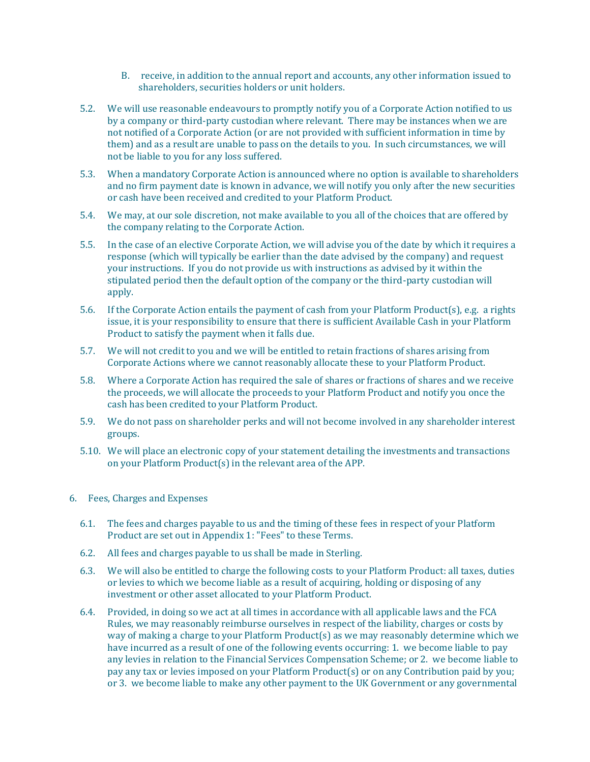- B. receive, in addition to the annual report and accounts, any other information issued to shareholders, securities holders or unit holders.
- 5.2. We will use reasonable endeavours to promptly notify you of a Corporate Action notified to us by a company or third-party custodian where relevant. There may be instances when we are not notified of a Corporate Action (or are not provided with sufficient information in time by them) and as a result are unable to pass on the details to you. In such circumstances, we will not be liable to you for any loss suffered.
- 5.3. When a mandatory Corporate Action is announced where no option is available to shareholders and no firm payment date is known in advance, we will notify you only after the new securities or cash have been received and credited to your Platform Product.
- 5.4. We may, at our sole discretion, not make available to you all of the choices that are offered by the company relating to the Corporate Action.
- 5.5. In the case of an elective Corporate Action, we will advise you of the date by which it requires a response (which will typically be earlier than the date advised by the company) and request your instructions. If you do not provide us with instructions as advised by it within the stipulated period then the default option of the company or the third-party custodian will apply.
- 5.6. If the Corporate Action entails the payment of cash from your Platform Product(s), e.g. a rights issue, it is your responsibility to ensure that there is sufficient Available Cash in your Platform Product to satisfy the payment when it falls due.
- 5.7. We will not credit to you and we will be entitled to retain fractions of shares arising from Corporate Actions where we cannot reasonably allocate these to your Platform Product.
- 5.8. Where a Corporate Action has required the sale of shares or fractions of shares and we receive the proceeds, we will allocate the proceeds to your Platform Product and notify you once the cash has been credited to your Platform Product.
- 5.9. We do not pass on shareholder perks and will not become involved in any shareholder interest groups.
- 5.10. We will place an electronic copy of your statement detailing the investments and transactions on your Platform Product(s) in the relevant area of the APP.
- 6. Fees, Charges and Expenses
	- 6.1. The fees and charges payable to us and the timing of these fees in respect of your Platform Product are set out in Appendix 1: "Fees" to these Terms.
	- 6.2. All fees and charges payable to us shall be made in Sterling.
	- 6.3. We will also be entitled to charge the following costs to your Platform Product: all taxes, duties or levies to which we become liable as a result of acquiring, holding or disposing of any investment or other asset allocated to your Platform Product.
	- 6.4. Provided, in doing so we act at all times in accordance with all applicable laws and the FCA Rules, we may reasonably reimburse ourselves in respect of the liability, charges or costs by way of making a charge to your Platform Product(s) as we may reasonably determine which we have incurred as a result of one of the following events occurring: 1. we become liable to pay any levies in relation to the Financial Services Compensation Scheme; or 2. we become liable to pay any tax or levies imposed on your Platform Product(s) or on any Contribution paid by you; or 3. we become liable to make any other payment to the UK Government or any governmental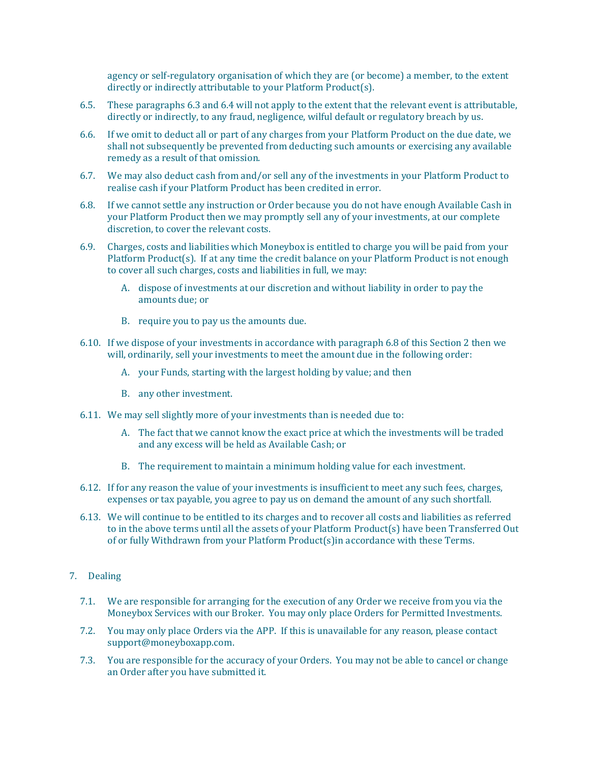agency or self-regulatory organisation of which they are (or become) a member, to the extent directly or indirectly attributable to your Platform Product(s).

- 6.5. These paragraphs 6.3 and 6.4 will not apply to the extent that the relevant event is attributable, directly or indirectly, to any fraud, negligence, wilful default or regulatory breach by us.
- 6.6. If we omit to deduct all or part of any charges from your Platform Product on the due date, we shall not subsequently be prevented from deducting such amounts or exercising any available remedy as a result of that omission.
- 6.7. We may also deduct cash from and/or sell any of the investments in your Platform Product to realise cash if your Platform Product has been credited in error.
- 6.8. If we cannot settle any instruction or Order because you do not have enough Available Cash in your Platform Product then we may promptly sell any of your investments, at our complete discretion, to cover the relevant costs.
- 6.9. Charges, costs and liabilities which Moneybox is entitled to charge you will be paid from your Platform Product(s). If at any time the credit balance on your Platform Product is not enough to cover all such charges, costs and liabilities in full, we may:
	- A. dispose of investments at our discretion and without liability in order to pay the amounts due; or
	- B. require you to pay us the amounts due.
- 6.10. If we dispose of your investments in accordance with paragraph 6.8 of this Section 2 then we will, ordinarily, sell your investments to meet the amount due in the following order:
	- A. your Funds, starting with the largest holding by value; and then
	- B. any other investment.
- 6.11. We may sell slightly more of your investments than is needed due to:
	- A. The fact that we cannot know the exact price at which the investments will be traded and any excess will be held as Available Cash; or
	- B. The requirement to maintain a minimum holding value for each investment.
- 6.12. If for any reason the value of your investments is insufficient to meet any such fees, charges, expenses or tax payable, you agree to pay us on demand the amount of any such shortfall.
- 6.13. We will continue to be entitled to its charges and to recover all costs and liabilities as referred to in the above terms until all the assets of your Platform Product(s) have been Transferred Out of or fully Withdrawn from your Platform Product(s)in accordance with these Terms.
- 7. Dealing
	- 7.1. We are responsible for arranging for the execution of any Order we receive from you via the Moneybox Services with our Broker. You may only place Orders for Permitted Investments.
	- 7.2. You may only place Orders via the APP. If this is unavailable for any reason, please contact [support@moneyboxapp.com.](mailto:support@monyeboxapp.com)
	- 7.3. You are responsible for the accuracy of your Orders. You may not be able to cancel or change an Order after you have submitted it.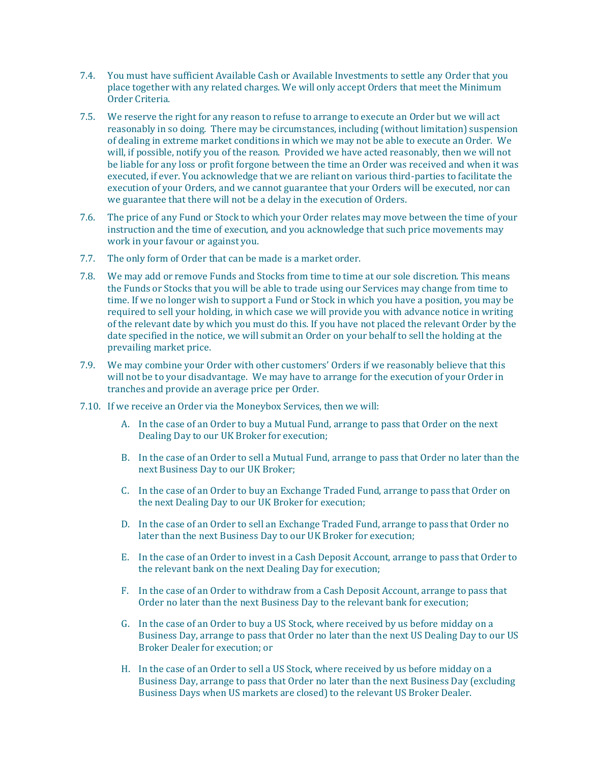- 7.4. You must have sufficient Available Cash or Available Investments to settle any Order that you place together with any related charges. We will only accept Orders that meet the Minimum Order Criteria.
- 7.5. We reserve the right for any reason to refuse to arrange to execute an Order but we will act reasonably in so doing. There may be circumstances, including (without limitation) suspension of dealing in extreme market conditions in which we may not be able to execute an Order. We will, if possible, notify you of the reason. Provided we have acted reasonably, then we will not be liable for any loss or profit forgone between the time an Order was received and when it was executed, if ever. You acknowledge that we are reliant on various third-parties to facilitate the execution of your Orders, and we cannot guarantee that your Orders will be executed, nor can we guarantee that there will not be a delay in the execution of Orders.
- 7.6. The price of any Fund or Stock to which your Order relates may move between the time of your instruction and the time of execution, and you acknowledge that such price movements may work in your favour or against you.
- 7.7. The only form of Order that can be made is a market order.
- 7.8. We may add or remove Funds and Stocks from time to time at our sole discretion. This means the Funds or Stocks that you will be able to trade using our Services may change from time to time. If we no longer wish to support a Fund or Stock in which you have a position, you may be required to sell your holding, in which case we will provide you with advance notice in writing of the relevant date by which you must do this. If you have not placed the relevant Order by the date specified in the notice, we will submit an Order on your behalf to sell the holding at the prevailing market price.
- 7.9. We may combine your Order with other customers' Orders if we reasonably believe that this will not be to your disadvantage. We may have to arrange for the execution of your Order in tranches and provide an average price per Order.
- 7.10. If we receive an Order via the Moneybox Services, then we will:
	- A. In the case of an Order to buy a Mutual Fund, arrange to pass that Order on the next Dealing Day to our UK Broker for execution;
	- B. In the case of an Order to sell a Mutual Fund, arrange to pass that Order no later than the next Business Day to our UK Broker;
	- C. In the case of an Order to buy an Exchange Traded Fund, arrange to pass that Order on the next Dealing Day to our UK Broker for execution;
	- D. In the case of an Order to sell an Exchange Traded Fund, arrange to pass that Order no later than the next Business Day to our UK Broker for execution;
	- E. In the case of an Order to invest in a Cash Deposit Account, arrange to pass that Order to the relevant bank on the next Dealing Day for execution;
	- F. In the case of an Order to withdraw from a Cash Deposit Account, arrange to pass that Order no later than the next Business Day to the relevant bank for execution;
	- G. In the case of an Order to buy a US Stock, where received by us before midday on a Business Day, arrange to pass that Order no later than the next US Dealing Day to our US Broker Dealer for execution; or
	- H. In the case of an Order to sell a US Stock, where received by us before midday on a Business Day, arrange to pass that Order no later than the next Business Day (excluding Business Days when US markets are closed) to the relevant US Broker Dealer.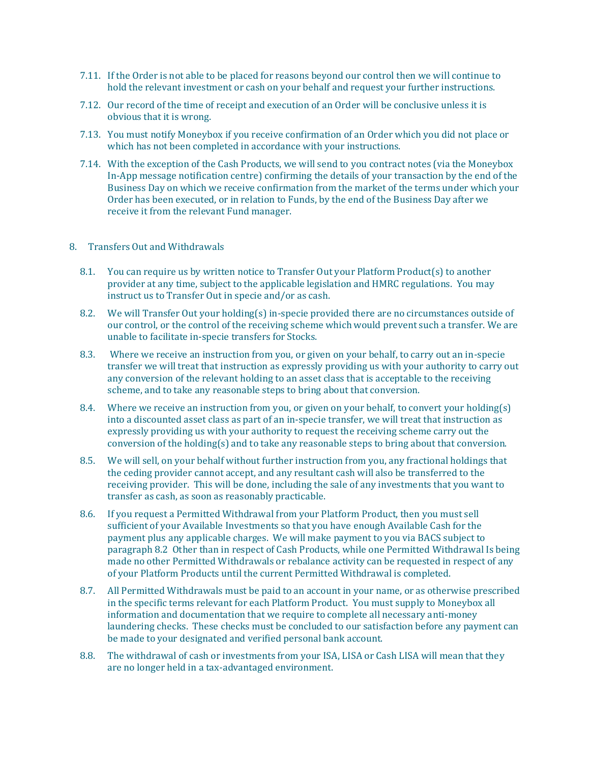- 7.11. If the Order is not able to be placed for reasons beyond our control then we will continue to hold the relevant investment or cash on your behalf and request your further instructions.
- 7.12. Our record of the time of receipt and execution of an Order will be conclusive unless it is obvious that it is wrong.
- 7.13. You must notify Moneybox if you receive confirmation of an Order which you did not place or which has not been completed in accordance with your instructions.
- 7.14. With the exception of the Cash Products, we will send to you contract notes (via the Moneybox In-App message notification centre) confirming the details of your transaction by the end of the Business Day on which we receive confirmation from the market of the terms under which your Order has been executed, or in relation to Funds, by the end of the Business Day after we receive it from the relevant Fund manager.

#### 8. Transfers Out and Withdrawals

- 8.1. You can require us by written notice to Transfer Out your Platform Product(s) to another provider at any time, subject to the applicable legislation and HMRC regulations. You may instruct us to Transfer Out in specie and/or as cash.
- 8.2. We will Transfer Out your holding(s) in-specie provided there are no circumstances outside of our control, or the control of the receiving scheme which would prevent such a transfer. We are unable to facilitate in-specie transfers for Stocks.
- 8.3. Where we receive an instruction from you, or given on your behalf, to carry out an in-specie transfer we will treat that instruction as expressly providing us with your authority to carry out any conversion of the relevant holding to an asset class that is acceptable to the receiving scheme, and to take any reasonable steps to bring about that conversion.
- 8.4. Where we receive an instruction from you, or given on your behalf, to convert your holding(s) into a discounted asset class as part of an in-specie transfer, we will treat that instruction as expressly providing us with your authority to request the receiving scheme carry out the conversion of the holding(s) and to take any reasonable steps to bring about that conversion.
- 8.5. We will sell, on your behalf without further instruction from you, any fractional holdings that the ceding provider cannot accept, and any resultant cash will also be transferred to the receiving provider. This will be done, including the sale of any investments that you want to transfer as cash, as soon as reasonably practicable.
- 8.6. If you request a Permitted Withdrawal from your Platform Product, then you must sell sufficient of your Available Investments so that you have enough Available Cash for the payment plus any applicable charges. We will make payment to you via BACS subject to paragraph 8.2 Other than in respect of Cash Products, while one Permitted Withdrawal Is being made no other Permitted Withdrawals or rebalance activity can be requested in respect of any of your Platform Products until the current Permitted Withdrawal is completed.
- 8.7. All Permitted Withdrawals must be paid to an account in your name, or as otherwise prescribed in the specific terms relevant for each Platform Product. You must supply to Moneybox all information and documentation that we require to complete all necessary anti-money laundering checks. These checks must be concluded to our satisfaction before any payment can be made to your designated and verified personal bank account.
- 8.8. The withdrawal of cash or investments from your ISA, LISA or Cash LISA will mean that they are no longer held in a tax-advantaged environment.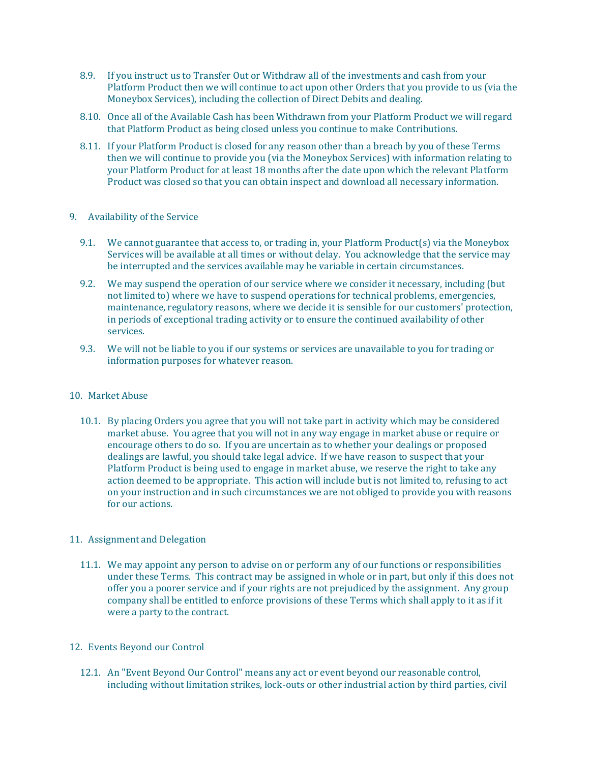- 8.9. If you instruct us to Transfer Out or Withdraw all of the investments and cash from your Platform Product then we will continue to act upon other Orders that you provide to us (via the Moneybox Services), including the collection of Direct Debits and dealing.
- 8.10. Once all of the Available Cash has been Withdrawn from your Platform Product we will regard that Platform Product as being closed unless you continue to make Contributions.
- 8.11. If your Platform Product is closed for any reason other than a breach by you of these Terms then we will continue to provide you (via the Moneybox Services) with information relating to your Platform Product for at least 18 months after the date upon which the relevant Platform Product was closed so that you can obtain inspect and download all necessary information.

#### 9. Availability of the Service

- 9.1. We cannot guarantee that access to, or trading in, your Platform Product(s) via the Moneybox Services will be available at all times or without delay. You acknowledge that the service may be interrupted and the services available may be variable in certain circumstances.
- 9.2. We may suspend the operation of our service where we consider it necessary, including (but not limited to) where we have to suspend operations for technical problems, emergencies, maintenance, regulatory reasons, where we decide it is sensible for our customers' protection, in periods of exceptional trading activity or to ensure the continued availability of other services.
- 9.3. We will not be liable to you if our systems or services are unavailable to you for trading or information purposes for whatever reason.

#### 10. Market Abuse

10.1. By placing Orders you agree that you will not take part in activity which may be considered market abuse. You agree that you will not in any way engage in market abuse or require or encourage others to do so. If you are uncertain as to whether your dealings or proposed dealings are lawful, you should take legal advice. If we have reason to suspect that your Platform Product is being used to engage in market abuse, we reserve the right to take any action deemed to be appropriate. This action will include but is not limited to, refusing to act on your instruction and in such circumstances we are not obliged to provide you with reasons for our actions.

# 11. Assignment and Delegation

11.1. We may appoint any person to advise on or perform any of our functions or responsibilities under these Terms. This contract may be assigned in whole or in part, but only if this does not offer you a poorer service and if your rights are not prejudiced by the assignment. Any group company shall be entitled to enforce provisions of these Terms which shall apply to it as if it were a party to the contract.

# 12. Events Beyond our Control

12.1. An "Event Beyond Our Control" means any act or event beyond our reasonable control, including without limitation strikes, lock-outs or other industrial action by third parties, civil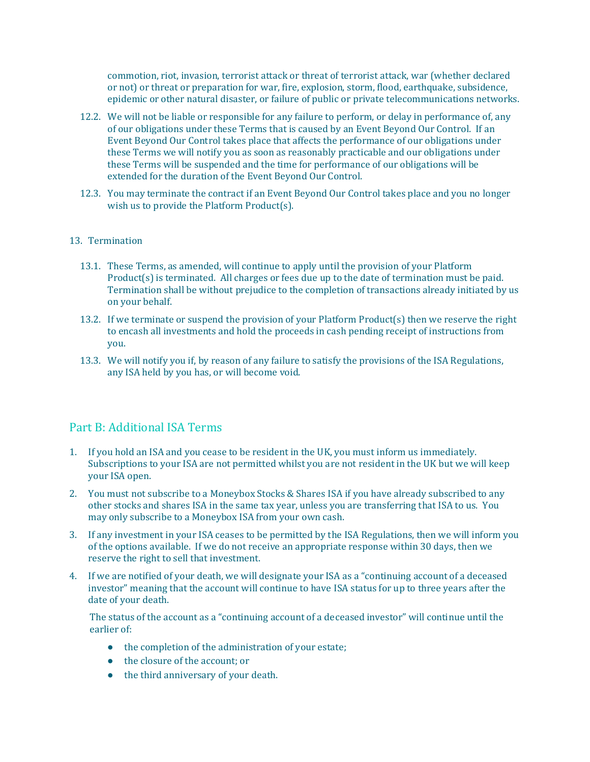commotion, riot, invasion, terrorist attack or threat of terrorist attack, war (whether declared or not) or threat or preparation for war, fire, explosion, storm, flood, earthquake, subsidence, epidemic or other natural disaster, or failure of public or private telecommunications networks.

- 12.2. We will not be liable or responsible for any failure to perform, or delay in performance of, any of our obligations under these Terms that is caused by an Event Beyond Our Control. If an Event Beyond Our Control takes place that affects the performance of our obligations under these Terms we will notify you as soon as reasonably practicable and our obligations under these Terms will be suspended and the time for performance of our obligations will be extended for the duration of the Event Beyond Our Control.
- 12.3. You may terminate the contract if an Event Beyond Our Control takes place and you no longer wish us to provide the Platform Product(s).

# 13. Termination

- 13.1. These Terms, as amended, will continue to apply until the provision of your Platform Product(s) is terminated. All charges or fees due up to the date of termination must be paid. Termination shall be without prejudice to the completion of transactions already initiated by us on your behalf.
- 13.2. If we terminate or suspend the provision of your Platform Product(s) then we reserve the right to encash all investments and hold the proceeds in cash pending receipt of instructions from you.
- <span id="page-29-0"></span>13.3. We will notify you if, by reason of any failure to satisfy the provisions of the ISA Regulations, any ISA held by you has, or will become void.

# Part B: Additional ISA Terms

- 1. If you hold an ISA and you cease to be resident in the UK, you must inform us immediately. Subscriptions to your ISA are not permitted whilst you are not resident in the UK but we will keep your ISA open.
- 2. You must not subscribe to a Moneybox Stocks & Shares ISA if you have already subscribed to any other stocks and shares ISA in the same tax year, unless you are transferring that ISA to us. You may only subscribe to a Moneybox ISA from your own cash.
- 3. If any investment in your ISA ceases to be permitted by the ISA Regulations, then we will inform you of the options available. If we do not receive an appropriate response within 30 days, then we reserve the right to sell that investment.
- 4. If we are notified of your death, we will designate your ISA as a "continuing account of a deceased investor" meaning that the account will continue to have ISA status for up to three years after the date of your death.

The status of the account as a "continuing account of a deceased investor" will continue until the earlier of:

- the completion of the administration of your estate;
- the closure of the account; or
- the third anniversary of your death.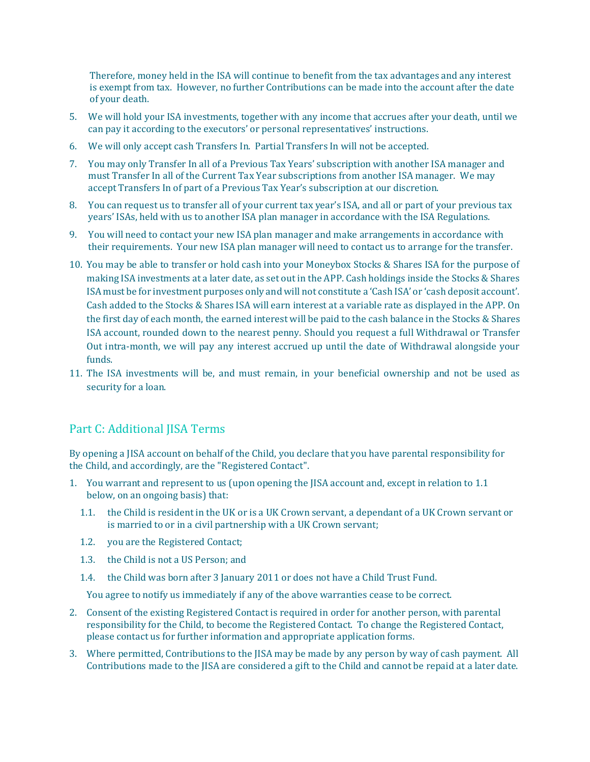Therefore, money held in the ISA will continue to benefit from the tax advantages and any interest is exempt from tax. However, no further Contributions can be made into the account after the date of your death.

- 5. We will hold your ISA investments, together with any income that accrues after your death, until we can pay it according to the executors' or personal representatives' instructions.
- 6. We will only accept cash Transfers In. Partial Transfers In will not be accepted.
- 7. You may only Transfer In all of a Previous Tax Years' subscription with another ISA manager and must Transfer In all of the Current Tax Year subscriptions from another ISA manager. We may accept Transfers In of part of a Previous Tax Year's subscription at our discretion.
- 8. You can request us to transfer all of your current tax year's ISA, and all or part of your previous tax years' ISAs, held with us to another ISA plan manager in accordance with the ISA Regulations.
- 9. You will need to contact your new ISA plan manager and make arrangements in accordance with their requirements. Your new ISA plan manager will need to contact us to arrange for the transfer.
- 10. You may be able to transfer or hold cash into your Moneybox Stocks & Shares ISA for the purpose of making ISA investments at a later date, as set out in the APP. Cash holdings inside the Stocks & Shares ISA must be for investment purposes only and will not constitute a 'Cash ISA' or 'cash deposit account'. Cash added to the Stocks & Shares ISA will earn interest at a variable rate as displayed in the APP. On the first day of each month, the earned interest will be paid to the cash balance in the Stocks & Shares ISA account, rounded down to the nearest penny. Should you request a full Withdrawal or Transfer Out intra-month, we will pay any interest accrued up until the date of Withdrawal alongside your funds.
- 11. The ISA investments will be, and must remain, in your beneficial ownership and not be used as security for a loan.

# <span id="page-30-0"></span>Part C: Additional JISA Terms

By opening a JISA account on behalf of the Child, you declare that you have parental responsibility for the Child, and accordingly, are the "Registered Contact".

- 1. You warrant and represent to us (upon opening the JISA account and, except in relation to 1.1 below, on an ongoing basis) that:
	- 1.1. the Child is resident in the UK or is a UK Crown servant, a dependant of a UK Crown servant or is married to or in a civil partnership with a UK Crown servant;
	- 1.2. you are the Registered Contact;
	- 1.3. the Child is not a US Person; and
	- 1.4. the Child was born after 3 January 2011 or does not have a Child Trust Fund.

You agree to notify us immediately if any of the above warranties cease to be correct.

- 2. Consent of the existing Registered Contact is required in order for another person, with parental responsibility for the Child, to become the Registered Contact. To change the Registered Contact, please contact us for further information and appropriate application forms.
- 3. Where permitted, Contributions to the JISA may be made by any person by way of cash payment. All Contributions made to the JISA are considered a gift to the Child and cannot be repaid at a later date.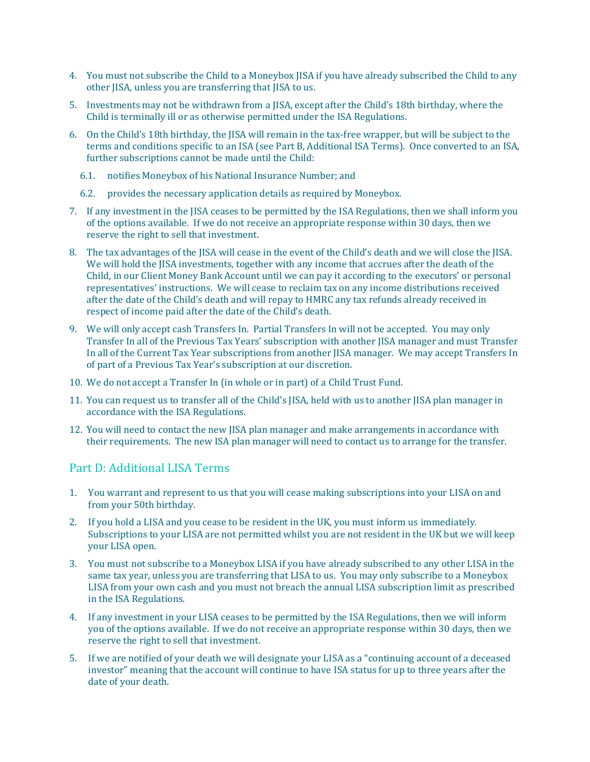- 4. You must not subscribe the Child to a Moneybox JISA if you have already subscribed the Child to any other JISA, unless you are transferring that JISA to us.
- 5. Investments may not be withdrawn from a JISA, except after the Child's 18th birthday, where the Child is terminally ill or as otherwise permitted under the ISA Regulations.
- 6. On the Child's 18th birthday, the JISA will remain in the tax-free wrapper, but will be subject to the terms and conditions specific to an ISA (see Part B, Additional ISA Terms). Once converted to an ISA, further subscriptions cannot be made until the Child:
	- 6.1. notifies Moneybox of his National Insurance Number; and
	- 6.2. provides the necessary application details as required by Moneybox.
- 7. If any investment in the JISA ceases to be permitted by the ISA Regulations, then we shall inform you of the options available. If we do not receive an appropriate response within 30 days, then we reserve the right to sell that investment.
- 8. The tax advantages of the JISA will cease in the event of the Child's death and we will close the JISA. We will hold the JISA investments, together with any income that accrues after the death of the Child, in our Client Money Bank Account until we can pay it according to the executors' or personal representatives' instructions. We will cease to reclaim tax on any income distributions received after the date of the Child's death and will repay to HMRC any tax refunds already received in respect of income paid after the date of the Child's death.
- 9. We will only accept cash Transfers In. Partial Transfers In will not be accepted. You may only Transfer In all of the Previous Tax Years' subscription with another JISA manager and must Transfer In all of the Current Tax Year subscriptions from another JISA manager. We may accept Transfers In of part of a Previous Tax Year's subscription at our discretion.
- 10. We do not accept a Transfer In (in whole or in part) of a Child Trust Fund.
- 11. You can request us to transfer all of the Child's JISA, held with us to another JISA plan manager in accordance with the ISA Regulations.
- 12. You will need to contact the new JISA plan manager and make arrangements in accordance with their requirements. The new ISA plan manager will need to contact us to arrange for the transfer.

# <span id="page-31-0"></span>Part D: Additional LISA Terms

- 1. You warrant and represent to us that you will cease making subscriptions into your LISA on and from your 50th birthday.
- 2. If you hold a LISA and you cease to be resident in the UK, you must inform us immediately. Subscriptions to your LISA are not permitted whilst you are not resident in the UK but we will keep your LISA open.
- 3. You must not subscribe to a Moneybox LISA if you have already subscribed to any other LISA in the same tax year, unless you are transferring that LISA to us. You may only subscribe to a Moneybox LISA from your own cash and you must not breach the annual LISA subscription limit as prescribed in the ISA Regulations.
- 4. If any investment in your LISA ceases to be permitted by the ISA Regulations, then we will inform you of the options available. If we do not receive an appropriate response within 30 days, then we reserve the right to sell that investment.
- 5. If we are notified of your death we will designate your LISA as a "continuing account of a deceased investor" meaning that the account will continue to have ISA status for up to three years after the date of your death.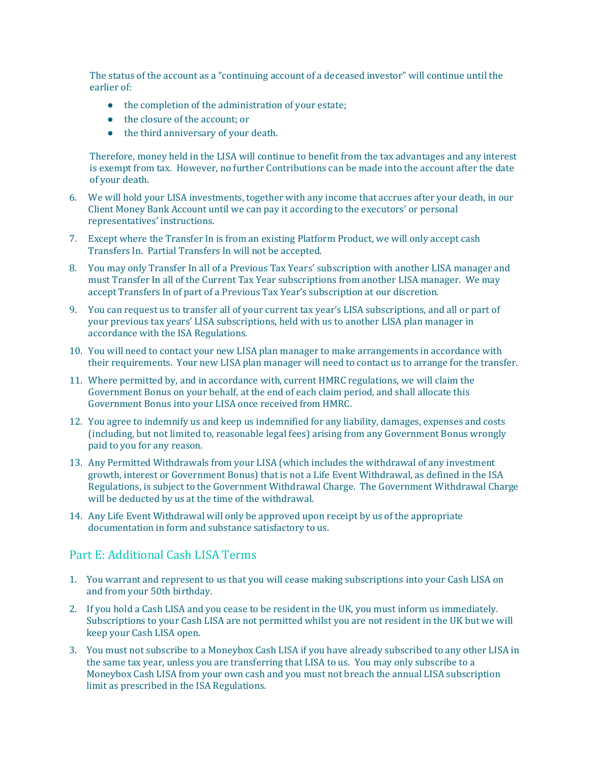The status of the account as a "continuing account of a deceased investor" will continue until the earlier of:

- the completion of the administration of your estate;
- the closure of the account; or
- the third anniversary of your death.

Therefore, money held in the LISA will continue to benefit from the tax advantages and any interest is exempt from tax. However, no further Contributions can be made into the account after the date of your death.

- 6. We will hold your LISA investments, together with any income that accrues after your death, in our Client Money Bank Account until we can pay it according to the executors' or personal representatives' instructions.
- 7. Except where the Transfer In is from an existing Platform Product, we will only accept cash Transfers In. Partial Transfers In will not be accepted.
- 8. You may only Transfer In all of a Previous Tax Years' subscription with another LISA manager and must Transfer In all of the Current Tax Year subscriptions from another LISA manager. We may accept Transfers In of part of a Previous Tax Year's subscription at our discretion.
- 9. You can request us to transfer all of your current tax year's LISA subscriptions, and all or part of your previous tax years' LISA subscriptions, held with us to another LISA plan manager in accordance with the ISA Regulations.
- 10. You will need to contact your new LISA plan manager to make arrangements in accordance with their requirements. Your new LISA plan manager will need to contact us to arrange for the transfer.
- 11. Where permitted by, and in accordance with, current HMRC regulations, we will claim the Government Bonus on your behalf, at the end of each claim period, and shall allocate this Government Bonus into your LISA once received from HMRC.
- 12. You agree to indemnify us and keep us indemnified for any liability, damages, expenses and costs (including, but not limited to, reasonable legal fees) arising from any Government Bonus wrongly paid to you for any reason.
- 13. Any Permitted Withdrawals from your LISA (which includes the withdrawal of any investment growth, interest or Government Bonus) that is not a Life Event Withdrawal, as defined in the ISA Regulations, is subject to the Government Withdrawal Charge. The Government Withdrawal Charge will be deducted by us at the time of the withdrawal.
- 14. Any Life Event Withdrawal will only be approved upon receipt by us of the appropriate documentation in form and substance satisfactory to us.

# <span id="page-32-0"></span>Part E: Additional Cash LISA Terms

- 1. You warrant and represent to us that you will cease making subscriptions into your Cash LISA on and from your 50th birthday.
- 2. If you hold a Cash LISA and you cease to be resident in the UK, you must inform us immediately. Subscriptions to your Cash LISA are not permitted whilst you are not resident in the UK but we will keep your Cash LISA open.
- 3. You must not subscribe to a Moneybox Cash LISA if you have already subscribed to any other LISA in the same tax year, unless you are transferring that LISA to us. You may only subscribe to a Moneybox Cash LISA from your own cash and you must not breach the annual LISA subscription limit as prescribed in the ISA Regulations.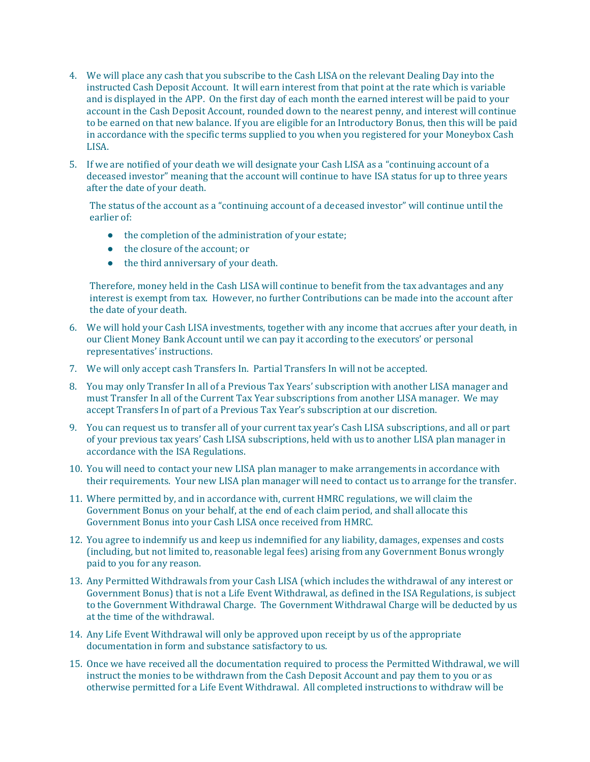- 4. We will place any cash that you subscribe to the Cash LISA on the relevant Dealing Day into the instructed Cash Deposit Account. It will earn interest from that point at the rate which is variable and is displayed in the APP. On the first day of each month the earned interest will be paid to your account in the Cash Deposit Account, rounded down to the nearest penny, and interest will continue to be earned on that new balance. If you are eligible for an Introductory Bonus, then this will be paid in accordance with the specific terms supplied to you when you registered for your Moneybox Cash LISA.
- 5. If we are notified of your death we will designate your Cash LISA as a "continuing account of a deceased investor" meaning that the account will continue to have ISA status for up to three years after the date of your death.

The status of the account as a "continuing account of a deceased investor" will continue until the earlier of:

- the completion of the administration of your estate;
- the closure of the account; or
- the third anniversary of your death.

Therefore, money held in the Cash LISA will continue to benefit from the tax advantages and any interest is exempt from tax. However, no further Contributions can be made into the account after the date of your death.

- 6. We will hold your Cash LISA investments, together with any income that accrues after your death, in our Client Money Bank Account until we can pay it according to the executors' or personal representatives' instructions.
- 7. We will only accept cash Transfers In. Partial Transfers In will not be accepted.
- 8. You may only Transfer In all of a Previous Tax Years' subscription with another LISA manager and must Transfer In all of the Current Tax Year subscriptions from another LISA manager. We may accept Transfers In of part of a Previous Tax Year's subscription at our discretion.
- 9. You can request us to transfer all of your current tax year's Cash LISA subscriptions, and all or part of your previous tax years' Cash LISA subscriptions, held with us to another LISA plan manager in accordance with the ISA Regulations.
- 10. You will need to contact your new LISA plan manager to make arrangements in accordance with their requirements. Your new LISA plan manager will need to contact us to arrange for the transfer.
- 11. Where permitted by, and in accordance with, current HMRC regulations, we will claim the Government Bonus on your behalf, at the end of each claim period, and shall allocate this Government Bonus into your Cash LISA once received from HMRC.
- 12. You agree to indemnify us and keep us indemnified for any liability, damages, expenses and costs (including, but not limited to, reasonable legal fees) arising from any Government Bonus wrongly paid to you for any reason.
- 13. Any Permitted Withdrawals from your Cash LISA (which includes the withdrawal of any interest or Government Bonus) that is not a Life Event Withdrawal, as defined in the ISA Regulations, is subject to the Government Withdrawal Charge. The Government Withdrawal Charge will be deducted by us at the time of the withdrawal.
- 14. Any Life Event Withdrawal will only be approved upon receipt by us of the appropriate documentation in form and substance satisfactory to us.
- 15. Once we have received all the documentation required to process the Permitted Withdrawal, we will instruct the monies to be withdrawn from the Cash Deposit Account and pay them to you or as otherwise permitted for a Life Event Withdrawal. All completed instructions to withdraw will be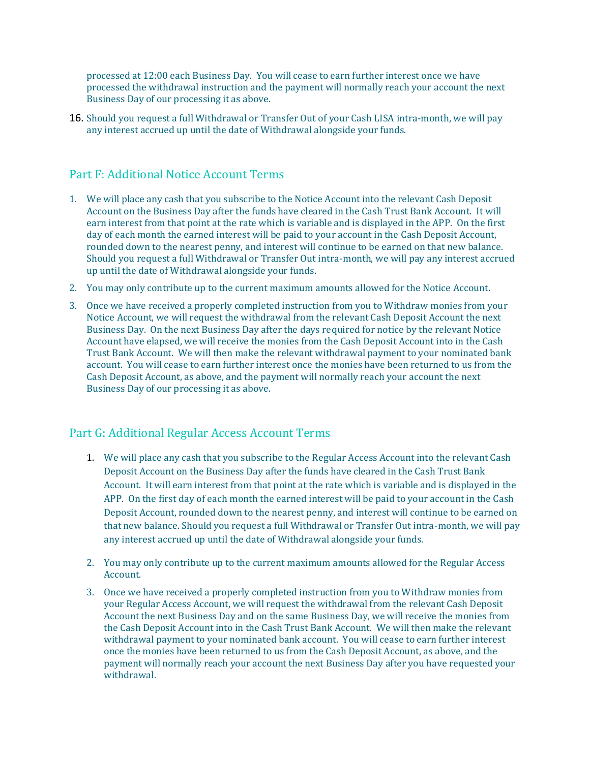processed at 12:00 each Business Day. You will cease to earn further interest once we have processed the withdrawal instruction and the payment will normally reach your account the next Business Day of our processing it as above.

16. Should you request a full Withdrawal or Transfer Out of your Cash LISA intra-month, we will pay any interest accrued up until the date of Withdrawal alongside your funds.

# <span id="page-34-0"></span>Part F: Additional Notice Account Terms

- 1. We will place any cash that you subscribe to the Notice Account into the relevant Cash Deposit Account on the Business Day after the funds have cleared in the Cash Trust Bank Account. It will earn interest from that point at the rate which is variable and is displayed in the APP. On the first day of each month the earned interest will be paid to your account in the Cash Deposit Account, rounded down to the nearest penny, and interest will continue to be earned on that new balance. Should you request a full Withdrawal or Transfer Out intra-month, we will pay any interest accrued up until the date of Withdrawal alongside your funds.
- 2. You may only contribute up to the current maximum amounts allowed for the Notice Account.
- 3. Once we have received a properly completed instruction from you to Withdraw monies from your Notice Account, we will request the withdrawal from the relevant Cash Deposit Account the next Business Day. On the next Business Day after the days required for notice by the relevant Notice Account have elapsed, we will receive the monies from the Cash Deposit Account into in the Cash Trust Bank Account. We will then make the relevant withdrawal payment to your nominated bank account. You will cease to earn further interest once the monies have been returned to us from the Cash Deposit Account, as above, and the payment will normally reach your account the next Business Day of our processing it as above.

# <span id="page-34-1"></span>Part G: Additional Regular Access Account Terms

- 1. We will place any cash that you subscribe to the Regular Access Account into the relevant Cash Deposit Account on the Business Day after the funds have cleared in the Cash Trust Bank Account. It will earn interest from that point at the rate which is variable and is displayed in the APP. On the first day of each month the earned interest will be paid to your account in the Cash Deposit Account, rounded down to the nearest penny, and interest will continue to be earned on that new balance. Should you request a full Withdrawal or Transfer Out intra-month, we will pay any interest accrued up until the date of Withdrawal alongside your funds.
- 2. You may only contribute up to the current maximum amounts allowed for the Regular Access Account.
- 3. Once we have received a properly completed instruction from you to Withdraw monies from your Regular Access Account, we will request the withdrawal from the relevant Cash Deposit Account the next Business Day and on the same Business Day, we will receive the monies from the Cash Deposit Account into in the Cash Trust Bank Account. We will then make the relevant withdrawal payment to your nominated bank account. You will cease to earn further interest once the monies have been returned to us from the Cash Deposit Account, as above, and the payment will normally reach your account the next Business Day after you have requested your withdrawal.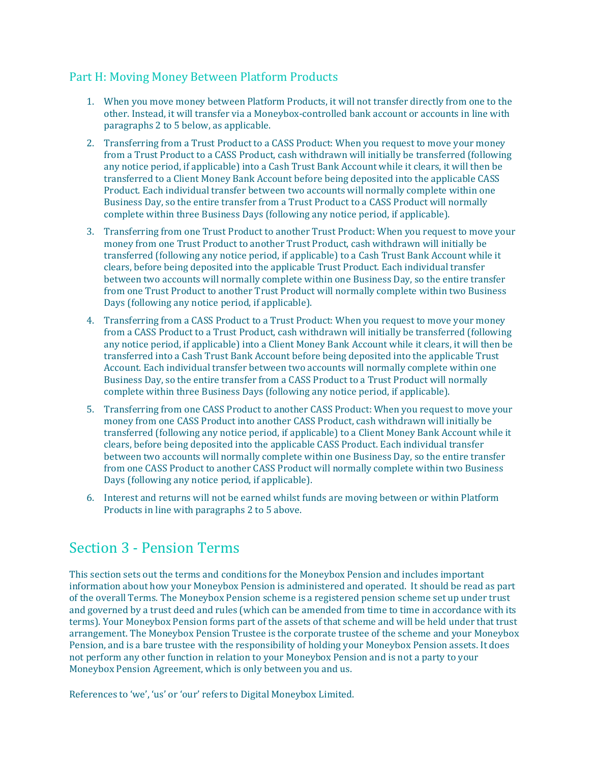# <span id="page-35-0"></span>Part H: Moving Money Between Platform Products

- 1. When you move money between Platform Products, it will not transfer directly from one to the other. Instead, it will transfer via a Moneybox-controlled bank account or accounts in line with paragraphs 2 to 5 below, as applicable.
- 2. Transferring from a Trust Product to a CASS Product: When you request to move your money from a Trust Product to a CASS Product, cash withdrawn will initially be transferred (following any notice period, if applicable) into a Cash Trust Bank Account while it clears, it will then be transferred to a Client Money Bank Account before being deposited into the applicable CASS Product. Each individual transfer between two accounts will normally complete within one Business Day, so the entire transfer from a Trust Product to a CASS Product will normally complete within three Business Days (following any notice period, if applicable).
- 3. Transferring from one Trust Product to another Trust Product: When you request to move your money from one Trust Product to another Trust Product, cash withdrawn will initially be transferred (following any notice period, if applicable) to a Cash Trust Bank Account while it clears, before being deposited into the applicable Trust Product. Each individual transfer between two accounts will normally complete within one Business Day, so the entire transfer from one Trust Product to another Trust Product will normally complete within two Business Days (following any notice period, if applicable).
- 4. Transferring from a CASS Product to a Trust Product: When you request to move your money from a CASS Product to a Trust Product, cash withdrawn will initially be transferred (following any notice period, if applicable) into a Client Money Bank Account while it clears, it will then be transferred into a Cash Trust Bank Account before being deposited into the applicable Trust Account. Each individual transfer between two accounts will normally complete within one Business Day, so the entire transfer from a CASS Product to a Trust Product will normally complete within three Business Days (following any notice period, if applicable).
- 5. Transferring from one CASS Product to another CASS Product: When you request to move your money from one CASS Product into another CASS Product, cash withdrawn will initially be transferred (following any notice period, if applicable) to a Client Money Bank Account while it clears, before being deposited into the applicable CASS Product. Each individual transfer between two accounts will normally complete within one Business Day, so the entire transfer from one CASS Product to another CASS Product will normally complete within two Business Days (following any notice period, if applicable).
- 6. Interest and returns will not be earned whilst funds are moving between or within Platform Products in line with paragraphs 2 to 5 above.

# <span id="page-35-1"></span>Section 3 - Pension Terms

This section sets out the terms and conditions for the Moneybox Pension and includes important information about how your Moneybox Pension is administered and operated. It should be read as part of the overall Terms. The Moneybox Pension scheme is a registered pension scheme set up under trust and governed by a trust deed and rules (which can be amended from time to time in accordance with its terms). Your Moneybox Pension forms part of the assets of that scheme and will be held under that trust arrangement. The Moneybox Pension Trustee is the corporate trustee of the scheme and your Moneybox Pension, and is a bare trustee with the responsibility of holding your Moneybox Pension assets. It does not perform any other function in relation to your Moneybox Pension and is not a party to your Moneybox Pension Agreement, which is only between you and us.

References to 'we', 'us' or 'our' refers to Digital Moneybox Limited.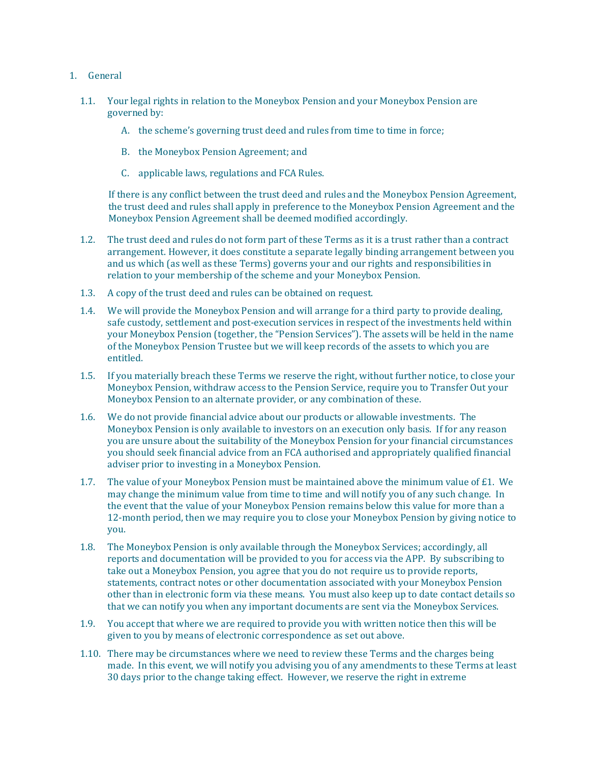- 1. General
	- 1.1. Your legal rights in relation to the Moneybox Pension and your Moneybox Pension are governed by:
		- A. the scheme's governing trust deed and rules from time to time in force;
		- B. the Moneybox Pension Agreement; and
		- C. applicable laws, regulations and FCA Rules.

If there is any conflict between the trust deed and rules and the Moneybox Pension Agreement, the trust deed and rules shall apply in preference to the Moneybox Pension Agreement and the Moneybox Pension Agreement shall be deemed modified accordingly.

- 1.2. The trust deed and rules do not form part of these Terms as it is a trust rather than a contract arrangement. However, it does constitute a separate legally binding arrangement between you and us which (as well as these Terms) governs your and our rights and responsibilities in relation to your membership of the scheme and your Moneybox Pension.
- 1.3. A copy of the trust deed and rules can be obtained on request.
- 1.4. We will provide the Moneybox Pension and will arrange for a third party to provide dealing, safe custody, settlement and post-execution services in respect of the investments held within your Moneybox Pension (together, the "Pension Services"). The assets will be held in the name of the Moneybox Pension Trustee but we will keep records of the assets to which you are entitled.
- 1.5. If you materially breach these Terms we reserve the right, without further notice, to close your Moneybox Pension, withdraw access to the Pension Service, require you to Transfer Out your Moneybox Pension to an alternate provider, or any combination of these.
- 1.6. We do not provide financial advice about our products or allowable investments. The Moneybox Pension is only available to investors on an execution only basis. If for any reason you are unsure about the suitability of the Moneybox Pension for your financial circumstances you should seek financial advice from an FCA authorised and appropriately qualified financial adviser prior to investing in a Moneybox Pension.
- 1.7. The value of your Moneybox Pension must be maintained above the minimum value of £1. We may change the minimum value from time to time and will notify you of any such change. In the event that the value of your Moneybox Pension remains below this value for more than a 12-month period, then we may require you to close your Moneybox Pension by giving notice to you.
- 1.8. The Moneybox Pension is only available through the Moneybox Services; accordingly, all reports and documentation will be provided to you for access via the APP. By subscribing to take out a Moneybox Pension, you agree that you do not require us to provide reports, statements, contract notes or other documentation associated with your Moneybox Pension other than in electronic form via these means. You must also keep up to date contact details so that we can notify you when any important documents are sent via the Moneybox Services.
- 1.9. You accept that where we are required to provide you with written notice then this will be given to you by means of electronic correspondence as set out above.
- 1.10. There may be circumstances where we need to review these Terms and the charges being made. In this event, we will notify you advising you of any amendments to these Terms at least 30 days prior to the change taking effect. However, we reserve the right in extreme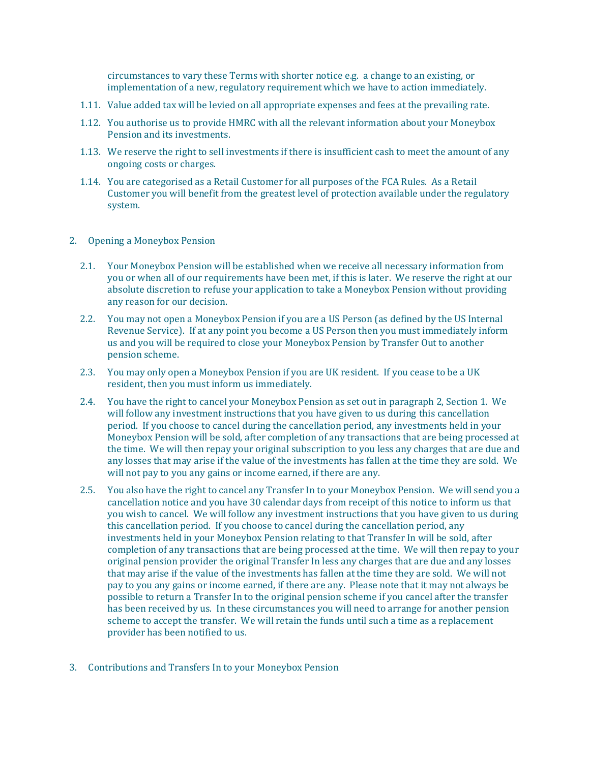circumstances to vary these Terms with shorter notice e.g. a change to an existing, or implementation of a new, regulatory requirement which we have to action immediately.

- 1.11. Value added tax will be levied on all appropriate expenses and fees at the prevailing rate.
- 1.12. You authorise us to provide HMRC with all the relevant information about your Moneybox Pension and its investments.
- 1.13. We reserve the right to sell investments if there is insufficient cash to meet the amount of any ongoing costs or charges.
- 1.14. You are categorised as a Retail Customer for all purposes of the FCA Rules. As a Retail Customer you will benefit from the greatest level of protection available under the regulatory system.
- 2. Opening a Moneybox Pension
	- 2.1. Your Moneybox Pension will be established when we receive all necessary information from you or when all of our requirements have been met, if this is later. We reserve the right at our absolute discretion to refuse your application to take a Moneybox Pension without providing any reason for our decision.
	- 2.2. You may not open a Moneybox Pension if you are a US Person (as defined by the US Internal Revenue Service). If at any point you become a US Person then you must immediately inform us and you will be required to close your Moneybox Pension by Transfer Out to another pension scheme.
	- 2.3. You may only open a Moneybox Pension if you are UK resident. If you cease to be a UK resident, then you must inform us immediately.
	- 2.4. You have the right to cancel your Moneybox Pension as set out in paragraph 2, Section 1. We will follow any investment instructions that you have given to us during this cancellation period. If you choose to cancel during the cancellation period, any investments held in your Moneybox Pension will be sold, after completion of any transactions that are being processed at the time. We will then repay your original subscription to you less any charges that are due and any losses that may arise if the value of the investments has fallen at the time they are sold. We will not pay to you any gains or income earned, if there are any.
	- 2.5. You also have the right to cancel any Transfer In to your Moneybox Pension. We will send you a cancellation notice and you have 30 calendar days from receipt of this notice to inform us that you wish to cancel. We will follow any investment instructions that you have given to us during this cancellation period. If you choose to cancel during the cancellation period, any investments held in your Moneybox Pension relating to that Transfer In will be sold, after completion of any transactions that are being processed at the time. We will then repay to your original pension provider the original Transfer In less any charges that are due and any losses that may arise if the value of the investments has fallen at the time they are sold. We will not pay to you any gains or income earned, if there are any. Please note that it may not always be possible to return a Transfer In to the original pension scheme if you cancel after the transfer has been received by us. In these circumstances you will need to arrange for another pension scheme to accept the transfer. We will retain the funds until such a time as a replacement provider has been notified to us.
- 3. Contributions and Transfers In to your Moneybox Pension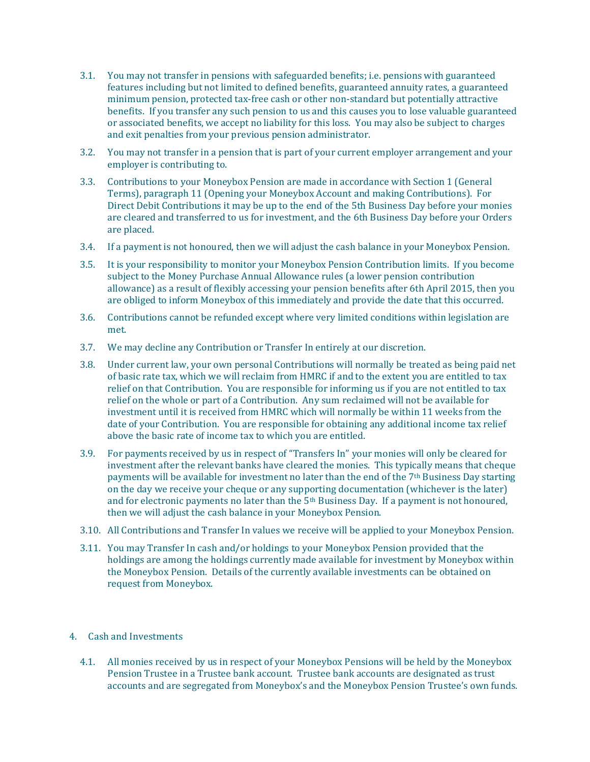- 3.1. You may not transfer in pensions with safeguarded benefits; i.e. pensions with guaranteed features including but not limited to defined benefits, guaranteed annuity rates, a guaranteed minimum pension, protected tax-free cash or other non-standard but potentially attractive benefits. If you transfer any such pension to us and this causes you to lose valuable guaranteed or associated benefits, we accept no liability for this loss. You may also be subject to charges and exit penalties from your previous pension administrator.
- 3.2. You may not transfer in a pension that is part of your current employer arrangement and your employer is contributing to.
- 3.3. Contributions to your Moneybox Pension are made in accordance with Section 1 (General Terms), paragraph 11 (Opening your Moneybox Account and making Contributions). For Direct Debit Contributions it may be up to the end of the 5th Business Day before your monies are cleared and transferred to us for investment, and the 6th Business Day before your Orders are placed.
- 3.4. If a payment is not honoured, then we will adjust the cash balance in your Moneybox Pension.
- 3.5. It is your responsibility to monitor your Moneybox Pension Contribution limits. If you become subject to the Money Purchase Annual Allowance rules (a lower pension contribution allowance) as a result of flexibly accessing your pension benefits after 6th April 2015, then you are obliged to inform Moneybox of this immediately and provide the date that this occurred.
- 3.6. Contributions cannot be refunded except where very limited conditions within legislation are met.
- 3.7. We may decline any Contribution or Transfer In entirely at our discretion.
- 3.8. Under current law, your own personal Contributions will normally be treated as being paid net of basic rate tax, which we will reclaim from HMRC if and to the extent you are entitled to tax relief on that Contribution. You are responsible for informing us if you are not entitled to tax relief on the whole or part of a Contribution. Any sum reclaimed will not be available for investment until it is received from HMRC which will normally be within 11 weeks from the date of your Contribution. You are responsible for obtaining any additional income tax relief above the basic rate of income tax to which you are entitled.
- 3.9. For payments received by us in respect of "Transfers In" your monies will only be cleared for investment after the relevant banks have cleared the monies. This typically means that cheque payments will be available for investment no later than the end of the  $7<sup>th</sup>$  Business Day starting on the day we receive your cheque or any supporting documentation (whichever is the later) and for electronic payments no later than the 5th Business Day. If a payment is not honoured, then we will adjust the cash balance in your Moneybox Pension.
- 3.10. All Contributions and Transfer In values we receive will be applied to your Moneybox Pension.
- 3.11. You may Transfer In cash and/or holdings to your Moneybox Pension provided that the holdings are among the holdings currently made available for investment by Moneybox within the Moneybox Pension. Details of the currently available investments can be obtained on request from Moneybox.

# 4. Cash and Investments

4.1. All monies received by us in respect of your Moneybox Pensions will be held by the Moneybox Pension Trustee in a Trustee bank account. Trustee bank accounts are designated as trust accounts and are segregated from Moneybox's and the Moneybox Pension Trustee's own funds.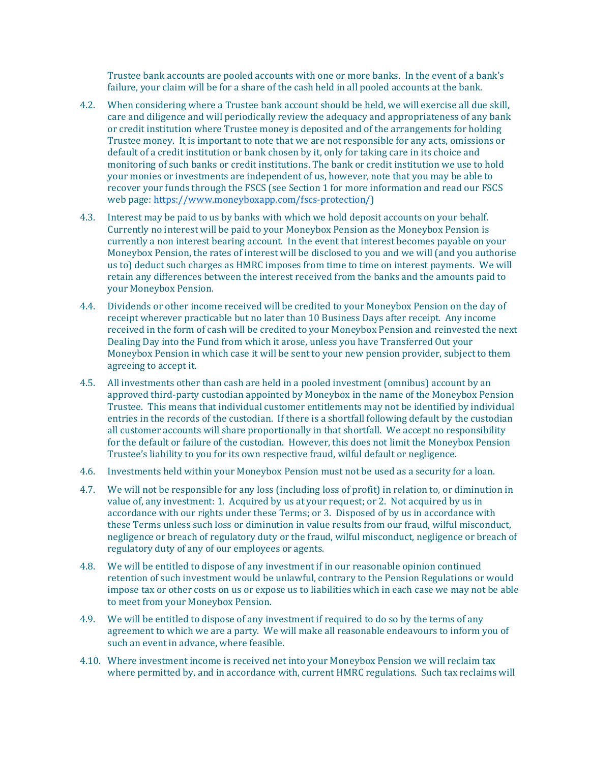Trustee bank accounts are pooled accounts with one or more banks. In the event of a bank's failure, your claim will be for a share of the cash held in all pooled accounts at the bank.

- 4.2. When considering where a Trustee bank account should be held, we will exercise all due skill, care and diligence and will periodically review the adequacy and appropriateness of any bank or credit institution where Trustee money is deposited and of the arrangements for holding Trustee money. It is important to note that we are not responsible for any acts, omissions or default of a credit institution or bank chosen by it, only for taking care in its choice and monitoring of such banks or credit institutions. The bank or credit institution we use to hold your monies or investments are independent of us, however, note that you may be able to recover your funds through the FSCS (see Section 1 for more information and read our FSCS web page[: https://www.moneyboxapp.com/fscs-protection/\)](https://www.moneyboxapp.com/fscs-protection/)
- 4.3. Interest may be paid to us by banks with which we hold deposit accounts on your behalf. Currently no interest will be paid to your Moneybox Pension as the Moneybox Pension is currently a non interest bearing account. In the event that interest becomes payable on your Moneybox Pension, the rates of interest will be disclosed to you and we will (and you authorise us to) deduct such charges as HMRC imposes from time to time on interest payments. We will retain any differences between the interest received from the banks and the amounts paid to your Moneybox Pension.
- 4.4. Dividends or other income received will be credited to your Moneybox Pension on the day of receipt wherever practicable but no later than 10 Business Days after receipt. Any income received in the form of cash will be credited to your Moneybox Pension and reinvested the next Dealing Day into the Fund from which it arose, unless you have Transferred Out your Moneybox Pension in which case it will be sent to your new pension provider, subject to them agreeing to accept it.
- 4.5. All investments other than cash are held in a pooled investment (omnibus) account by an approved third-party custodian appointed by Moneybox in the name of the Moneybox Pension Trustee. This means that individual customer entitlements may not be identified by individual entries in the records of the custodian. If there is a shortfall following default by the custodian all customer accounts will share proportionally in that shortfall. We accept no responsibility for the default or failure of the custodian. However, this does not limit the Moneybox Pension Trustee's liability to you for its own respective fraud, wilful default or negligence.
- 4.6. Investments held within your Moneybox Pension must not be used as a security for a loan.
- 4.7. We will not be responsible for any loss (including loss of profit) in relation to, or diminution in value of, any investment: 1. Acquired by us at your request; or 2. Not acquired by us in accordance with our rights under these Terms; or 3. Disposed of by us in accordance with these Terms unless such loss or diminution in value results from our fraud, wilful misconduct, negligence or breach of regulatory duty or the fraud, wilful misconduct, negligence or breach of regulatory duty of any of our employees or agents.
- 4.8. We will be entitled to dispose of any investment if in our reasonable opinion continued retention of such investment would be unlawful, contrary to the Pension Regulations or would impose tax or other costs on us or expose us to liabilities which in each case we may not be able to meet from your Moneybox Pension.
- 4.9. We will be entitled to dispose of any investment if required to do so by the terms of any agreement to which we are a party. We will make all reasonable endeavours to inform you of such an event in advance, where feasible.
- 4.10. Where investment income is received net into your Moneybox Pension we will reclaim tax where permitted by, and in accordance with, current HMRC regulations. Such tax reclaims will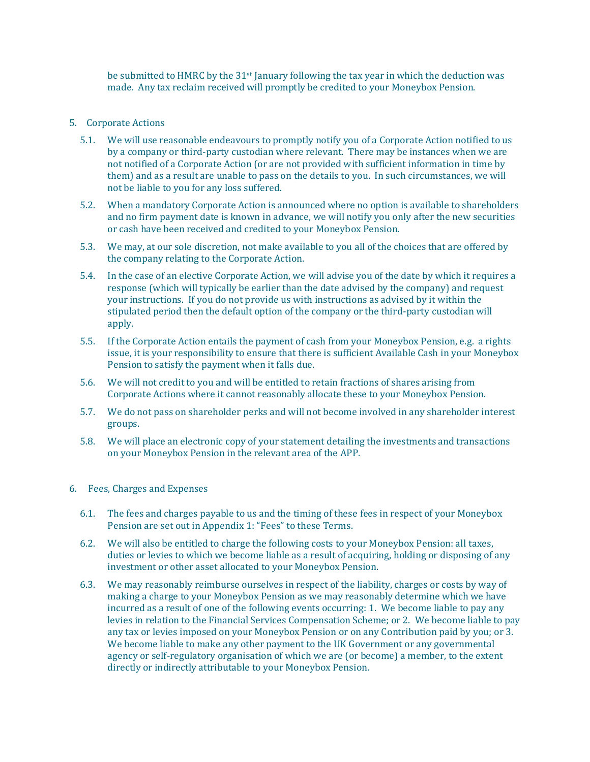be submitted to HMRC by the 31<sup>st</sup> January following the tax year in which the deduction was made. Any tax reclaim received will promptly be credited to your Moneybox Pension.

- 5. Corporate Actions
	- 5.1. We will use reasonable endeavours to promptly notify you of a Corporate Action notified to us by a company or third-party custodian where relevant. There may be instances when we are not notified of a Corporate Action (or are not provided with sufficient information in time by them) and as a result are unable to pass on the details to you. In such circumstances, we will not be liable to you for any loss suffered.
	- 5.2. When a mandatory Corporate Action is announced where no option is available to shareholders and no firm payment date is known in advance, we will notify you only after the new securities or cash have been received and credited to your Moneybox Pension.
	- 5.3. We may, at our sole discretion, not make available to you all of the choices that are offered by the company relating to the Corporate Action.
	- 5.4. In the case of an elective Corporate Action, we will advise you of the date by which it requires a response (which will typically be earlier than the date advised by the company) and request your instructions. If you do not provide us with instructions as advised by it within the stipulated period then the default option of the company or the third-party custodian will apply.
	- 5.5. If the Corporate Action entails the payment of cash from your Moneybox Pension, e.g. a rights issue, it is your responsibility to ensure that there is sufficient Available Cash in your Moneybox Pension to satisfy the payment when it falls due.
	- 5.6. We will not credit to you and will be entitled to retain fractions of shares arising from Corporate Actions where it cannot reasonably allocate these to your Moneybox Pension.
	- 5.7. We do not pass on shareholder perks and will not become involved in any shareholder interest groups.
	- 5.8. We will place an electronic copy of your statement detailing the investments and transactions on your Moneybox Pension in the relevant area of the APP.
- 6. Fees, Charges and Expenses
	- 6.1. The fees and charges payable to us and the timing of these fees in respect of your Moneybox Pension are set out in Appendix 1: "Fees" to these Terms.
	- 6.2. We will also be entitled to charge the following costs to your Moneybox Pension: all taxes, duties or levies to which we become liable as a result of acquiring, holding or disposing of any investment or other asset allocated to your Moneybox Pension.
	- 6.3. We may reasonably reimburse ourselves in respect of the liability, charges or costs by way of making a charge to your Moneybox Pension as we may reasonably determine which we have incurred as a result of one of the following events occurring: 1. We become liable to pay any levies in relation to the Financial Services Compensation Scheme; or 2. We become liable to pay any tax or levies imposed on your Moneybox Pension or on any Contribution paid by you; or 3. We become liable to make any other payment to the UK Government or any governmental agency or self-regulatory organisation of which we are (or become) a member, to the extent directly or indirectly attributable to your Moneybox Pension.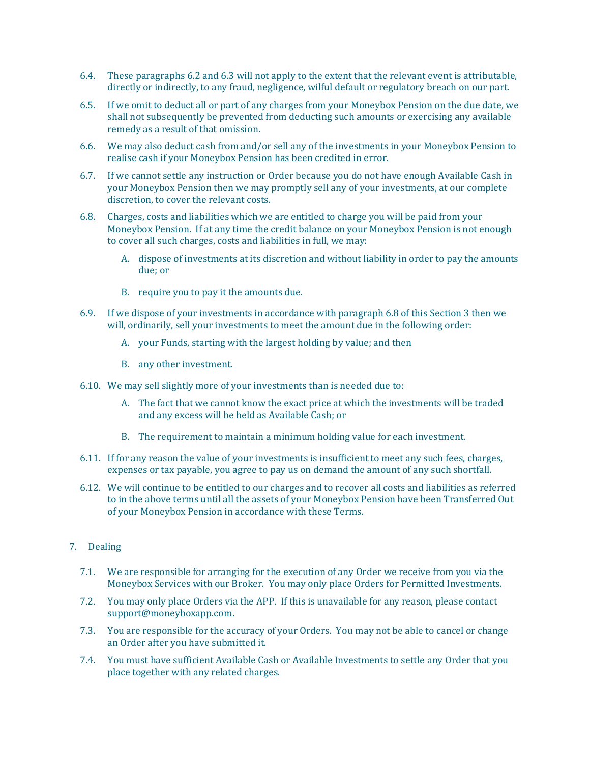- 6.4. These paragraphs 6.2 and 6.3 will not apply to the extent that the relevant event is attributable, directly or indirectly, to any fraud, negligence, wilful default or regulatory breach on our part.
- 6.5. If we omit to deduct all or part of any charges from your Moneybox Pension on the due date, we shall not subsequently be prevented from deducting such amounts or exercising any available remedy as a result of that omission.
- 6.6. We may also deduct cash from and/or sell any of the investments in your Moneybox Pension to realise cash if your Moneybox Pension has been credited in error.
- 6.7. If we cannot settle any instruction or Order because you do not have enough Available Cash in your Moneybox Pension then we may promptly sell any of your investments, at our complete discretion, to cover the relevant costs.
- 6.8. Charges, costs and liabilities which we are entitled to charge you will be paid from your Moneybox Pension. If at any time the credit balance on your Moneybox Pension is not enough to cover all such charges, costs and liabilities in full, we may:
	- A. dispose of investments at its discretion and without liability in order to pay the amounts due; or
	- B. require you to pay it the amounts due.
- 6.9. If we dispose of your investments in accordance with paragraph 6.8 of this Section 3 then we will, ordinarily, sell your investments to meet the amount due in the following order:
	- A. your Funds, starting with the largest holding by value; and then
	- B. any other investment.
- 6.10. We may sell slightly more of your investments than is needed due to:
	- A. The fact that we cannot know the exact price at which the investments will be traded and any excess will be held as Available Cash; or
	- B. The requirement to maintain a minimum holding value for each investment.
- 6.11. If for any reason the value of your investments is insufficient to meet any such fees, charges, expenses or tax payable, you agree to pay us on demand the amount of any such shortfall.
- 6.12. We will continue to be entitled to our charges and to recover all costs and liabilities as referred to in the above terms until all the assets of your Moneybox Pension have been Transferred Out of your Moneybox Pension in accordance with these Terms.
- 7. Dealing
	- 7.1. We are responsible for arranging for the execution of any Order we receive from you via the Moneybox Services with our Broker. You may only place Orders for Permitted Investments.
	- 7.2. You may only place Orders via the APP. If this is unavailable for any reason, please contact [support@moneyboxapp.com.](mailto:support@monyeboxapp.com)
	- 7.3. You are responsible for the accuracy of your Orders. You may not be able to cancel or change an Order after you have submitted it.
	- 7.4. You must have sufficient Available Cash or Available Investments to settle any Order that you place together with any related charges.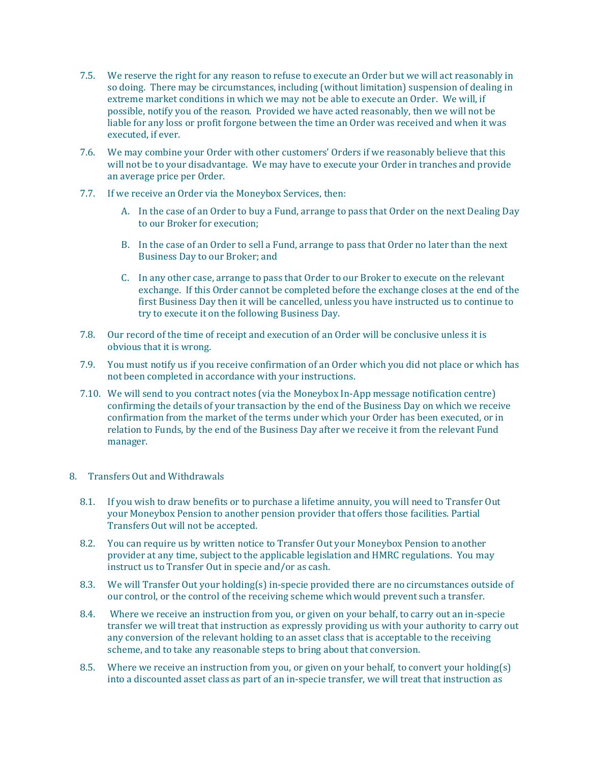- 7.5. We reserve the right for any reason to refuse to execute an Order but we will act reasonably in so doing. There may be circumstances, including (without limitation) suspension of dealing in extreme market conditions in which we may not be able to execute an Order. We will, if possible, notify you of the reason. Provided we have acted reasonably, then we will not be liable for any loss or profit forgone between the time an Order was received and when it was executed, if ever.
- 7.6. We may combine your Order with other customers' Orders if we reasonably believe that this will not be to your disadvantage. We may have to execute your Order in tranches and provide an average price per Order.
- 7.7. If we receive an Order via the Moneybox Services, then:
	- A. In the case of an Order to buy a Fund, arrange to pass that Order on the next Dealing Day to our Broker for execution;
	- B. In the case of an Order to sell a Fund, arrange to pass that Order no later than the next Business Day to our Broker; and
	- C. In any other case, arrange to pass that Order to our Broker to execute on the relevant exchange. If this Order cannot be completed before the exchange closes at the end of the first Business Day then it will be cancelled, unless you have instructed us to continue to try to execute it on the following Business Day.
- 7.8. Our record of the time of receipt and execution of an Order will be conclusive unless it is obvious that it is wrong.
- 7.9. You must notify us if you receive confirmation of an Order which you did not place or which has not been completed in accordance with your instructions.
- 7.10. We will send to you contract notes (via the Moneybox In-App message notification centre) confirming the details of your transaction by the end of the Business Day on which we receive confirmation from the market of the terms under which your Order has been executed, or in relation to Funds, by the end of the Business Day after we receive it from the relevant Fund manager.
- 8. Transfers Out and Withdrawals
	- 8.1. If you wish to draw benefits or to purchase a lifetime annuity, you will need to Transfer Out your Moneybox Pension to another pension provider that offers those facilities. Partial Transfers Out will not be accepted.
	- 8.2. You can require us by written notice to Transfer Out your Moneybox Pension to another provider at any time, subject to the applicable legislation and HMRC regulations. You may instruct us to Transfer Out in specie and/or as cash.
	- 8.3. We will Transfer Out your holding(s) in-specie provided there are no circumstances outside of our control, or the control of the receiving scheme which would prevent such a transfer.
	- 8.4. Where we receive an instruction from you, or given on your behalf, to carry out an in-specie transfer we will treat that instruction as expressly providing us with your authority to carry out any conversion of the relevant holding to an asset class that is acceptable to the receiving scheme, and to take any reasonable steps to bring about that conversion.
	- 8.5. Where we receive an instruction from you, or given on your behalf, to convert your holding(s) into a discounted asset class as part of an in-specie transfer, we will treat that instruction as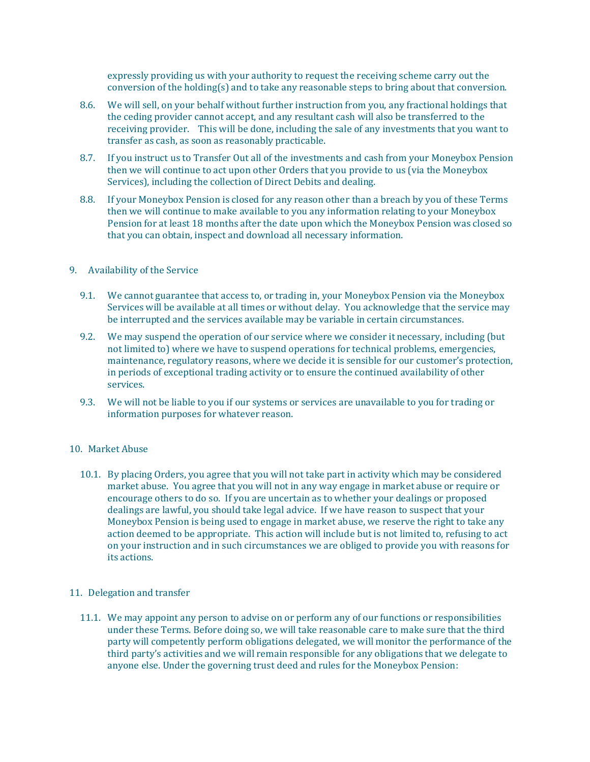expressly providing us with your authority to request the receiving scheme carry out the conversion of the holding(s) and to take any reasonable steps to bring about that conversion.

- 8.6. We will sell, on your behalf without further instruction from you, any fractional holdings that the ceding provider cannot accept, and any resultant cash will also be transferred to the receiving provider. This will be done, including the sale of any investments that you want to transfer as cash, as soon as reasonably practicable.
- 8.7. If you instruct us to Transfer Out all of the investments and cash from your Moneybox Pension then we will continue to act upon other Orders that you provide to us (via the Moneybox Services), including the collection of Direct Debits and dealing.
- 8.8. If your Moneybox Pension is closed for any reason other than a breach by you of these Terms then we will continue to make available to you any information relating to your Moneybox Pension for at least 18 months after the date upon which the Moneybox Pension was closed so that you can obtain, inspect and download all necessary information.

### 9. Availability of the Service

- 9.1. We cannot guarantee that access to, or trading in, your Moneybox Pension via the Moneybox Services will be available at all times or without delay. You acknowledge that the service may be interrupted and the services available may be variable in certain circumstances.
- 9.2. We may suspend the operation of our service where we consider it necessary, including (but not limited to) where we have to suspend operations for technical problems, emergencies, maintenance, regulatory reasons, where we decide it is sensible for our customer's protection, in periods of exceptional trading activity or to ensure the continued availability of other services.
- 9.3. We will not be liable to you if our systems or services are unavailable to you for trading or information purposes for whatever reason.

#### 10. Market Abuse

10.1. By placing Orders, you agree that you will not take part in activity which may be considered market abuse. You agree that you will not in any way engage in market abuse or require or encourage others to do so. If you are uncertain as to whether your dealings or proposed dealings are lawful, you should take legal advice. If we have reason to suspect that your Moneybox Pension is being used to engage in market abuse, we reserve the right to take any action deemed to be appropriate. This action will include but is not limited to, refusing to act on your instruction and in such circumstances we are obliged to provide you with reasons for its actions.

## 11. Delegation and transfer

11.1. We may appoint any person to advise on or perform any of our functions or responsibilities under these Terms. Before doing so, we will take reasonable care to make sure that the third party will competently perform obligations delegated, we will monitor the performance of the third party's activities and we will remain responsible for any obligations that we delegate to anyone else. Under the governing trust deed and rules for the Moneybox Pension: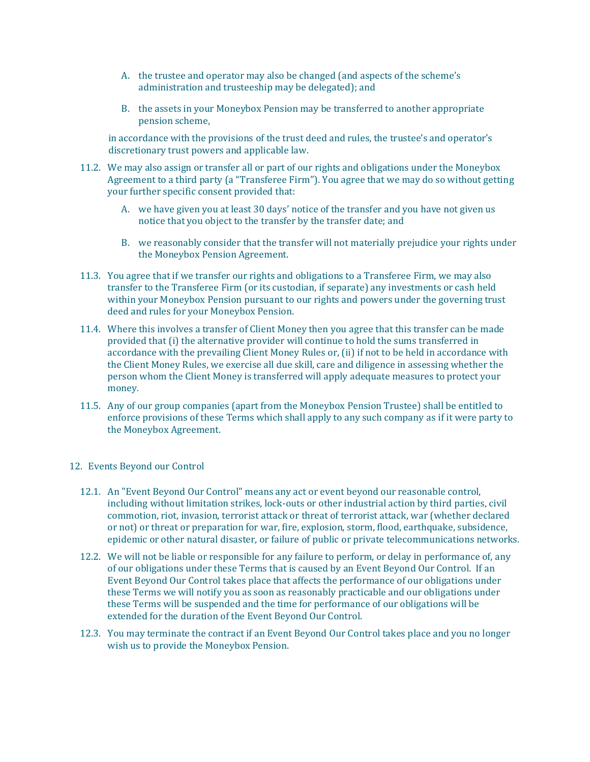- A. the trustee and operator may also be changed (and aspects of the scheme's administration and trusteeship may be delegated); and
- B. the assets in your Moneybox Pension may be transferred to another appropriate pension scheme,

in accordance with the provisions of the trust deed and rules, the trustee's and operator's discretionary trust powers and applicable law.

- 11.2. We may also assign or transfer all or part of our rights and obligations under the Moneybox Agreement to a third party (a "Transferee Firm"). You agree that we may do so without getting your further specific consent provided that:
	- A. we have given you at least 30 days' notice of the transfer and you have not given us notice that you object to the transfer by the transfer date; and
	- B. we reasonably consider that the transfer will not materially prejudice your rights under the Moneybox Pension Agreement.
- 11.3. You agree that if we transfer our rights and obligations to a Transferee Firm, we may also transfer to the Transferee Firm (or its custodian, if separate) any investments or cash held within your Moneybox Pension pursuant to our rights and powers under the governing trust deed and rules for your Moneybox Pension.
- 11.4. Where this involves a transfer of Client Money then you agree that this transfer can be made provided that (i) the alternative provider will continue to hold the sums transferred in accordance with the prevailing Client Money Rules or, (ii) if not to be held in accordance with the Client Money Rules, we exercise all due skill, care and diligence in assessing whether the person whom the Client Money is transferred will apply adequate measures to protect your money.
- 11.5. Any of our group companies (apart from the Moneybox Pension Trustee) shall be entitled to enforce provisions of these Terms which shall apply to any such company as if it were party to the Moneybox Agreement.
- 12. Events Beyond our Control
	- 12.1. An "Event Beyond Our Control" means any act or event beyond our reasonable control, including without limitation strikes, lock-outs or other industrial action by third parties, civil commotion, riot, invasion, terrorist attack or threat of terrorist attack, war (whether declared or not) or threat or preparation for war, fire, explosion, storm, flood, earthquake, subsidence, epidemic or other natural disaster, or failure of public or private telecommunications networks.
	- 12.2. We will not be liable or responsible for any failure to perform, or delay in performance of, any of our obligations under these Terms that is caused by an Event Beyond Our Control. If an Event Beyond Our Control takes place that affects the performance of our obligations under these Terms we will notify you as soon as reasonably practicable and our obligations under these Terms will be suspended and the time for performance of our obligations will be extended for the duration of the Event Beyond Our Control.
	- 12.3. You may terminate the contract if an Event Beyond Our Control takes place and you no longer wish us to provide the Moneybox Pension.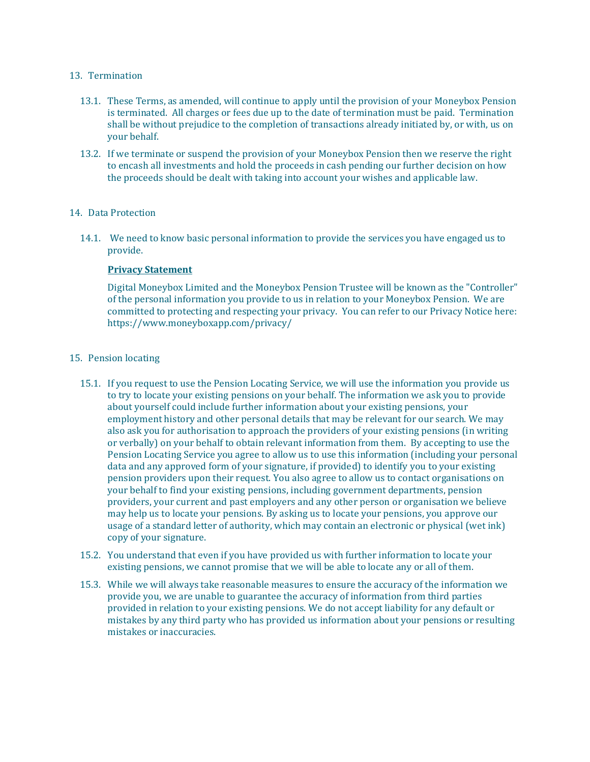### 13. Termination

- 13.1. These Terms, as amended, will continue to apply until the provision of your Moneybox Pension is terminated. All charges or fees due up to the date of termination must be paid. Termination shall be without prejudice to the completion of transactions already initiated by, or with, us on your behalf.
- 13.2. If we terminate or suspend the provision of your Moneybox Pension then we reserve the right to encash all investments and hold the proceeds in cash pending our further decision on how the proceeds should be dealt with taking into account your wishes and applicable law.

# 14. Data Protection

14.1. We need to know basic personal information to provide the services you have engaged us to provide.

#### **Privacy Statement**

Digital Moneybox Limited and the Moneybox Pension Trustee will be known as the "Controller" of the personal information you provide to us in relation to your Moneybox Pension. We are committed to protecting and respecting your privacy. You can refer to our Privacy Notice here: https://www.moneyboxapp.com/privacy/

#### 15. Pension locating

- 15.1. If you request to use the Pension Locating Service, we will use the information you provide us to try to locate your existing pensions on your behalf. The information we ask you to provide about yourself could include further information about your existing pensions, your employment history and other personal details that may be relevant for our search. We may also ask you for authorisation to approach the providers of your existing pensions (in writing or verbally) on your behalf to obtain relevant information from them. By accepting to use the Pension Locating Service you agree to allow us to use this information (including your personal data and any approved form of your signature, if provided) to identify you to your existing pension providers upon their request. You also agree to allow us to contact organisations on your behalf to find your existing pensions, including government departments, pension providers, your current and past employers and any other person or organisation we believe may help us to locate your pensions. By asking us to locate your pensions, you approve our usage of a standard letter of authority, which may contain an electronic or physical (wet ink) copy of your signature.
- 15.2. You understand that even if you have provided us with further information to locate your existing pensions, we cannot promise that we will be able to locate any or all of them.
- 15.3. While we will always take reasonable measures to ensure the accuracy of the information we provide you, we are unable to guarantee the accuracy of information from third parties provided in relation to your existing pensions. We do not accept liability for any default or mistakes by any third party who has provided us information about your pensions or resulting mistakes or inaccuracies.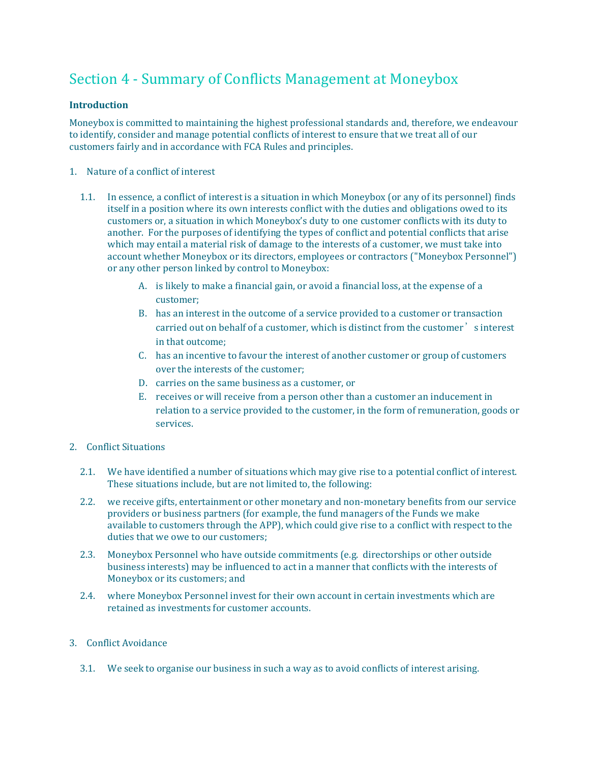# <span id="page-46-0"></span>Section 4 - Summary of Conflicts Management at Moneybox

# **Introduction**

Moneybox is committed to maintaining the highest professional standards and, therefore, we endeavour to identify, consider and manage potential conflicts of interest to ensure that we treat all of our customers fairly and in accordance with FCA Rules and principles.

- 1. Nature of a conflict of interest
	- 1.1. In essence, a conflict of interest is a situation in which Moneybox (or any of its personnel) finds itself in a position where its own interests conflict with the duties and obligations owed to its customers or, a situation in which Moneybox's duty to one customer conflicts with its duty to another. For the purposes of identifying the types of conflict and potential conflicts that arise which may entail a material risk of damage to the interests of a customer, we must take into account whether Moneybox or its directors, employees or contractors ("Moneybox Personnel") or any other person linked by control to Moneybox:
		- A. is likely to make a financial gain, or avoid a financial loss, at the expense of a customer;
		- B. has an interest in the outcome of a service provided to a customer or transaction carried out on behalf of a customer, which is distinct from the customer's interest in that outcome;
		- C. has an incentive to favour the interest of another customer or group of customers over the interests of the customer;
		- D. carries on the same business as a customer, or
		- E. receives or will receive from a person other than a customer an inducement in relation to a service provided to the customer, in the form of remuneration, goods or services.
- 2. Conflict Situations
	- 2.1. We have identified a number of situations which may give rise to a potential conflict of interest. These situations include, but are not limited to, the following:
	- 2.2. we receive gifts, entertainment or other monetary and non-monetary benefits from our service providers or business partners (for example, the fund managers of the Funds we make available to customers through the APP), which could give rise to a conflict with respect to the duties that we owe to our customers;
	- 2.3. Moneybox Personnel who have outside commitments (e.g. directorships or other outside business interests) may be influenced to act in a manner that conflicts with the interests of Moneybox or its customers; and
	- 2.4. where Moneybox Personnel invest for their own account in certain investments which are retained as investments for customer accounts.

# 3. Conflict Avoidance

3.1. We seek to organise our business in such a way as to avoid conflicts of interest arising.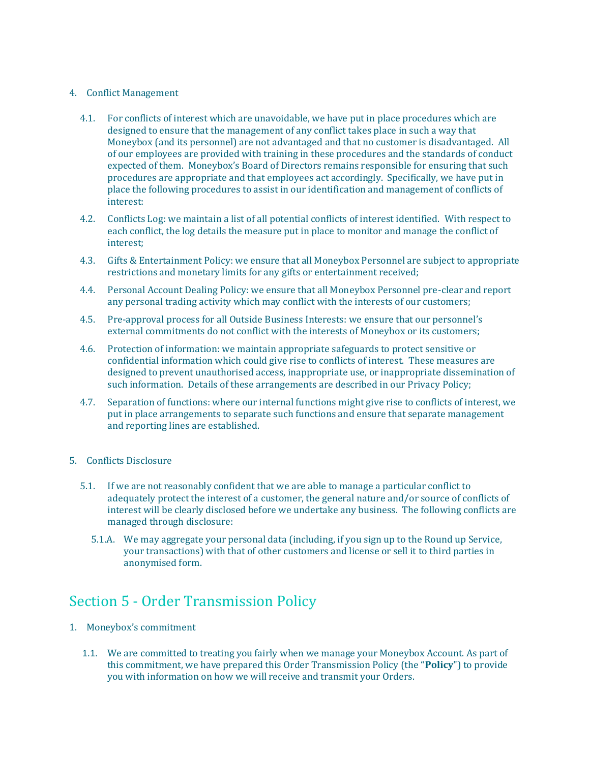## 4. Conflict Management

- 4.1. For conflicts of interest which are unavoidable, we have put in place procedures which are designed to ensure that the management of any conflict takes place in such a way that Moneybox (and its personnel) are not advantaged and that no customer is disadvantaged. All of our employees are provided with training in these procedures and the standards of conduct expected of them. Moneybox's Board of Directors remains responsible for ensuring that such procedures are appropriate and that employees act accordingly. Specifically, we have put in place the following procedures to assist in our identification and management of conflicts of interest:
- 4.2. Conflicts Log: we maintain a list of all potential conflicts of interest identified. With respect to each conflict, the log details the measure put in place to monitor and manage the conflict of interest;
- 4.3. Gifts & Entertainment Policy: we ensure that all Moneybox Personnel are subject to appropriate restrictions and monetary limits for any gifts or entertainment received;
- 4.4. Personal Account Dealing Policy: we ensure that all Moneybox Personnel pre-clear and report any personal trading activity which may conflict with the interests of our customers;
- 4.5. Pre-approval process for all Outside Business Interests: we ensure that our personnel's external commitments do not conflict with the interests of Moneybox or its customers;
- 4.6. Protection of information: we maintain appropriate safeguards to protect sensitive or confidential information which could give rise to conflicts of interest. These measures are designed to prevent unauthorised access, inappropriate use, or inappropriate dissemination of such information. Details of these arrangements are described in our [Privacy Policy;](https://www.moneyboxapp.com/privacy/)
- 4.7. Separation of functions: where our internal functions might give rise to conflicts of interest, we put in place arrangements to separate such functions and ensure that separate management and reporting lines are established.

### 5. Conflicts Disclosure

- 5.1. If we are not reasonably confident that we are able to manage a particular conflict to adequately protect the interest of a customer, the general nature and/or source of conflicts of interest will be clearly disclosed before we undertake any business. The following conflicts are managed through disclosure:
	- 5.1.A. We may aggregate your personal data (including, if you sign up to the Round up Service, your transactions) with that of other customers and license or sell it to third parties in anonymised form.

# <span id="page-47-0"></span>Section 5 - Order Transmission Policy

- 1. Moneybox's commitment
	- 1.1. We are committed to treating you fairly when we manage your Moneybox Account. As part of this commitment, we have prepared this Order Transmission Policy (the "**Policy**") to provide you with information on how we will receive and transmit your Orders.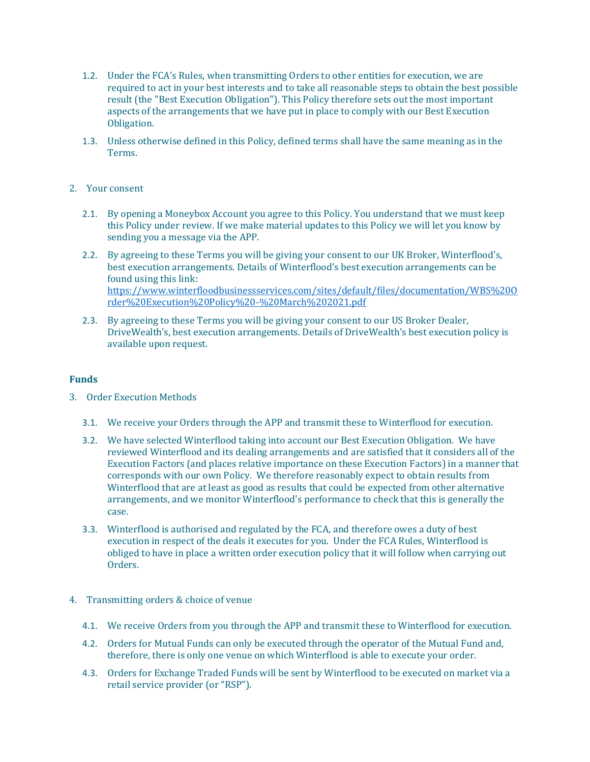- 1.2. Under the FCA's Rules, when transmitting Orders to other entities for execution, we are required to act in your best interests and to take all reasonable steps to obtain the best possible result (the "Best Execution Obligation"). This Policy therefore sets out the most important aspects of the arrangements that we have put in place to comply with our Best Execution Obligation.
- 1.3. Unless otherwise defined in this Policy, defined terms shall have the same meaning as in the Terms.

# 2. Your consent

- 2.1. By opening a Moneybox Account you agree to this Policy. You understand that we must keep this Policy under review. If we make material updates to this Policy we will let you know by sending you a message via the APP.
- 2.2. By agreeing to these Terms you will be giving your consent to our UK Broker, Winterflood's, best execution arrangements. Details of Winterflood's best execution arrangements can be found using this link: [https://www.winterfloodbusinessservices.com/sites/default/files/documentation/WBS%20O](https://www.winterfloodbusinessservices.com/sites/default/files/documentation/WBS%20Order%20Execution%20Policy%20-%20March%202021.pdf) [rder%20Execution%20Policy%20-%20March%202021.pdf](https://www.winterfloodbusinessservices.com/sites/default/files/documentation/WBS%20Order%20Execution%20Policy%20-%20March%202021.pdf)
- 2.3. By agreeing to these Terms you will be giving your consent to our US Broker Dealer, DriveWealth's, best execution arrangements. Details of DriveWealth's best execution policy is available upon request.

#### **Funds**

- 3. Order Execution Methods
	- 3.1. We receive your Orders through the APP and transmit these to Winterflood for execution.
	- 3.2. We have selected Winterflood taking into account our Best Execution Obligation. We have reviewed Winterflood and its dealing arrangements and are satisfied that it considers all of the Execution Factors (and places relative importance on these Execution Factors) in a manner that corresponds with our own Policy. We therefore reasonably expect to obtain results from Winterflood that are at least as good as results that could be expected from other alternative arrangements, and we monitor Winterflood's performance to check that this is generally the case.
	- 3.3. Winterflood is authorised and regulated by the FCA, and therefore owes a duty of best execution in respect of the deals it executes for you. Under the FCA Rules, Winterflood is obliged to have in place a written order execution policy that it will follow when carrying out Orders.
- 4. Transmitting orders & choice of venue
	- 4.1. We receive Orders from you through the APP and transmit these to Winterflood for execution.
	- 4.2. Orders for Mutual Funds can only be executed through the operator of the Mutual Fund and, therefore, there is only one venue on which Winterflood is able to execute your order.
	- 4.3. Orders for Exchange Traded Funds will be sent by Winterflood to be executed on market via a retail service provider (or "RSP").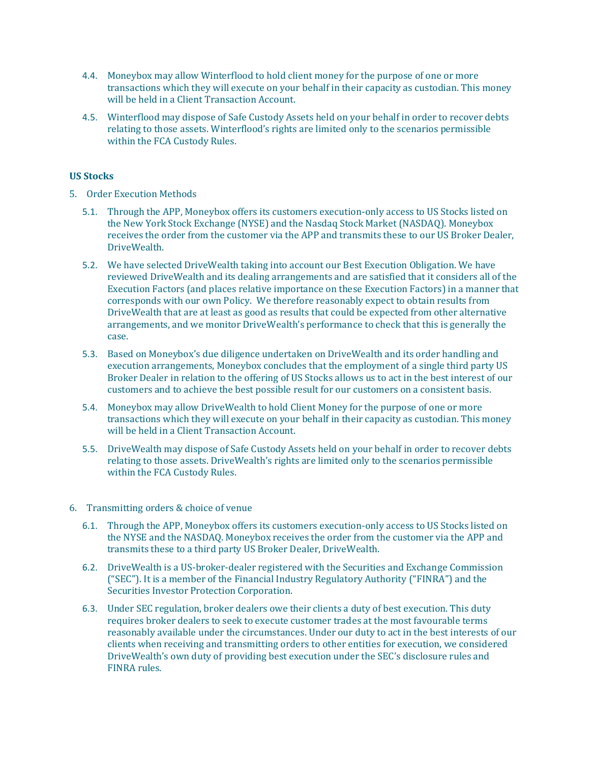- 4.4. Moneybox may allow Winterflood to hold client money for the purpose of one or more transactions which they will execute on your behalf in their capacity as custodian. This money will be held in a Client Transaction Account.
- 4.5. Winterflood may dispose of Safe Custody Assets held on your behalf in order to recover debts relating to those assets. Winterflood's rights are limited only to the scenarios permissible within the FCA Custody Rules.

# **US Stocks**

- 5. Order Execution Methods
	- 5.1. Through the APP, Moneybox offers its customers execution-only access to US Stocks listed on the New York Stock Exchange (NYSE) and the Nasdaq Stock Market (NASDAQ). Moneybox receives the order from the customer via the APP and transmits these to our US Broker Dealer, DriveWealth.
	- 5.2. We have selected DriveWealth taking into account our Best Execution Obligation. We have reviewed DriveWealth and its dealing arrangements and are satisfied that it considers all of the Execution Factors (and places relative importance on these Execution Factors) in a manner that corresponds with our own Policy. We therefore reasonably expect to obtain results from DriveWealth that are at least as good as results that could be expected from other alternative arrangements, and we monitor DriveWealth's performance to check that this is generally the case.
	- 5.3. Based on Moneybox's due diligence undertaken on DriveWealth and its order handling and execution arrangements, Moneybox concludes that the employment of a single third party US Broker Dealer in relation to the offering of US Stocks allows us to act in the best interest of our customers and to achieve the best possible result for our customers on a consistent basis.
	- 5.4. Moneybox may allow DriveWealth to hold Client Money for the purpose of one or more transactions which they will execute on your behalf in their capacity as custodian. This money will be held in a Client Transaction Account.
	- 5.5. DriveWealth may dispose of Safe Custody Assets held on your behalf in order to recover debts relating to those assets. DriveWealth's rights are limited only to the scenarios permissible within the FCA Custody Rules.

# 6. Transmitting orders & choice of venue

- 6.1. Through the APP, Moneybox offers its customers execution-only access to US Stocks listed on the NYSE and the NASDAQ. Moneybox receives the order from the customer via the APP and transmits these to a third party US Broker Dealer, DriveWealth.
- 6.2. DriveWealth is a US-broker-dealer registered with the Securities and Exchange Commission ("SEC"). It is a member of the Financial Industry Regulatory Authority ("FINRA") and the Securities Investor Protection Corporation.
- 6.3. Under SEC regulation, broker dealers owe their clients a duty of best execution. This duty requires broker dealers to seek to execute customer trades at the most favourable terms reasonably available under the circumstances. Under our duty to act in the best interests of our clients when receiving and transmitting orders to other entities for execution, we considered DriveWealth's own duty of providing best execution under the SEC's disclosure rules and FINRA rules.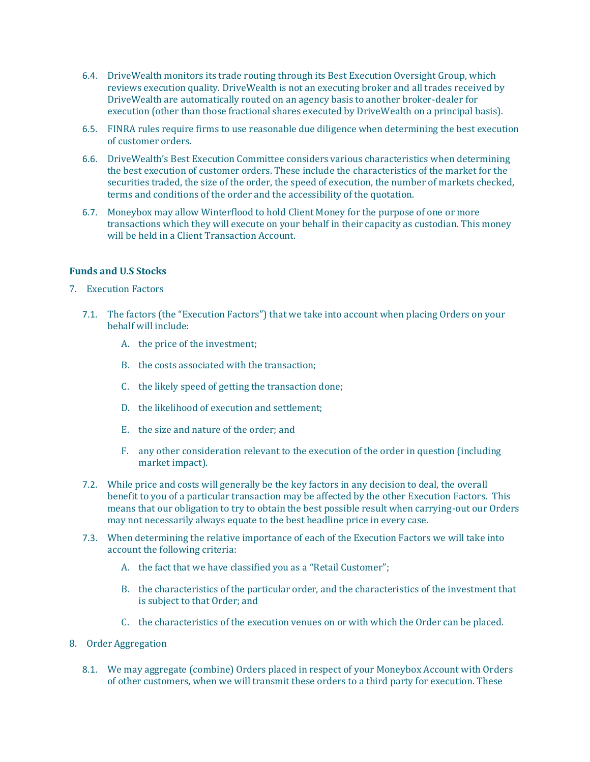- 6.4. DriveWealth monitors its trade routing through its Best Execution Oversight Group, which reviews execution quality. DriveWealth is not an executing broker and all trades received by DriveWealth are automatically routed on an agency basis to another broker-dealer for execution (other than those fractional shares executed by DriveWealth on a principal basis).
- 6.5. FINRA rules require firms to use reasonable due diligence when determining the best execution of customer orders.
- 6.6. DriveWealth's Best Execution Committee considers various characteristics when determining the best execution of customer orders. These include the characteristics of the market for the securities traded, the size of the order, the speed of execution, the number of markets checked, terms and conditions of the order and the accessibility of the quotation.
- 6.7. Moneybox may allow Winterflood to hold Client Money for the purpose of one or more transactions which they will execute on your behalf in their capacity as custodian. This money will be held in a Client Transaction Account.

### **Funds and U.S Stocks**

- 7. Execution Factors
	- 7.1. The factors (the "Execution Factors") that we take into account when placing Orders on your behalf will include:
		- A. the price of the investment;
		- B. the costs associated with the transaction;
		- C. the likely speed of getting the transaction done;
		- D. the likelihood of execution and settlement;
		- E. the size and nature of the order; and
		- F. any other consideration relevant to the execution of the order in question (including market impact).
	- 7.2. While price and costs will generally be the key factors in any decision to deal, the overall benefit to you of a particular transaction may be affected by the other Execution Factors. This means that our obligation to try to obtain the best possible result when carrying-out our Orders may not necessarily always equate to the best headline price in every case.
	- 7.3. When determining the relative importance of each of the Execution Factors we will take into account the following criteria:
		- A. the fact that we have classified you as a "Retail Customer";
		- B. the characteristics of the particular order, and the characteristics of the investment that is subject to that Order; and
		- C. the characteristics of the execution venues on or with which the Order can be placed.
- 8. Order Aggregation
	- 8.1. We may aggregate (combine) Orders placed in respect of your Moneybox Account with Orders of other customers, when we will transmit these orders to a third party for execution. These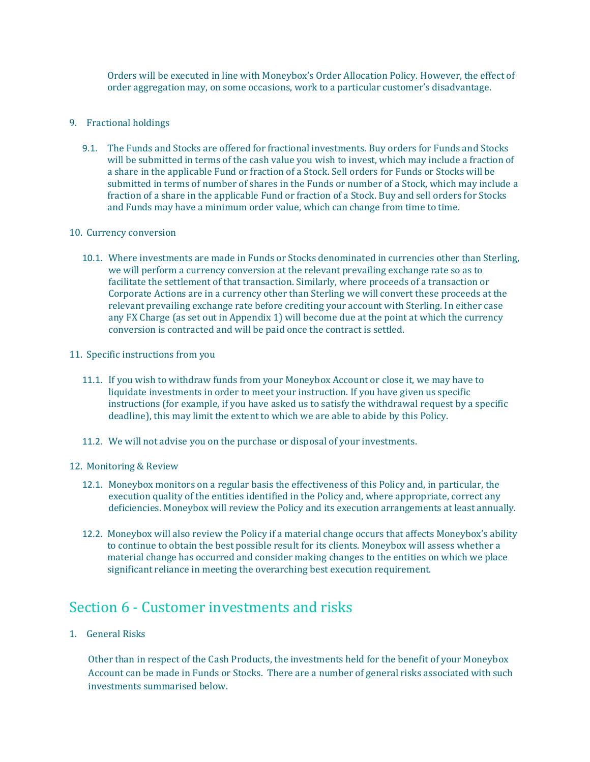Orders will be executed in line with Moneybox's Order Allocation Policy. However, the effect of order aggregation may, on some occasions, work to a particular customer's disadvantage.

- 9. Fractional holdings
	- 9.1. The Funds and Stocks are offered for fractional investments. Buy orders for Funds and Stocks will be submitted in terms of the cash value you wish to invest, which may include a fraction of a share in the applicable Fund or fraction of a Stock. Sell orders for Funds or Stocks will be submitted in terms of number of shares in the Funds or number of a Stock, which may include a fraction of a share in the applicable Fund or fraction of a Stock. Buy and sell orders for Stocks and Funds may have a minimum order value, which can change from time to time.

#### 10. Currency conversion

10.1. Where investments are made in Funds or Stocks denominated in currencies other than Sterling, we will perform a currency conversion at the relevant prevailing exchange rate so as to facilitate the settlement of that transaction. Similarly, where proceeds of a transaction or Corporate Actions are in a currency other than Sterling we will convert these proceeds at the relevant prevailing exchange rate before crediting your account with Sterling. In either case any FX Charge (as set out in Appendix 1) will become due at the point at which the currency conversion is contracted and will be paid once the contract is settled.

# 11. Specific instructions from you

- 11.1. If you wish to withdraw funds from your Moneybox Account or close it, we may have to liquidate investments in order to meet your instruction. If you have given us specific instructions (for example, if you have asked us to satisfy the withdrawal request by a specific deadline), this may limit the extent to which we are able to abide by this Policy.
- 11.2. We will not advise you on the purchase or disposal of your investments.

# 12. Monitoring & Review

- 12.1. Moneybox monitors on a regular basis the effectiveness of this Policy and, in particular, the execution quality of the entities identified in the Policy and, where appropriate, correct any deficiencies. Moneybox will review the Policy and its execution arrangements at least annually.
- 12.2. Moneybox will also review the Policy if a material change occurs that affects Moneybox's ability to continue to obtain the best possible result for its clients. Moneybox will assess whether a material change has occurred and consider making changes to the entities on which we place significant reliance in meeting the overarching best execution requirement.

# <span id="page-51-0"></span>Section 6 - Customer investments and risks

1. General Risks

Other than in respect of the Cash Products, the investments held for the benefit of your Moneybox Account can be made in Funds or Stocks. There are a number of general risks associated with such investments summarised below.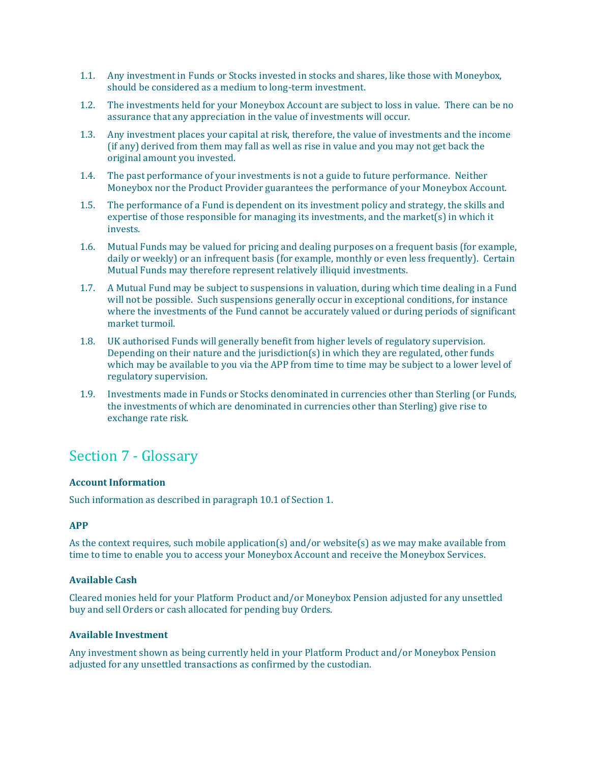- 1.1. Any investment in Funds or Stocks invested in stocks and shares, like those with Moneybox, should be considered as a medium to long-term investment.
- 1.2. The investments held for your Moneybox Account are subject to loss in value. There can be no assurance that any appreciation in the value of investments will occur.
- 1.3. Any investment places your capital at risk, therefore, the value of investments and the income (if any) derived from them may fall as well as rise in value and you may not get back the original amount you invested.
- 1.4. The past performance of your investments is not a guide to future performance. Neither Moneybox nor the Product Provider guarantees the performance of your Moneybox Account.
- 1.5. The performance of a Fund is dependent on its investment policy and strategy, the skills and expertise of those responsible for managing its investments, and the market(s) in which it invests.
- 1.6. Mutual Funds may be valued for pricing and dealing purposes on a frequent basis (for example, daily or weekly) or an infrequent basis (for example, monthly or even less frequently). Certain Mutual Funds may therefore represent relatively illiquid investments.
- 1.7. A Mutual Fund may be subject to suspensions in valuation, during which time dealing in a Fund will not be possible. Such suspensions generally occur in exceptional conditions, for instance where the investments of the Fund cannot be accurately valued or during periods of significant market turmoil.
- 1.8. UK authorised Funds will generally benefit from higher levels of regulatory supervision. Depending on their nature and the jurisdiction(s) in which they are regulated, other funds which may be available to you via the APP from time to time may be subject to a lower level of regulatory supervision.
- 1.9. Investments made in Funds or Stocks denominated in currencies other than Sterling (or Funds, the investments of which are denominated in currencies other than Sterling) give rise to exchange rate risk.

# <span id="page-52-0"></span>Section 7 - Glossary

# **Account Information**

Such information as described in paragraph 10.1 of Section 1.

# **APP**

As the context requires, such mobile application(s) and/or website(s) as we may make available from time to time to enable you to access your Moneybox Account and receive the Moneybox Services.

# **Available Cash**

Cleared monies held for your Platform Product and/or Moneybox Pension adjusted for any unsettled buy and sell Orders or cash allocated for pending buy Orders.

# **Available Investment**

Any investment shown as being currently held in your Platform Product and/or Moneybox Pension adjusted for any unsettled transactions as confirmed by the custodian.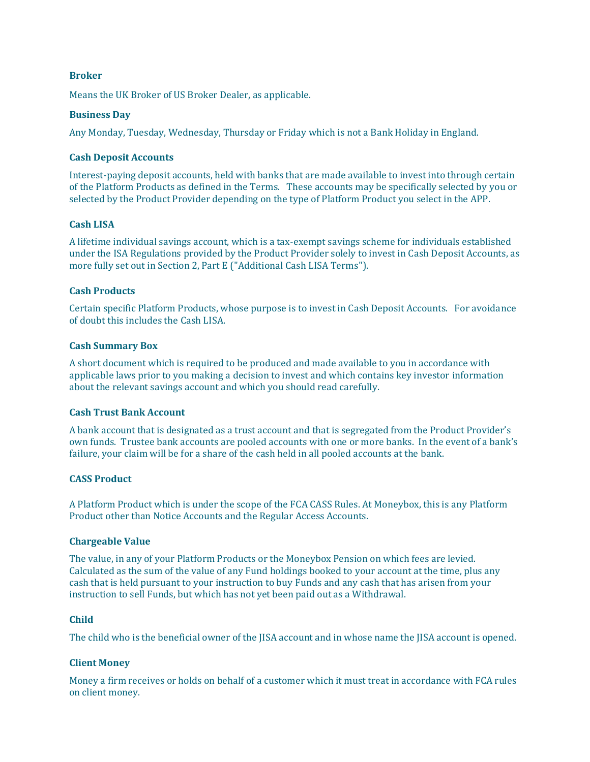#### **Broker**

Means the UK Broker of US Broker Dealer, as applicable.

#### **Business Day**

Any Monday, Tuesday, Wednesday, Thursday or Friday which is not a Bank Holiday in England.

#### **Cash Deposit Accounts**

Interest-paying deposit accounts, held with banks that are made available to invest into through certain of the Platform Products as defined in the Terms. These accounts may be specifically selected by you or selected by the Product Provider depending on the type of Platform Product you select in the APP.

#### **Cash LISA**

A lifetime individual savings account, which is a tax-exempt savings scheme for individuals established under the ISA Regulations provided by the Product Provider solely to invest in Cash Deposit Accounts, as more fully set out in Section 2, Part E ("Additional Cash LISA Terms").

## **Cash Products**

Certain specific Platform Products, whose purpose is to invest in Cash Deposit Accounts. For avoidance of doubt this includes the Cash LISA.

#### **Cash Summary Box**

A short document which is required to be produced and made available to you in accordance with applicable laws prior to you making a decision to invest and which contains key investor information about the relevant savings account and which you should read carefully.

### **Cash Trust Bank Account**

A bank account that is designated as a trust account and that is segregated from the Product Provider's own funds. Trustee bank accounts are pooled accounts with one or more banks. In the event of a bank's failure, your claim will be for a share of the cash held in all pooled accounts at the bank.

# **CASS Product**

A Platform Product which is under the scope of the FCA CASS Rules. At Moneybox, this is any Platform Product other than Notice Accounts and the Regular Access Accounts.

#### **Chargeable Value**

The value, in any of your Platform Products or the Moneybox Pension on which fees are levied. Calculated as the sum of the value of any Fund holdings booked to your account at the time, plus any cash that is held pursuant to your instruction to buy Funds and any cash that has arisen from your instruction to sell Funds, but which has not yet been paid out as a Withdrawal.

#### **Child**

The child who is the beneficial owner of the JISA account and in whose name the JISA account is opened.

# **Client Money**

Money a firm receives or holds on behalf of a customer which it must treat in accordance with FCA rules on client money.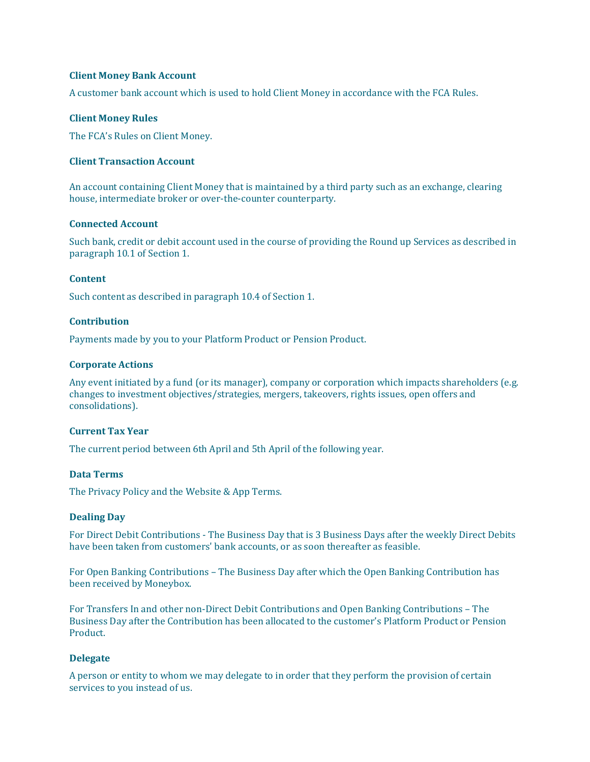#### **Client Money Bank Account**

A customer bank account which is used to hold Client Money in accordance with the FCA Rules.

### **Client Money Rules**

The FCA's Rules on Client Money.

#### **Client Transaction Account**

An account containing Client Money that is maintained by a third party such as an exchange, clearing house, intermediate broker or over-the-counter counterparty.

#### **Connected Account**

Such bank, credit or debit account used in the course of providing the Round up Services as described in paragraph 10.1 of Section 1.

#### **Content**

Such content as described in paragraph 10.4 of Section 1.

#### **Contribution**

Payments made by you to your Platform Product or Pension Product.

#### **Corporate Actions**

Any event initiated by a fund (or its manager), company or corporation which impacts shareholders (e.g. changes to investment objectives/strategies, mergers, takeovers, rights issues, open offers and consolidations).

# **Current Tax Year**

The current period between 6th April and 5th April of the following year.

## **Data Terms**

Th[e Privacy Policy](https://www.moneyboxapp.com/privacy/) and the [Website & App Terms.](https://www.moneyboxapp.com/terms-of-use/)

#### **Dealing Day**

For Direct Debit Contributions - The Business Day that is 3 Business Days after the weekly Direct Debits have been taken from customers' bank accounts, or as soon thereafter as feasible.

For Open Banking Contributions – The Business Day after which the Open Banking Contribution has been received by Moneybox.

For Transfers In and other non-Direct Debit Contributions and Open Banking Contributions – The Business Day after the Contribution has been allocated to the customer's Platform Product or Pension Product.

# **Delegate**

A person or entity to whom we may delegate to in order that they perform the provision of certain services to you instead of us.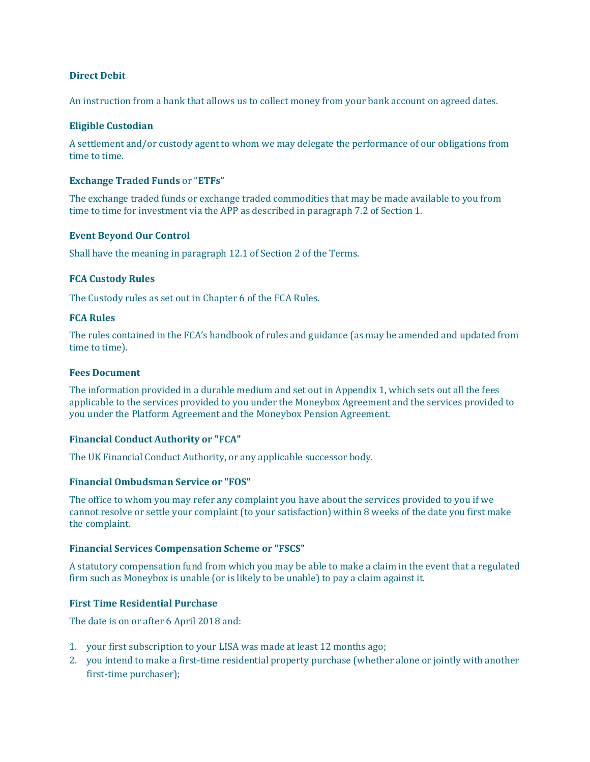### **Direct Debit**

An instruction from a bank that allows us to collect money from your bank account on agreed dates.

#### **Eligible Custodian**

A settlement and/or custody agent to whom we may delegate the performance of our obligations from time to time.

#### **Exchange Traded Funds** or "**ETFs"**

The exchange traded funds or exchange traded commodities that may be made available to you from time to time for investment via the APP as described in paragraph 7.2 of Section 1.

#### **Event Beyond Our Control**

Shall have the meaning in paragraph 12.1 of Section 2 of the Terms.

#### **FCA Custody Rules**

The Custody rules as set out in Chapter 6 of the FCA Rules.

#### **FCA Rules**

The rules contained in the FCA's handbook of rules and guidance (as may be amended and updated from time to time).

# **Fees Document**

The information provided in a durable medium and set out in Appendix 1, which sets out all the fees applicable to the services provided to you under the Moneybox Agreement and the services provided to you under the Platform Agreement and the Moneybox Pension Agreement.

# **Financial Conduct Authority or "FCA"**

The UK Financial Conduct Authority, or any applicable successor body.

#### **Financial Ombudsman Service or "FOS"**

The office to whom you may refer any complaint you have about the services provided to you if we cannot resolve or settle your complaint (to your satisfaction) within 8 weeks of the date you first make the complaint.

#### **Financial Services Compensation Scheme or "FSCS"**

A statutory compensation fund from which you may be able to make a claim in the event that a regulated firm such as Moneybox is unable (or is likely to be unable) to pay a claim against it.

### **First Time Residential Purchase**

The date is on or after 6 April 2018 and:

- 1. your first subscription to your LISA was made at least 12 months ago;
- 2. you intend to make a first-time residential property purchase (whether alone or jointly with another first-time purchaser);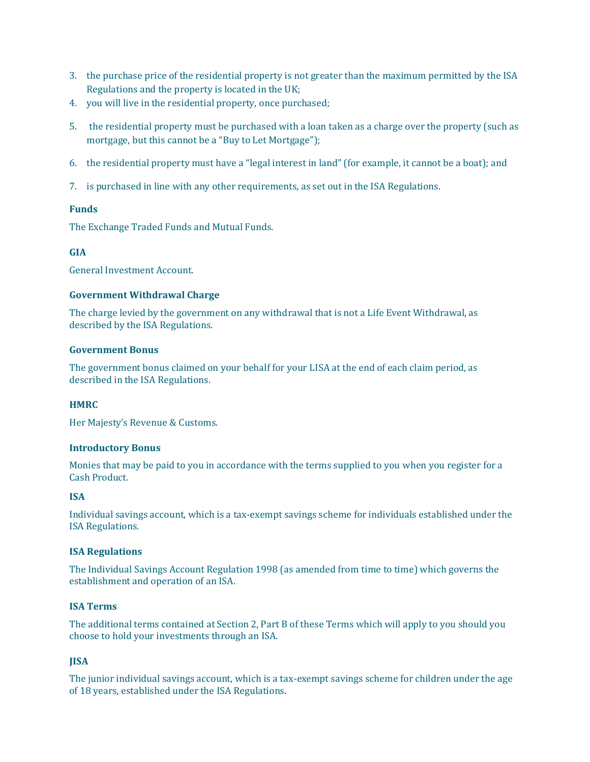- 3. the purchase price of the residential property is not greater than the maximum permitted by the ISA Regulations and the property is located in the UK;
- 4. you will live in the residential property, once purchased;
- 5. the residential property must be purchased with a loan taken as a charge over the property (such as mortgage, but this cannot be a "Buy to Let Mortgage");
- 6. the residential property must have a "legal interest in land" (for example, it cannot be a boat); and
- 7. is purchased in line with any other requirements, as set out in the ISA Regulations.

# **Funds**

The Exchange Traded Funds and Mutual Funds.

# **GIA**

General Investment Account.

#### **Government Withdrawal Charge**

The charge levied by the government on any withdrawal that is not a Life Event Withdrawal, as described by the ISA Regulations.

## **Government Bonus**

The government bonus claimed on your behalf for your LISA at the end of each claim period, as described in the ISA Regulations.

# **HMRC**

Her Majesty's Revenue & Customs.

# **Introductory Bonus**

Monies that may be paid to you in accordance with the terms supplied to you when you register for a Cash Product.

# **ISA**

Individual savings account, which is a tax-exempt savings scheme for individuals established under the ISA Regulations.

#### **ISA Regulations**

The Individual Savings Account Regulation 1998 (as amended from time to time) which governs the establishment and operation of an ISA.

#### **ISA Terms**

The additional terms contained at Section 2, Part B of these Terms which will apply to you should you choose to hold your investments through an ISA.

# **JISA**

The junior individual savings account, which is a tax-exempt savings scheme for children under the age of 18 years, established under the ISA Regulations.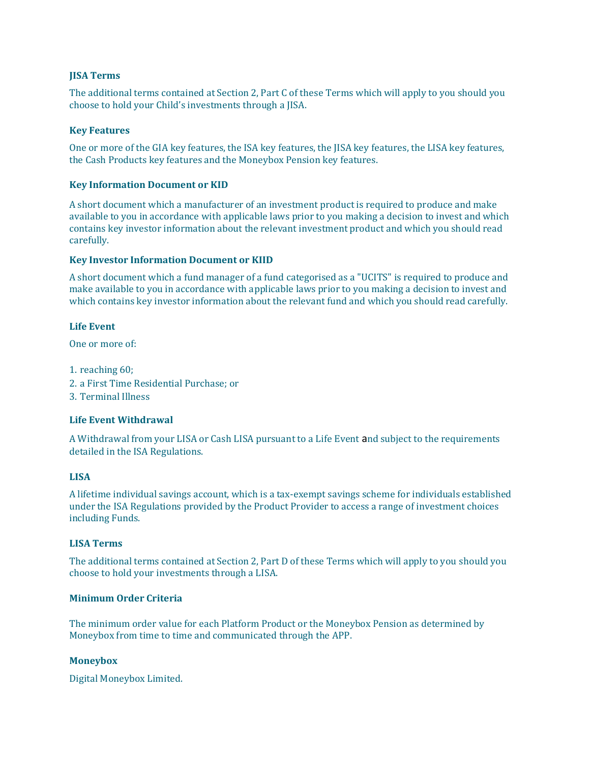### **JISA Terms**

The additional terms contained at Section 2, Part C of these Terms which will apply to you should you choose to hold your Child's investments through a JISA.

#### **Key Features**

One or more of the GIA key features, the ISA key features, the JISA key features, the LISA key features, the Cash Products key features and the Moneybox Pension key features.

### **Key Information Document or KID**

A short document which a manufacturer of an investment product is required to produce and make available to you in accordance with applicable laws prior to you making a decision to invest and which contains key investor information about the relevant investment product and which you should read carefully.

#### **Key Investor Information Document or KIID**

A short document which a fund manager of a fund categorised as a "UCITS" is required to produce and make available to you in accordance with applicable laws prior to you making a decision to invest and which contains key investor information about the relevant fund and which you should read carefully.

#### **Life Event**

One or more of:

- 1. reaching 60;
- 2. a First Time Residential Purchase; or
- 3. Terminal Illness

#### **Life Event Withdrawal**

A Withdrawal from your LISA or Cash LISA pursuant to a Life Event and subject to the requirements detailed in the ISA Regulations.

#### **LISA**

A lifetime individual savings account, which is a tax-exempt savings scheme for individuals established under the ISA Regulations provided by the Product Provider to access a range of investment choices including Funds.

#### **LISA Terms**

The additional terms contained at Section 2, Part D of these Terms which will apply to you should you choose to hold your investments through a LISA.

# **Minimum Order Criteria**

The minimum order value for each Platform Product or the Moneybox Pension as determined by Moneybox from time to time and communicated through the APP.

#### **Moneybox**

Digital Moneybox Limited.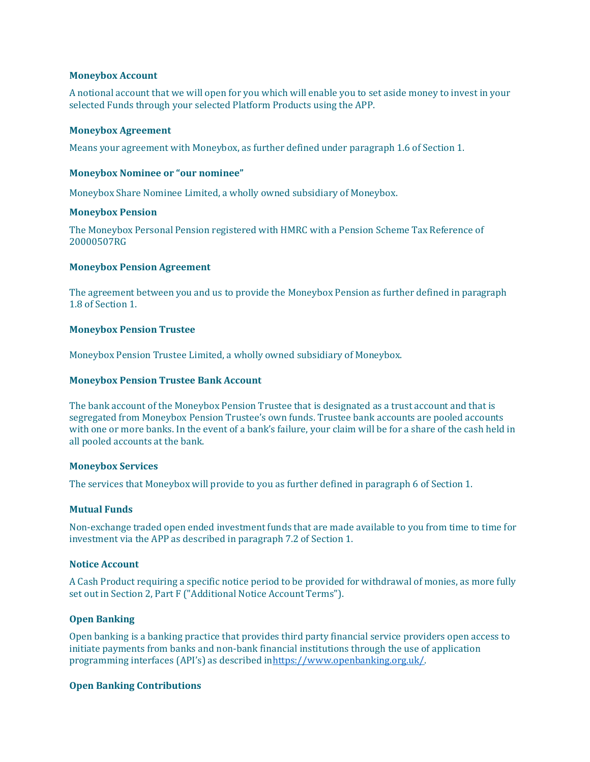#### **Moneybox Account**

A notional account that we will open for you which will enable you to set aside money to invest in your selected Funds through your selected Platform Products using the APP.

#### **Moneybox Agreement**

Means your agreement with Moneybox, as further defined under paragraph 1.6 of Section 1.

#### **Moneybox Nominee or "our nominee"**

Moneybox Share Nominee Limited, a wholly owned subsidiary of Moneybox.

#### **Moneybox Pension**

The Moneybox Personal Pension registered with HMRC with a Pension Scheme Tax Reference of 20000507RG

#### **Moneybox Pension Agreement**

The agreement between you and us to provide the Moneybox Pension as further defined in paragraph 1.8 of Section 1.

# **Moneybox Pension Trustee**

Moneybox Pension Trustee Limited, a wholly owned subsidiary of Moneybox.

#### **Moneybox Pension Trustee Bank Account**

The bank account of the Moneybox Pension Trustee that is designated as a trust account and that is segregated from Moneybox Pension Trustee's own funds. Trustee bank accounts are pooled accounts with one or more banks. In the event of a bank's failure, your claim will be for a share of the cash held in all pooled accounts at the bank.

#### **Moneybox Services**

The services that Moneybox will provide to you as further defined in paragraph 6 of Section 1.

### **Mutual Funds**

Non-exchange traded open ended investment funds that are made available to you from time to time for investment via the APP as described in paragraph 7.2 of Section 1.

#### **Notice Account**

A Cash Product requiring a specific notice period to be provided for withdrawal of monies, as more fully set out in Section 2, Part F ("Additional Notice Account Terms").

#### **Open Banking**

Open banking is a banking practice that provides third party financial service providers open access to initiate payments from banks and non-bank financial institutions through the use of application programming interfaces (API's) as described in[https://www.openbanking.org.uk/.](https://www.openbanking.org.uk/)

#### **Open Banking Contributions**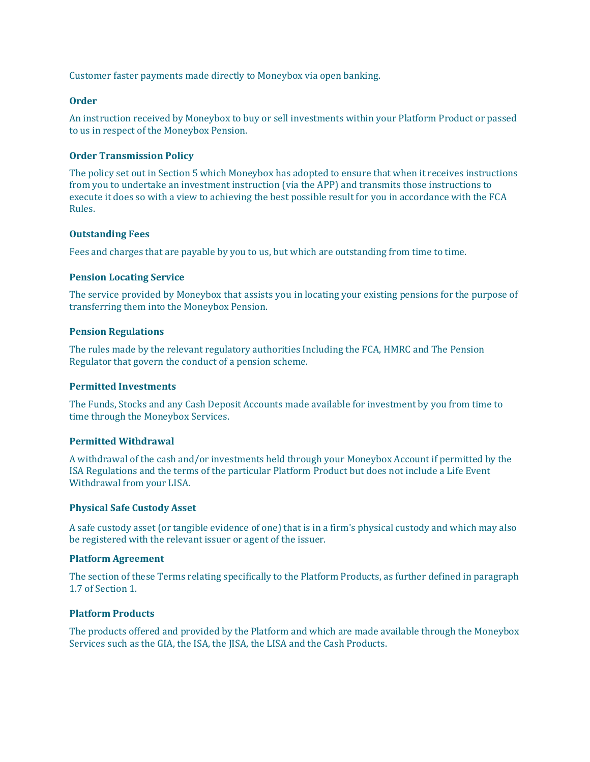Customer faster payments made directly to Moneybox via open banking.

# **Order**

An instruction received by Moneybox to buy or sell investments within your Platform Product or passed to us in respect of the Moneybox Pension.

#### **Order Transmission Policy**

The policy set out in Section 5 which Moneybox has adopted to ensure that when it receives instructions from you to undertake an investment instruction (via the APP) and transmits those instructions to execute it does so with a view to achieving the best possible result for you in accordance with the FCA Rules.

#### **Outstanding Fees**

Fees and charges that are payable by you to us, but which are outstanding from time to time.

#### **Pension Locating Service**

The service provided by Moneybox that assists you in locating your existing pensions for the purpose of transferring them into the Moneybox Pension.

#### **Pension Regulations**

The rules made by the relevant regulatory authorities Including the FCA, HMRC and The Pension Regulator that govern the conduct of a pension scheme.

#### **Permitted Investments**

The Funds, Stocks and any Cash Deposit Accounts made available for investment by you from time to time through the Moneybox Services.

# **Permitted Withdrawal**

A withdrawal of the cash and/or investments held through your Moneybox Account if permitted by the ISA Regulations and the terms of the particular Platform Product but does not include a Life Event Withdrawal from your LISA.

#### **Physical Safe Custody Asset**

A safe custody asset (or tangible evidence of one) that is in a firm's physical custody and which may also be registered with the relevant issuer or agent of the issuer.

#### **Platform Agreement**

The section of these Terms relating specifically to the Platform Products, as further defined in paragraph 1.7 of Section 1.

# **Platform Products**

The products offered and provided by the Platform and which are made available through the Moneybox Services such as the GIA, the ISA, the JISA, the LISA and the Cash Products.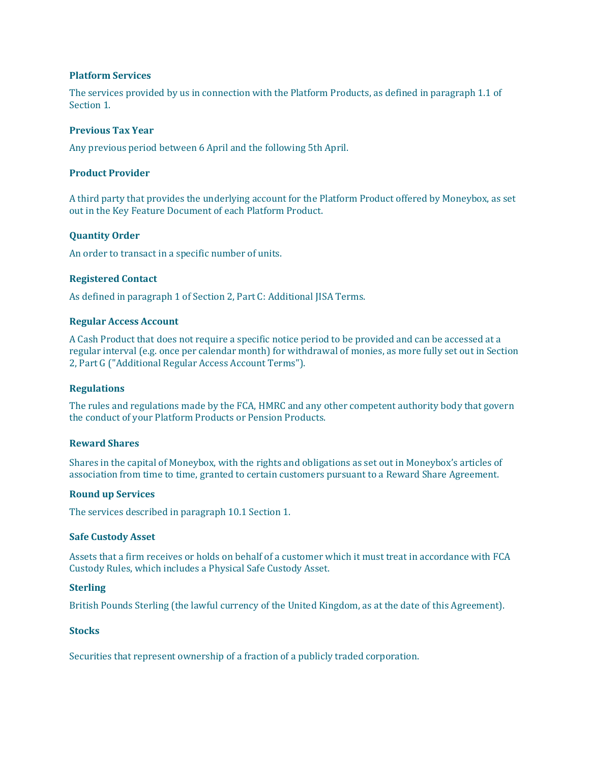#### **Platform Services**

The services provided by us in connection with the Platform Products, as defined in paragraph 1.1 of Section 1.

## **Previous Tax Year**

Any previous period between 6 April and the following 5th April.

#### **Product Provider**

A third party that provides the underlying account for the Platform Product offered by Moneybox, as set out in the Key Feature Document of each Platform Product.

# **Quantity Order**

An order to transact in a specific number of units.

#### **Registered Contact**

As defined in paragraph 1 of Section 2, Part C: Additional JISA Terms.

#### **Regular Access Account**

A Cash Product that does not require a specific notice period to be provided and can be accessed at a regular interval (e.g. once per calendar month) for withdrawal of monies, as more fully set out in Section 2, Part G ("Additional Regular Access Account Terms").

# **Regulations**

The rules and regulations made by the FCA, HMRC and any other competent authority body that govern the conduct of your Platform Products or Pension Products.

#### **Reward Shares**

Shares in the capital of Moneybox, with the rights and obligations as set out in Moneybox's articles of association from time to time, granted to certain customers pursuant to a Reward Share Agreement.

#### **Round up Services**

The services described in paragraph 10.1 Section 1.

#### **Safe Custody Asset**

Assets that a firm receives or holds on behalf of a customer which it must treat in accordance with FCA Custody Rules, which includes a Physical Safe Custody Asset.

#### **Sterling**

British Pounds Sterling (the lawful currency of the United Kingdom, as at the date of this Agreement).

## **Stocks**

Securities that represent ownership of a fraction of a publicly traded corporation.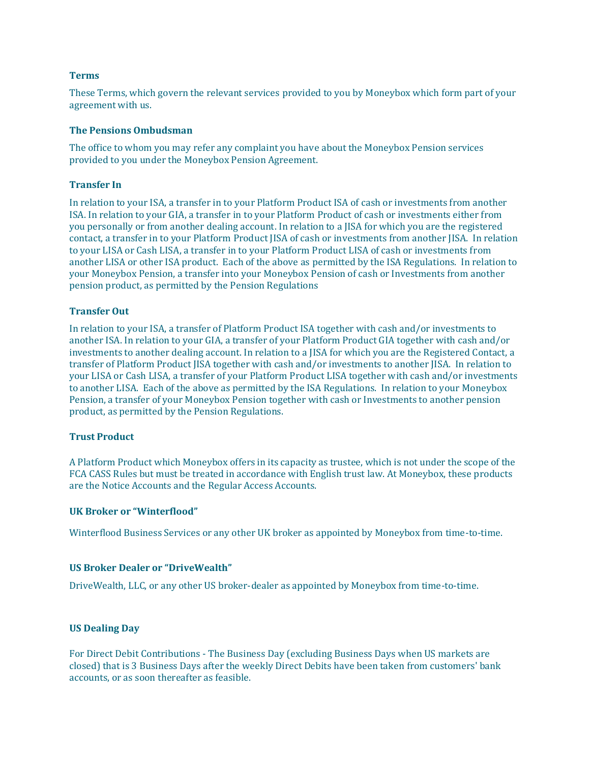#### **Terms**

These Terms, which govern the relevant services provided to you by Moneybox which form part of your agreement with us.

#### **The Pensions Ombudsman**

The office to whom you may refer any complaint you have about the Moneybox Pension services provided to you under the Moneybox Pension Agreement.

#### **Transfer In**

In relation to your ISA, a transfer in to your Platform Product ISA of cash or investments from another ISA. In relation to your GIA, a transfer in to your Platform Product of cash or investments either from you personally or from another dealing account. In relation to a JISA for which you are the registered contact, a transfer in to your Platform Product JISA of cash or investments from another JISA. In relation to your LISA or Cash LISA, a transfer in to your Platform Product LISA of cash or investments from another LISA or other ISA product. Each of the above as permitted by the ISA Regulations. In relation to your Moneybox Pension, a transfer into your Moneybox Pension of cash or Investments from another pension product, as permitted by the Pension Regulations

#### **Transfer Out**

In relation to your ISA, a transfer of Platform Product ISA together with cash and/or investments to another ISA. In relation to your GIA, a transfer of your Platform Product GIA together with cash and/or investments to another dealing account. In relation to a JISA for which you are the Registered Contact, a transfer of Platform Product JISA together with cash and/or investments to another JISA. In relation to your LISA or Cash LISA, a transfer of your Platform Product LISA together with cash and/or investments to another LISA. Each of the above as permitted by the ISA Regulations. In relation to your Moneybox Pension, a transfer of your Moneybox Pension together with cash or Investments to another pension product, as permitted by the Pension Regulations.

#### **Trust Product**

A Platform Product which Moneybox offers in its capacity as trustee, which is not under the scope of the FCA CASS Rules but must be treated in accordance with English trust law. At Moneybox, these products are the Notice Accounts and the Regular Access Accounts.

#### **UK Broker or "Winterflood"**

Winterflood Business Services or any other UK broker as appointed by Moneybox from time-to-time.

### **US Broker Dealer or "DriveWealth"**

DriveWealth, LLC, or any other US broker-dealer as appointed by Moneybox from time-to-time.

#### **US Dealing Day**

For Direct Debit Contributions - The Business Day (excluding Business Days when US markets are closed) that is 3 Business Days after the weekly Direct Debits have been taken from customers' bank accounts, or as soon thereafter as feasible.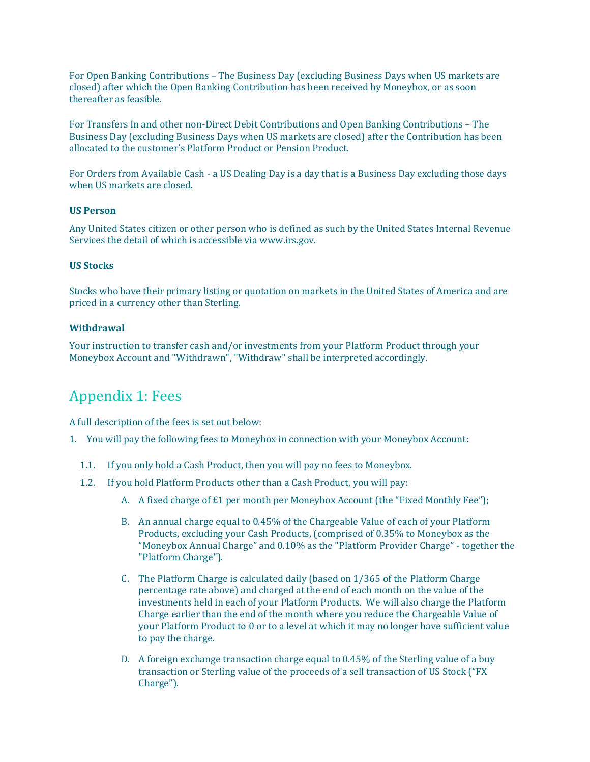For Open Banking Contributions – The Business Day (excluding Business Days when US markets are closed) after which the Open Banking Contribution has been received by Moneybox, or as soon thereafter as feasible.

For Transfers In and other non-Direct Debit Contributions and Open Banking Contributions – The Business Day (excluding Business Days when US markets are closed) after the Contribution has been allocated to the customer's Platform Product or Pension Product.

For Orders from Available Cash - a US Dealing Day is a day that is a Business Day excluding those days when US markets are closed.

#### **US Person**

Any United States citizen or other person who is defined as such by the United States Internal Revenue Services the detail of which is accessible vi[a www.irs.gov.](http://www.irs.gov/)

## **US Stocks**

Stocks who have their primary listing or quotation on markets in the United States of America and are priced in a currency other than Sterling.

#### **Withdrawal**

Your instruction to transfer cash and/or investments from your Platform Product through your Moneybox Account and "Withdrawn", "Withdraw" shall be interpreted accordingly.

# <span id="page-62-0"></span>Appendix 1: Fees

A full description of the fees is set out below:

- 1. You will pay the following fees to Moneybox in connection with your Moneybox Account:
	- 1.1. If you only hold a Cash Product, then you will pay no fees to Moneybox.
	- 1.2. If you hold Platform Products other than a Cash Product, you will pay:
		- A. A fixed charge of £1 per month per Moneybox Account (the "Fixed Monthly Fee");
		- B. An annual charge equal to 0.45% of the Chargeable Value of each of your Platform Products, excluding your Cash Products, (comprised of 0.35% to Moneybox as the "Moneybox Annual Charge" and 0.10% as the "Platform Provider Charge" - together the "Platform Charge").
		- C. The Platform Charge is calculated daily (based on 1/365 of the Platform Charge percentage rate above) and charged at the end of each month on the value of the investments held in each of your Platform Products. We will also charge the Platform Charge earlier than the end of the month where you reduce the Chargeable Value of your Platform Product to 0 or to a level at which it may no longer have sufficient value to pay the charge.
		- D. A foreign exchange transaction charge equal to 0.45% of the Sterling value of a buy transaction or Sterling value of the proceeds of a sell transaction of US Stock ("FX Charge").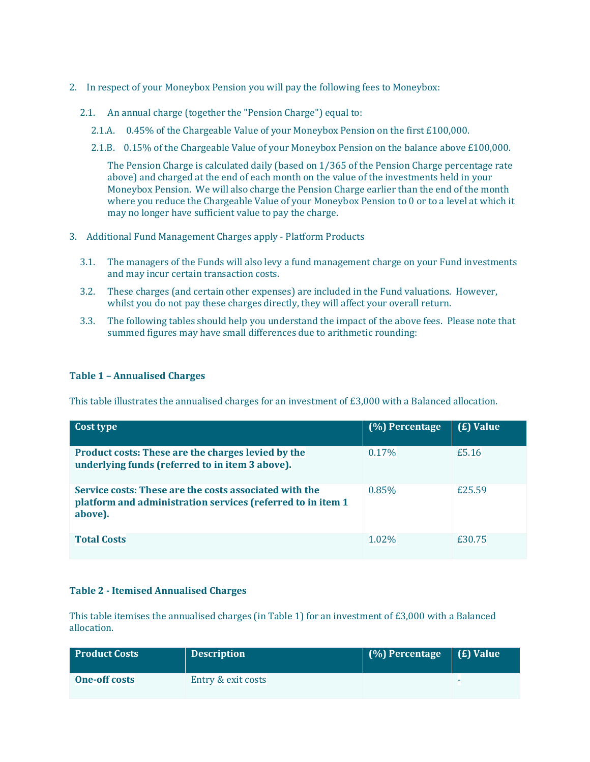- 2. In respect of your Moneybox Pension you will pay the following fees to Moneybox:
	- 2.1. An annual charge (together the "Pension Charge") equal to:
		- 2.1.A. 0.45% of the Chargeable Value of your Moneybox Pension on the first £100,000.
		- 2.1.B. 0.15% of the Chargeable Value of your Moneybox Pension on the balance above £100,000.

The Pension Charge is calculated daily (based on 1/365 of the Pension Charge percentage rate above) and charged at the end of each month on the value of the investments held in your Moneybox Pension. We will also charge the Pension Charge earlier than the end of the month where you reduce the Chargeable Value of your Moneybox Pension to 0 or to a level at which it may no longer have sufficient value to pay the charge.

- 3. Additional Fund Management Charges apply Platform Products
	- 3.1. The managers of the Funds will also levy a fund management charge on your Fund investments and may incur certain transaction costs.
	- 3.2. These charges (and certain other expenses) are included in the Fund valuations. However, whilst you do not pay these charges directly, they will affect your overall return.
	- 3.3. The following tables should help you understand the impact of the above fees. Please note that summed figures may have small differences due to arithmetic rounding:

# **Table 1 – Annualised Charges**

This table illustrates the annualised charges for an investment of £3,000 with a Balanced allocation.

| Cost type                                                                                                                        | (%) Percentage | (£) Value |
|----------------------------------------------------------------------------------------------------------------------------------|----------------|-----------|
| Product costs: These are the charges levied by the<br>underlying funds (referred to in item 3 above).                            | 0.17%          | £5.16     |
| Service costs: These are the costs associated with the<br>platform and administration services (referred to in item 1<br>above). | 0.85%          | £25.59    |
| <b>Total Costs</b>                                                                                                               | 1.02%          | £30.75    |

# **Table 2 - Itemised Annualised Charges**

This table itemises the annualised charges (in Table 1) for an investment of £3,000 with a Balanced allocation.

| <b>Product Costs</b> | <b>Description</b> | $\left( \frac{\%}{\%} \right)$ Percentage $\left( \frac{\%}{\%} \right)$ Value |   |
|----------------------|--------------------|--------------------------------------------------------------------------------|---|
| <b>One-off costs</b> | Entry & exit costs |                                                                                | - |
|                      |                    |                                                                                |   |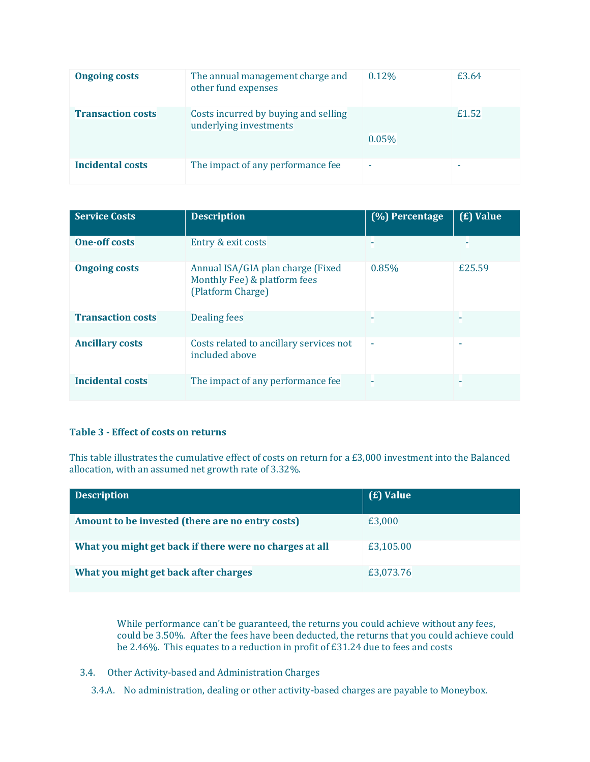| <b>Ongoing costs</b>     | The annual management charge and<br>other fund expenses        | 0.12%                    | £3.64 |
|--------------------------|----------------------------------------------------------------|--------------------------|-------|
| <b>Transaction costs</b> | Costs incurred by buying and selling<br>underlying investments | 0.05%                    | £1.52 |
| <b>Incidental costs</b>  | The impact of any performance fee                              | $\overline{\phantom{a}}$ | -     |

| <b>Service Costs</b>     | <b>Description</b>                                                                     | $(%)$ Percentage | (£) Value |
|--------------------------|----------------------------------------------------------------------------------------|------------------|-----------|
| <b>One-off costs</b>     | Entry & exit costs                                                                     |                  |           |
| <b>Ongoing costs</b>     | Annual ISA/GIA plan charge (Fixed<br>Monthly Fee) & platform fees<br>(Platform Charge) | 0.85%            | £25.59    |
| <b>Transaction costs</b> | <b>Dealing fees</b>                                                                    |                  |           |
| <b>Ancillary costs</b>   | Costs related to ancillary services not<br>included above                              | ۰                | ۰         |
| <b>Incidental costs</b>  | The impact of any performance fee                                                      |                  |           |

# **Table 3 - Effect of costs on returns**

This table illustrates the cumulative effect of costs on return for a £3,000 investment into the Balanced allocation, with an assumed net growth rate of 3.32%.

| <b>Description</b>                                      | ( <b>£</b> ) Value |
|---------------------------------------------------------|--------------------|
| Amount to be invested (there are no entry costs)        | £3,000             |
| What you might get back if there were no charges at all | £3,105.00          |
| What you might get back after charges                   | £3,073.76          |

While performance can't be guaranteed, the returns you could achieve without any fees, could be 3.50%. After the fees have been deducted, the returns that you could achieve could be 2.46%. This equates to a reduction in profit of £31.24 due to fees and costs

- 3.4. Other Activity-based and Administration Charges
	- 3.4.A. No administration, dealing or other activity-based charges are payable to Moneybox.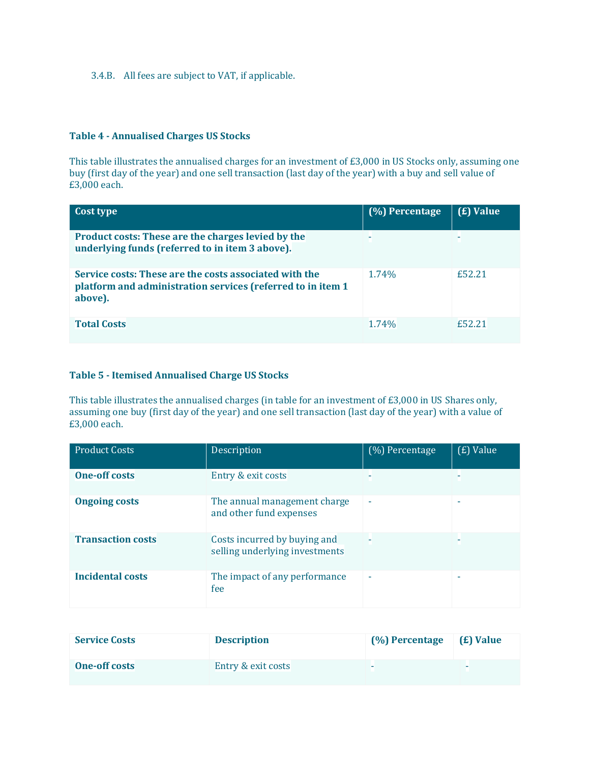3.4.B. All fees are subject to VAT, if applicable.

## **Table 4 - Annualised Charges US Stocks**

This table illustrates the annualised charges for an investment of £3,000 in US Stocks only, assuming one buy (first day of the year) and one sell transaction (last day of the year) with a buy and sell value of £3,000 each.

| Cost type                                                                                                                        | $(%)$ Percentage | (£) Value |
|----------------------------------------------------------------------------------------------------------------------------------|------------------|-----------|
| Product costs: These are the charges levied by the<br>underlying funds (referred to in item 3 above).                            |                  |           |
| Service costs: These are the costs associated with the<br>platform and administration services (referred to in item 1<br>above). | 1.74%            | £52.21    |
| <b>Total Costs</b>                                                                                                               | 1.74%            | f52.21    |

#### **Table 5 - Itemised Annualised Charge US Stocks**

This table illustrates the annualised charges (in table for an investment of £3,000 in US Shares only, assuming one buy (first day of the year) and one sell transaction (last day of the year) with a value of £3,000 each.

| <b>Product Costs</b>     | Description                                                    | (%) Percentage           | (£) Value                |
|--------------------------|----------------------------------------------------------------|--------------------------|--------------------------|
| <b>One-off costs</b>     | Entry & exit costs                                             |                          |                          |
| <b>Ongoing costs</b>     | The annual management charge<br>and other fund expenses        | ٠                        | $\overline{\phantom{a}}$ |
| <b>Transaction costs</b> | Costs incurred by buying and<br>selling underlying investments |                          |                          |
| <b>Incidental costs</b>  | The impact of any performance<br>fee                           | $\overline{\phantom{a}}$ |                          |

| <b>Service Costs</b> | <b>Description</b> | (%) Percentage | ( <b>£</b> ) Value |
|----------------------|--------------------|----------------|--------------------|
| <b>One-off costs</b> | Entry & exit costs | -              |                    |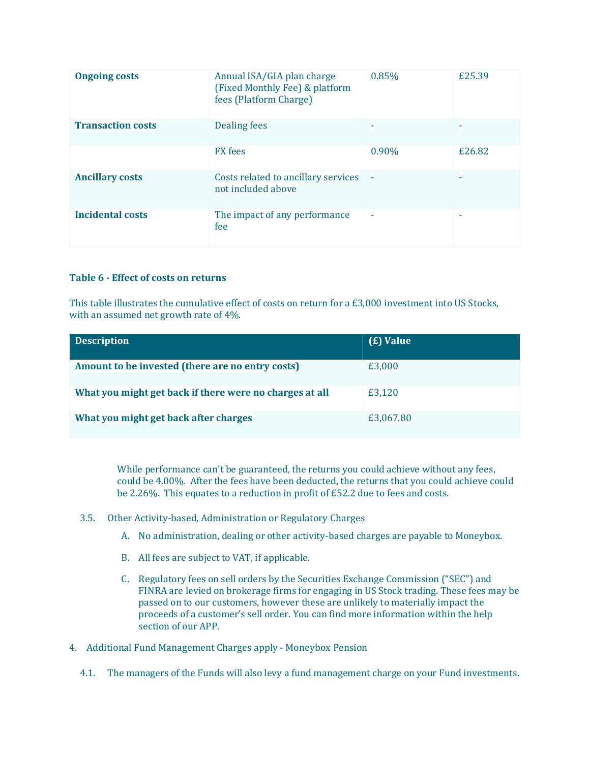| <b>Ongoing costs</b>     | Annual ISA/GIA plan charge<br>(Fixed Monthly Fee) & platform<br>fees (Platform Charge) | 0.85%                    | £25.39 |
|--------------------------|----------------------------------------------------------------------------------------|--------------------------|--------|
| <b>Transaction costs</b> | <b>Dealing fees</b>                                                                    |                          |        |
|                          | <b>FX</b> fees                                                                         | 0.90%                    | £26.82 |
| <b>Ancillary costs</b>   | Costs related to ancillary services<br>not included above                              | - 5                      |        |
| <b>Incidental costs</b>  | The impact of any performance<br>fee                                                   | $\overline{\phantom{a}}$ | ۰      |

#### **Table 6 - Effect of costs on returns**

This table illustrates the cumulative effect of costs on return for a £3,000 investment into US Stocks, with an assumed net growth rate of 4%.

| <b>Description</b>                                      | ( <b>£</b> ) Value |
|---------------------------------------------------------|--------------------|
| Amount to be invested (there are no entry costs)        | £3,000             |
| What you might get back if there were no charges at all | £3,120             |
| What you might get back after charges                   | £3,067.80          |

While performance can't be guaranteed, the returns you could achieve without any fees, could be 4.00%. After the fees have been deducted, the returns that you could achieve could be 2.26%. This equates to a reduction in profit of £52.2 due to fees and costs.

- 3.5. Other Activity-based, Administration or Regulatory Charges
	- A. No administration, dealing or other activity-based charges are payable to Moneybox.
	- B. All fees are subject to VAT, if applicable.
	- C. Regulatory fees on sell orders by the Securities Exchange Commission ("SEC") and FINRA are levied on brokerage firms for engaging in US Stock trading. These fees may be passed on to our customers, however these are unlikely to materially impact the proceeds of a customer's sell order. You can find more information within the help section of our APP.
- 4. Additional Fund Management Charges apply Moneybox Pension
	- 4.1. The managers of the Funds will also levy a fund management charge on your Fund investments.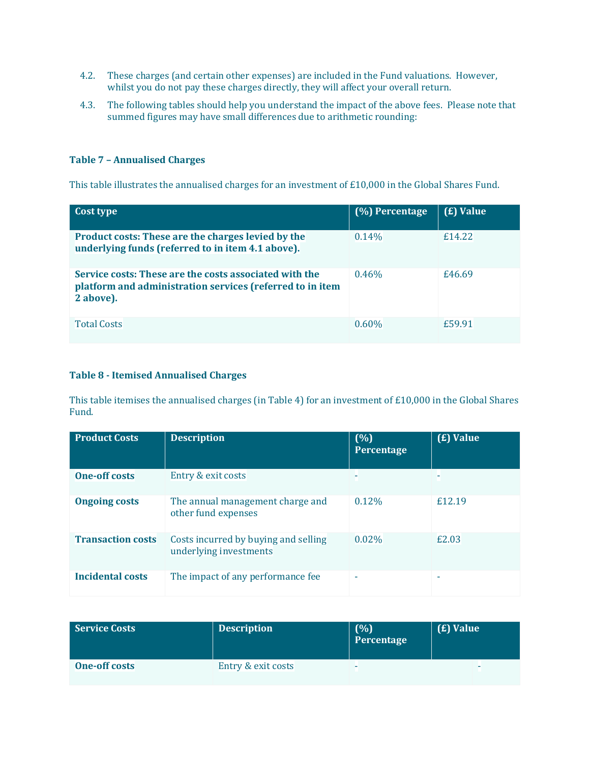- 4.2. These charges (and certain other expenses) are included in the Fund valuations. However, whilst you do not pay these charges directly, they will affect your overall return.
- 4.3. The following tables should help you understand the impact of the above fees. Please note that summed figures may have small differences due to arithmetic rounding:

# **Table 7 – Annualised Charges**

This table illustrates the annualised charges for an investment of £10,000 in the Global Shares Fund.

| Cost type                                                                                                                        | (%) Percentage | (£) Value |
|----------------------------------------------------------------------------------------------------------------------------------|----------------|-----------|
| Product costs: These are the charges levied by the<br>underlying funds (referred to in item 4.1 above).                          | 0.14%          | £14.22    |
| Service costs: These are the costs associated with the<br>platform and administration services (referred to in item<br>2 above). | 0.46%          | £46.69    |
| <b>Total Costs</b>                                                                                                               | $0.60\%$       | £59.91    |

# **Table 8 - Itemised Annualised Charges**

This table itemises the annualised charges (in Table 4) for an investment of £10,000 in the Global Shares Fund.

| <b>Product Costs</b>     | <b>Description</b>                                             | (%)<br>Percentage        | (£) Value |
|--------------------------|----------------------------------------------------------------|--------------------------|-----------|
| <b>One-off costs</b>     | Entry & exit costs                                             |                          |           |
| <b>Ongoing costs</b>     | The annual management charge and<br>other fund expenses        | 0.12%                    | £12.19    |
| <b>Transaction costs</b> | Costs incurred by buying and selling<br>underlying investments | 0.02%                    | £2.03     |
| Incidental costs         | The impact of any performance fee                              | $\overline{\phantom{a}}$ | ۰         |

| <b>Service Costs</b> | <b>Description</b> | (%)<br>Percentage | $\vert$ ( <b>£</b> ) Value |
|----------------------|--------------------|-------------------|----------------------------|
| <b>One-off costs</b> | Entry & exit costs | -                 |                            |